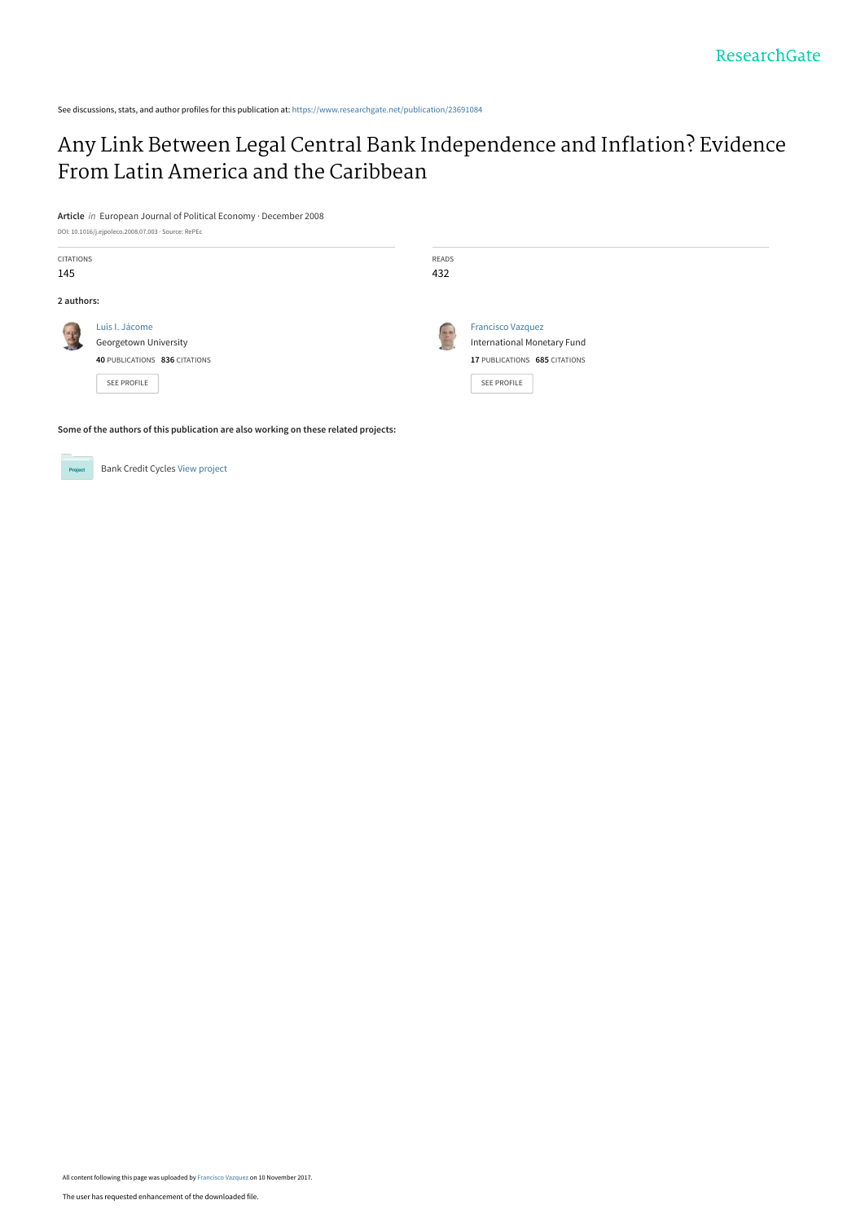See discussions, stats, and author profiles for this publication at: [https://www.researchgate.net/publication/23691084](https://www.researchgate.net/publication/23691084_Any_Link_Between_Legal_Central_Bank_Independence_and_Inflation_Evidence_From_Latin_America_and_the_Caribbean?enrichId=rgreq-f413baa9d7d0764caa2fa1694ba1e5dd-XXX&enrichSource=Y292ZXJQYWdlOzIzNjkxMDg0O0FTOjU1OTIyNTE1MzE3NTU1MkAxNTEwMzQxMDc0NzY2&el=1_x_2&_esc=publicationCoverPdf)

# [Any Link Between Legal Central Bank Independence and Inflation? Evidence](https://www.researchgate.net/publication/23691084_Any_Link_Between_Legal_Central_Bank_Independence_and_Inflation_Evidence_From_Latin_America_and_the_Caribbean?enrichId=rgreq-f413baa9d7d0764caa2fa1694ba1e5dd-XXX&enrichSource=Y292ZXJQYWdlOzIzNjkxMDg0O0FTOjU1OTIyNTE1MzE3NTU1MkAxNTEwMzQxMDc0NzY2&el=1_x_3&_esc=publicationCoverPdf) From Latin America and the Caribbean

**Article** in European Journal of Political Economy · December 2008



**Some of the authors of this publication are also working on these related projects:**



All content following this page was uploaded by [Francisco Vazquez](https://www.researchgate.net/profile/Francisco-Vazquez-20?enrichId=rgreq-f413baa9d7d0764caa2fa1694ba1e5dd-XXX&enrichSource=Y292ZXJQYWdlOzIzNjkxMDg0O0FTOjU1OTIyNTE1MzE3NTU1MkAxNTEwMzQxMDc0NzY2&el=1_x_10&_esc=publicationCoverPdf) on 10 November 2017.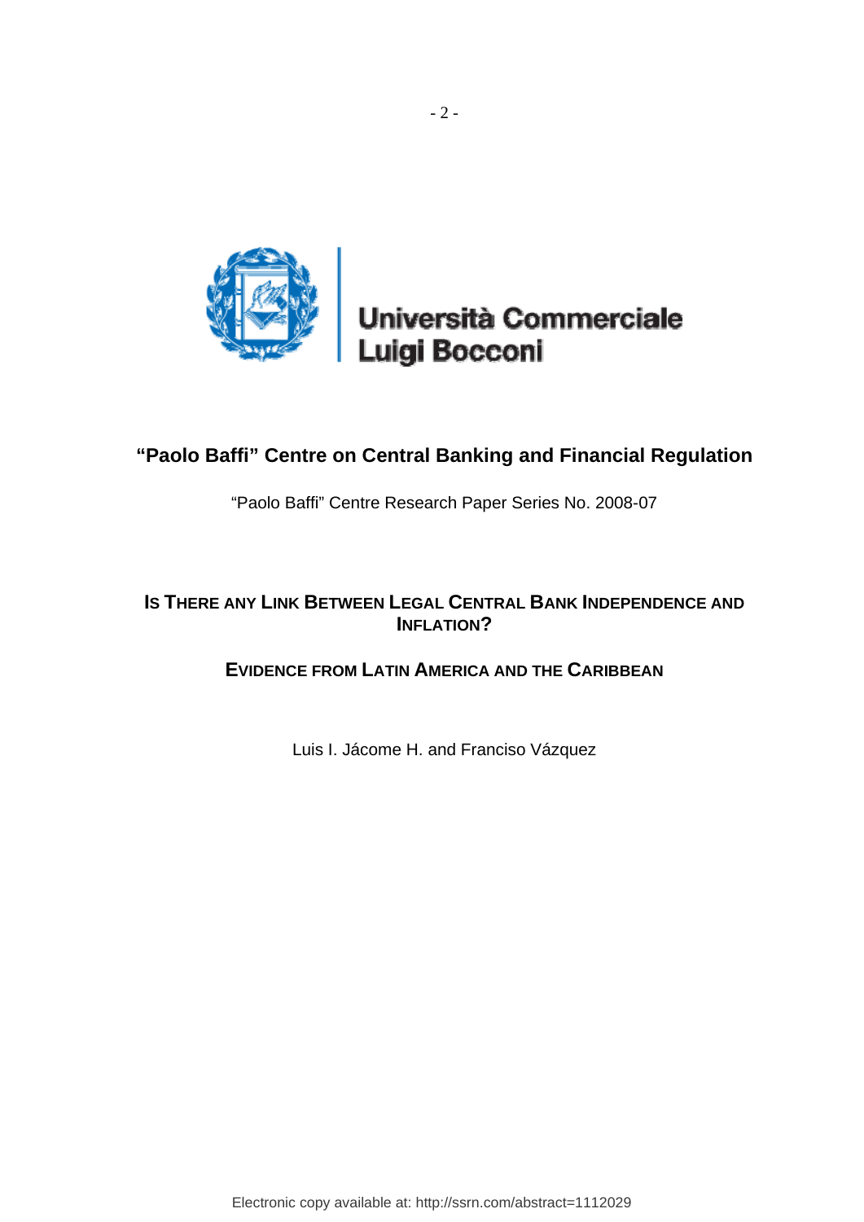

Università Commerciale Luigi Bocconi

# **"Paolo Baffi" Centre on Central Banking and Financial Regulation**

"Paolo Baffi" Centre Research Paper Series No. 2008-07

## **IS THERE ANY LINK BETWEEN LEGAL CENTRAL BANK INDEPENDENCE AND INFLATION?**

## **EVIDENCE FROM LATIN AMERICA AND THE CARIBBEAN**

Luis I. Jácome H. and Franciso Vázquez

Electronic copy available at: http://ssrn.com/abstract=1112029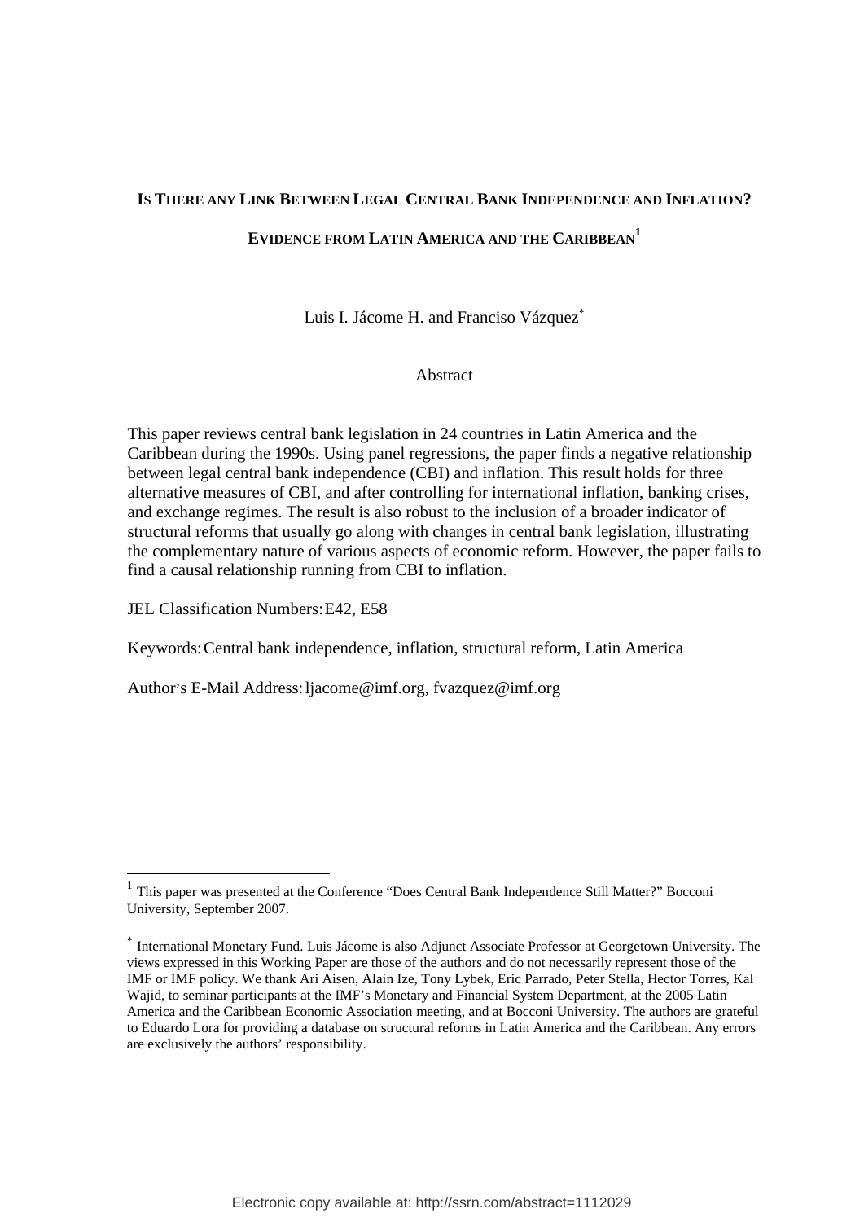### **IS THERE ANY LINK BETWEEN LEGAL CENTRAL BANK INDEPENDENCE AND INFLATION?**

### **EVIDENCE FROM LATIN AMERICA AND THE CARIBBEAN<sup>1</sup>**

Luis I. Jácome H. and Franciso Vázquez<sup>\*</sup>

Abstract

This paper reviews central bank legislation in 24 countries in Latin America and the Caribbean during the 1990s. Using panel regressions, the paper finds a negative relationship between legal central bank independence (CBI) and inflation. This result holds for three alternative measures of CBI, and after controlling for international inflation, banking crises, and exchange regimes. The result is also robust to the inclusion of a broader indicator of structural reforms that usually go along with changes in central bank legislation, illustrating the complementary nature of various aspects of economic reform. However, the paper fails to find a causal relationship running from CBI to inflation.

JEL Classification Numbers: E42, E58

Keywords: Central bank independence, inflation, structural reform, Latin America

Author's E-Mail Address: ljacome@imf.org, fvazquez@imf.org

<sup>&</sup>lt;sup>1</sup> This paper was presented at the Conference "Does Central Bank Independence Still Matter?" Bocconi University, September 2007.

<sup>∗</sup> International Monetary Fund. Luis Jácome is also Adjunct Associate Professor at Georgetown University. The views expressed in this Working Paper are those of the authors and do not necessarily represent those of the IMF or IMF policy. We thank Ari Aisen, Alain Ize, Tony Lybek, Eric Parrado, Peter Stella, Hector Torres, Kal Wajid, to seminar participants at the IMF's Monetary and Financial System Department, at the 2005 Latin America and the Caribbean Economic Association meeting, and at Bocconi University. The authors are grateful to Eduardo Lora for providing a database on structural reforms in Latin America and the Caribbean. Any errors are exclusively the authors' responsibility.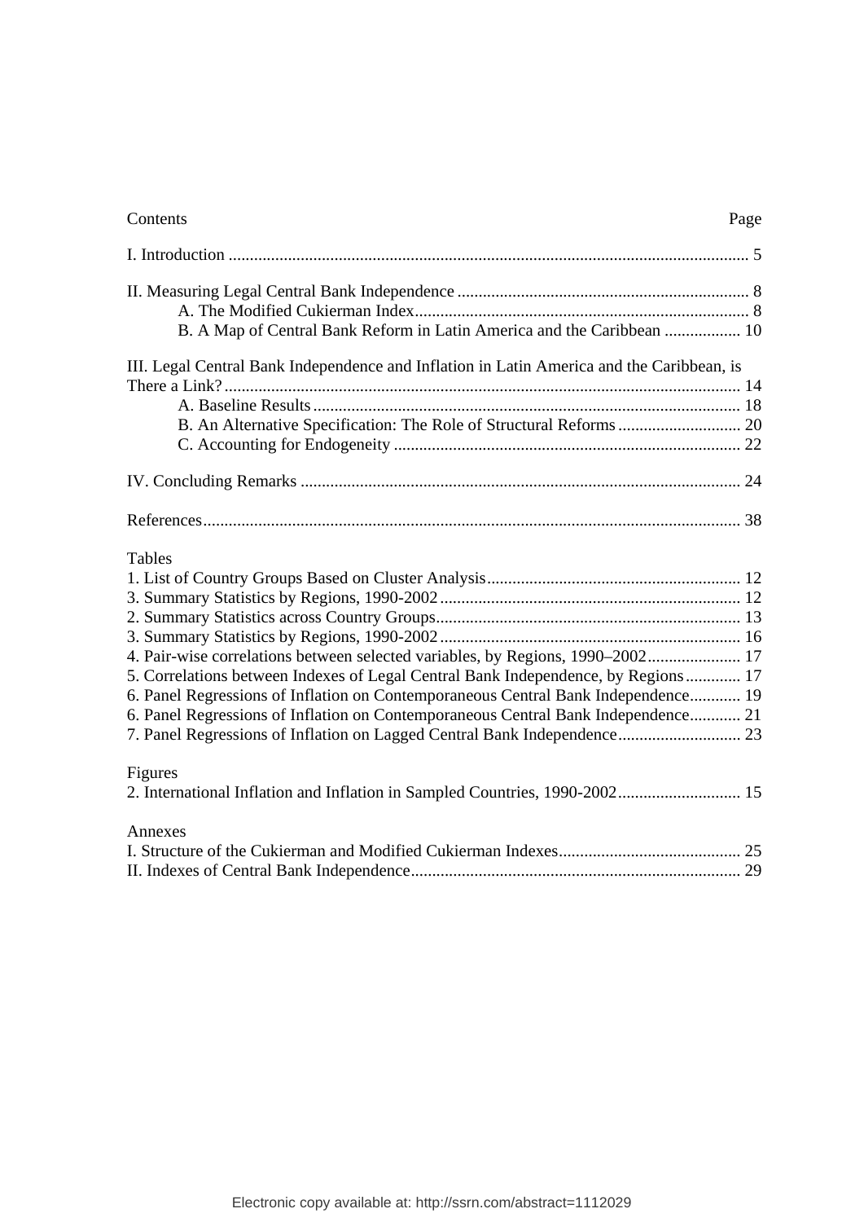| Contents<br>Page                                                                          |
|-------------------------------------------------------------------------------------------|
|                                                                                           |
|                                                                                           |
| B. A Map of Central Bank Reform in Latin America and the Caribbean  10                    |
| III. Legal Central Bank Independence and Inflation in Latin America and the Caribbean, is |
|                                                                                           |
|                                                                                           |
|                                                                                           |
|                                                                                           |
|                                                                                           |
|                                                                                           |
| <b>Tables</b>                                                                             |
|                                                                                           |
|                                                                                           |
|                                                                                           |
|                                                                                           |
| 4. Pair-wise correlations between selected variables, by Regions, 1990-2002 17            |
| 5. Correlations between Indexes of Legal Central Bank Independence, by Regions 17         |
| 6. Panel Regressions of Inflation on Contemporaneous Central Bank Independence 19         |
| 6. Panel Regressions of Inflation on Contemporaneous Central Bank Independence 21         |
|                                                                                           |
| Figures                                                                                   |
| 2. International Inflation and Inflation in Sampled Countries, 1990-2002 15               |
| Annexes                                                                                   |
|                                                                                           |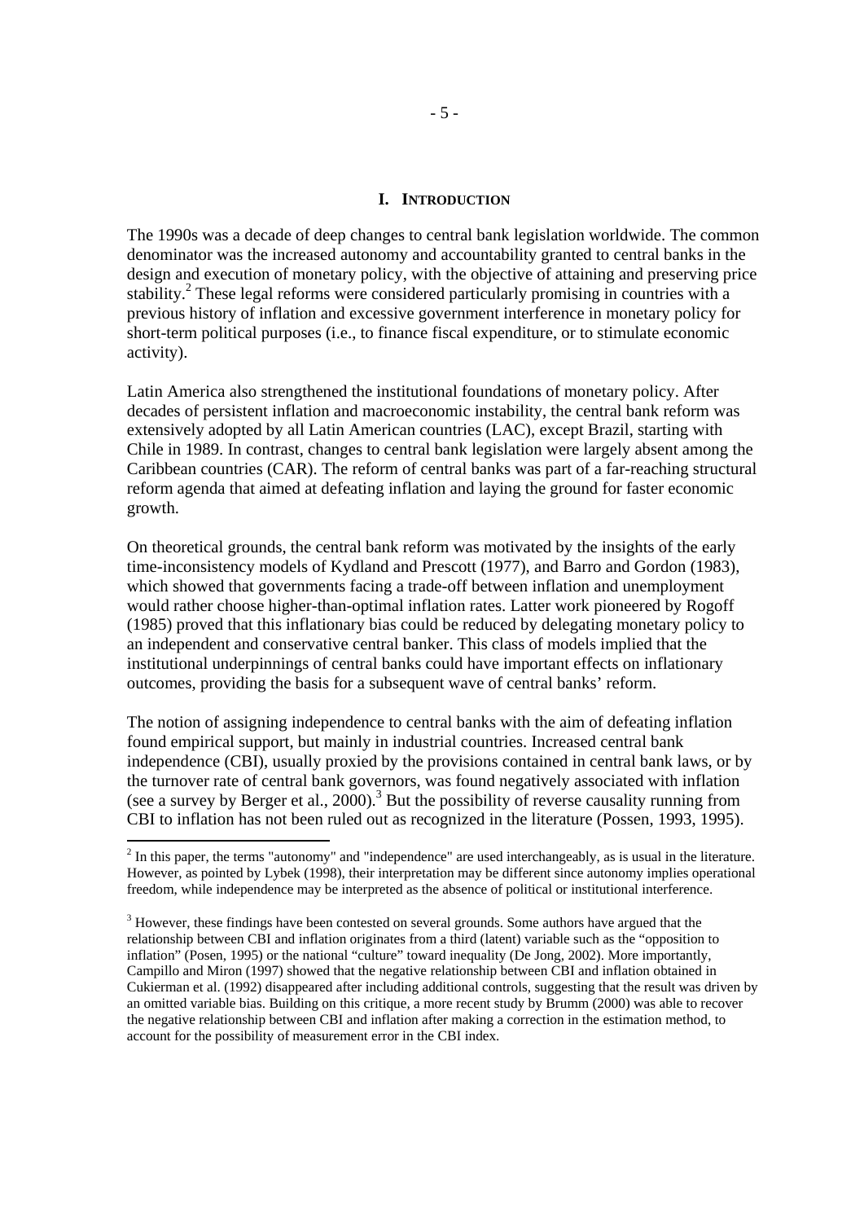#### **I. INTRODUCTION**

The 1990s was a decade of deep changes to central bank legislation worldwide. The common denominator was the increased autonomy and accountability granted to central banks in the design and execution of monetary policy, with the objective of attaining and preserving price stability.<sup>2</sup> These legal reforms were considered particularly promising in countries with a previous history of inflation and excessive government interference in monetary policy for short-term political purposes (i.e., to finance fiscal expenditure, or to stimulate economic activity).

Latin America also strengthened the institutional foundations of monetary policy. After decades of persistent inflation and macroeconomic instability, the central bank reform was extensively adopted by all Latin American countries (LAC), except Brazil, starting with Chile in 1989. In contrast, changes to central bank legislation were largely absent among the Caribbean countries (CAR). The reform of central banks was part of a far-reaching structural reform agenda that aimed at defeating inflation and laying the ground for faster economic growth.

On theoretical grounds, the central bank reform was motivated by the insights of the early time-inconsistency models of Kydland and Prescott (1977), and Barro and Gordon (1983), which showed that governments facing a trade-off between inflation and unemployment would rather choose higher-than-optimal inflation rates. Latter work pioneered by Rogoff (1985) proved that this inflationary bias could be reduced by delegating monetary policy to an independent and conservative central banker. This class of models implied that the institutional underpinnings of central banks could have important effects on inflationary outcomes, providing the basis for a subsequent wave of central banks' reform.

The notion of assigning independence to central banks with the aim of defeating inflation found empirical support, but mainly in industrial countries. Increased central bank independence (CBI), usually proxied by the provisions contained in central bank laws, or by the turnover rate of central bank governors, was found negatively associated with inflation (see a survey by Berger et al.,  $2000$ ).<sup>3</sup> But the possibility of reverse causality running from CBI to inflation has not been ruled out as recognized in the literature (Possen, 1993, 1995).

 $2<sup>2</sup>$  In this paper, the terms "autonomy" and "independence" are used interchangeably, as is usual in the literature. However, as pointed by Lybek (1998), their interpretation may be different since autonomy implies operational freedom, while independence may be interpreted as the absence of political or institutional interference.

 $3$  However, these findings have been contested on several grounds. Some authors have argued that the relationship between CBI and inflation originates from a third (latent) variable such as the "opposition to inflation" (Posen, 1995) or the national "culture" toward inequality (De Jong, 2002). More importantly, Campillo and Miron (1997) showed that the negative relationship between CBI and inflation obtained in Cukierman et al. (1992) disappeared after including additional controls, suggesting that the result was driven by an omitted variable bias. Building on this critique, a more recent study by Brumm (2000) was able to recover the negative relationship between CBI and inflation after making a correction in the estimation method, to account for the possibility of measurement error in the CBI index.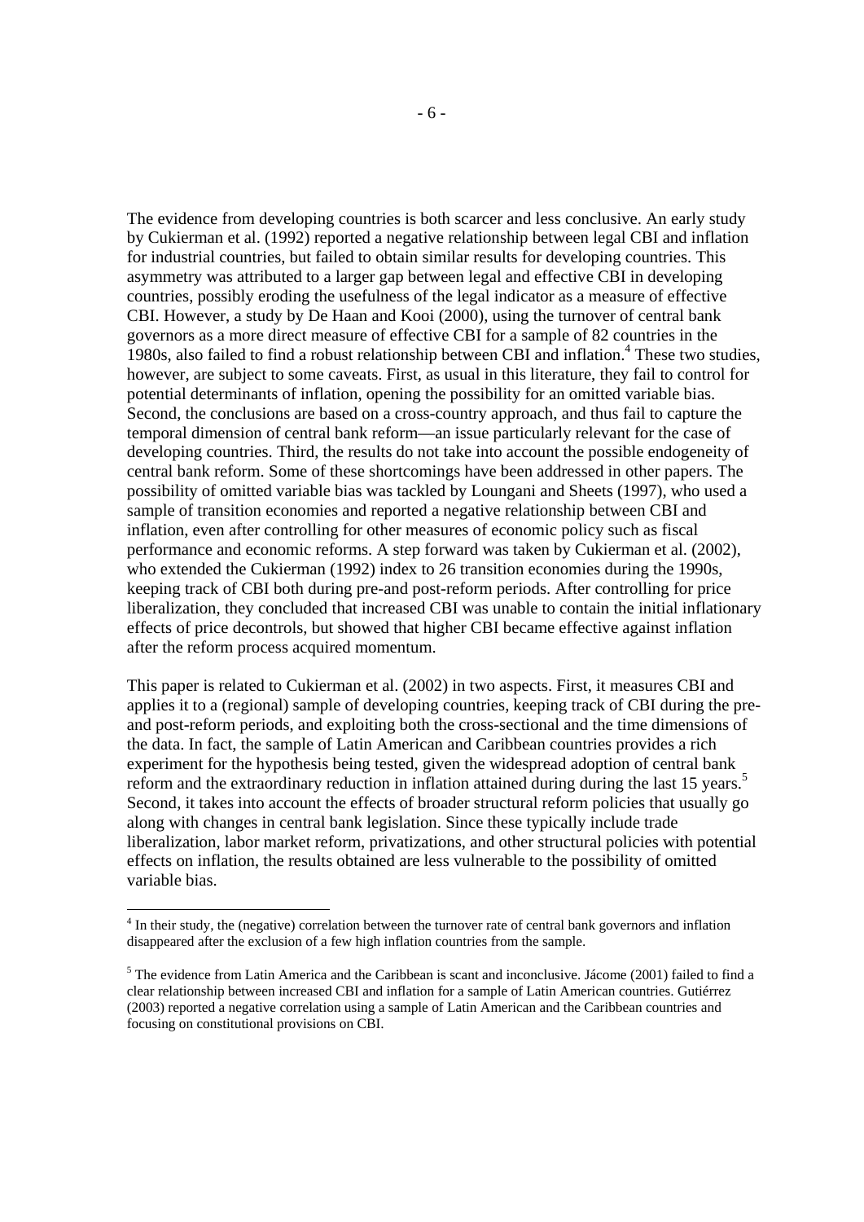The evidence from developing countries is both scarcer and less conclusive. An early study by Cukierman et al. (1992) reported a negative relationship between legal CBI and inflation for industrial countries, but failed to obtain similar results for developing countries. This asymmetry was attributed to a larger gap between legal and effective CBI in developing countries, possibly eroding the usefulness of the legal indicator as a measure of effective CBI. However, a study by De Haan and Kooi (2000), using the turnover of central bank governors as a more direct measure of effective CBI for a sample of 82 countries in the 1980s, also failed to find a robust relationship between CBI and inflation.<sup>4</sup> These two studies, however, are subject to some caveats. First, as usual in this literature, they fail to control for potential determinants of inflation, opening the possibility for an omitted variable bias. Second, the conclusions are based on a cross-country approach, and thus fail to capture the temporal dimension of central bank reform—an issue particularly relevant for the case of developing countries. Third, the results do not take into account the possible endogeneity of central bank reform. Some of these shortcomings have been addressed in other papers. The possibility of omitted variable bias was tackled by Loungani and Sheets (1997), who used a sample of transition economies and reported a negative relationship between CBI and inflation, even after controlling for other measures of economic policy such as fiscal performance and economic reforms. A step forward was taken by Cukierman et al. (2002), who extended the Cukierman (1992) index to 26 transition economies during the 1990s, keeping track of CBI both during pre-and post-reform periods. After controlling for price liberalization, they concluded that increased CBI was unable to contain the initial inflationary effects of price decontrols, but showed that higher CBI became effective against inflation after the reform process acquired momentum.

This paper is related to Cukierman et al. (2002) in two aspects. First, it measures CBI and applies it to a (regional) sample of developing countries, keeping track of CBI during the preand post-reform periods, and exploiting both the cross-sectional and the time dimensions of the data. In fact, the sample of Latin American and Caribbean countries provides a rich experiment for the hypothesis being tested, given the widespread adoption of central bank reform and the extraordinary reduction in inflation attained during during the last 15 years.<sup>5</sup> Second, it takes into account the effects of broader structural reform policies that usually go along with changes in central bank legislation. Since these typically include trade liberalization, labor market reform, privatizations, and other structural policies with potential effects on inflation, the results obtained are less vulnerable to the possibility of omitted variable bias.

<sup>&</sup>lt;sup>4</sup> In their study, the (negative) correlation between the turnover rate of central bank governors and inflation disappeared after the exclusion of a few high inflation countries from the sample.

<sup>&</sup>lt;sup>5</sup> The evidence from Latin America and the Caribbean is scant and inconclusive. Jácome (2001) failed to find a clear relationship between increased CBI and inflation for a sample of Latin American countries. Gutiérrez (2003) reported a negative correlation using a sample of Latin American and the Caribbean countries and focusing on constitutional provisions on CBI.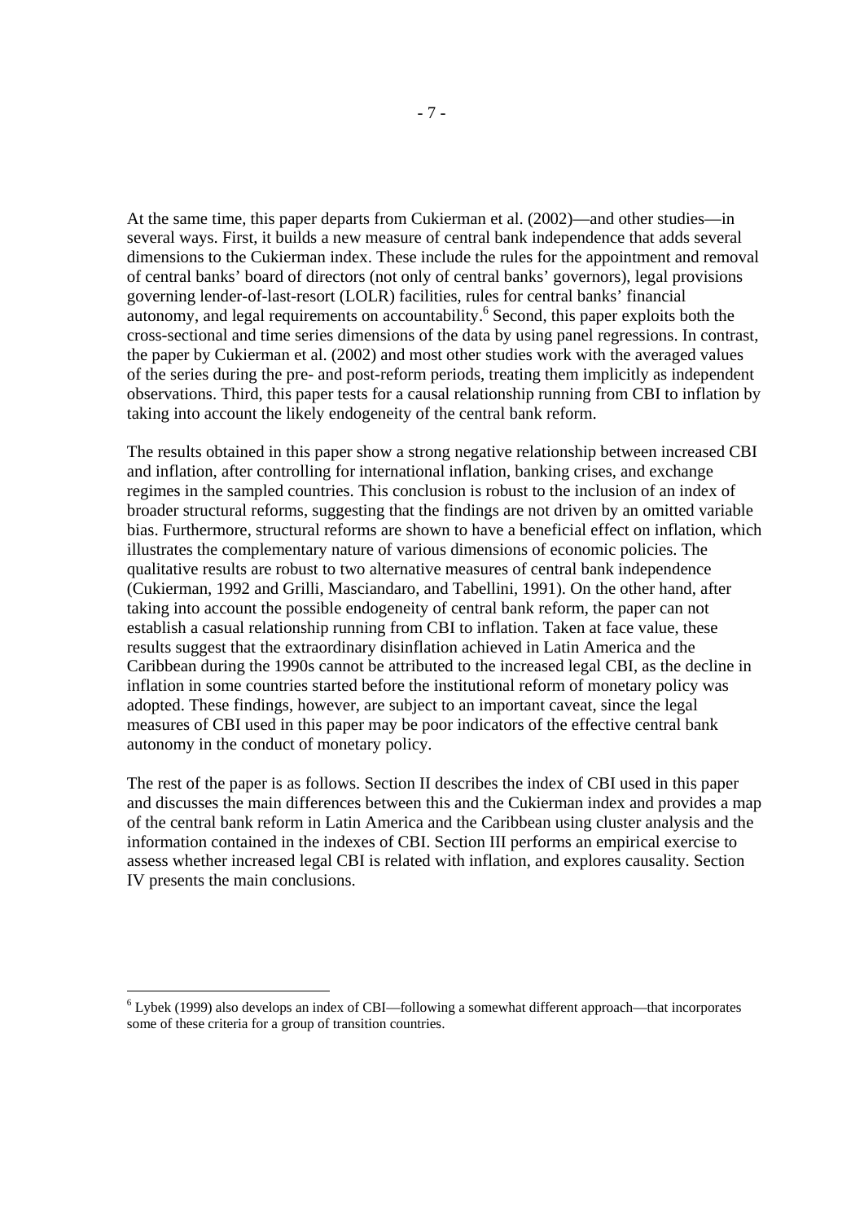At the same time, this paper departs from Cukierman et al. (2002)—and other studies—in several ways. First, it builds a new measure of central bank independence that adds several dimensions to the Cukierman index. These include the rules for the appointment and removal of central banks' board of directors (not only of central banks' governors), legal provisions governing lender-of-last-resort (LOLR) facilities, rules for central banks' financial autonomy, and legal requirements on accountability.<sup>6</sup> Second, this paper exploits both the cross-sectional and time series dimensions of the data by using panel regressions. In contrast, the paper by Cukierman et al. (2002) and most other studies work with the averaged values of the series during the pre- and post-reform periods, treating them implicitly as independent observations. Third, this paper tests for a causal relationship running from CBI to inflation by taking into account the likely endogeneity of the central bank reform.

The results obtained in this paper show a strong negative relationship between increased CBI and inflation, after controlling for international inflation, banking crises, and exchange regimes in the sampled countries. This conclusion is robust to the inclusion of an index of broader structural reforms, suggesting that the findings are not driven by an omitted variable bias. Furthermore, structural reforms are shown to have a beneficial effect on inflation, which illustrates the complementary nature of various dimensions of economic policies. The qualitative results are robust to two alternative measures of central bank independence (Cukierman, 1992 and Grilli, Masciandaro, and Tabellini, 1991). On the other hand, after taking into account the possible endogeneity of central bank reform, the paper can not establish a casual relationship running from CBI to inflation. Taken at face value, these results suggest that the extraordinary disinflation achieved in Latin America and the Caribbean during the 1990s cannot be attributed to the increased legal CBI, as the decline in inflation in some countries started before the institutional reform of monetary policy was adopted. These findings, however, are subject to an important caveat, since the legal measures of CBI used in this paper may be poor indicators of the effective central bank autonomy in the conduct of monetary policy.

The rest of the paper is as follows. Section II describes the index of CBI used in this paper and discusses the main differences between this and the Cukierman index and provides a map of the central bank reform in Latin America and the Caribbean using cluster analysis and the information contained in the indexes of CBI. Section III performs an empirical exercise to assess whether increased legal CBI is related with inflation, and explores causality. Section IV presents the main conclusions.

<sup>&</sup>lt;sup>6</sup> Lybek (1999) also develops an index of CBI—following a somewhat different approach—that incorporates some of these criteria for a group of transition countries.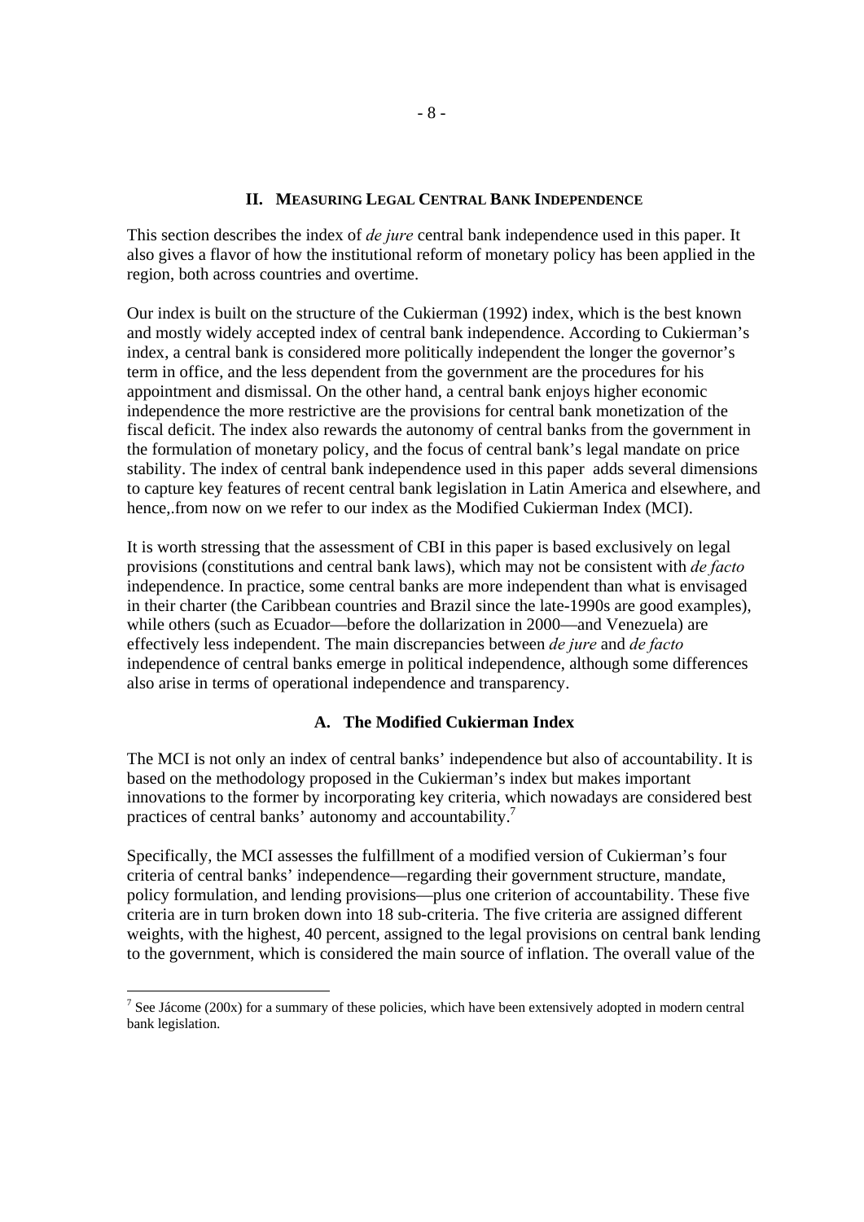### **II. MEASURING LEGAL CENTRAL BANK INDEPENDENCE**

This section describes the index of *de jure* central bank independence used in this paper. It also gives a flavor of how the institutional reform of monetary policy has been applied in the region, both across countries and overtime.

Our index is built on the structure of the Cukierman (1992) index, which is the best known and mostly widely accepted index of central bank independence. According to Cukierman's index, a central bank is considered more politically independent the longer the governor's term in office, and the less dependent from the government are the procedures for his appointment and dismissal. On the other hand, a central bank enjoys higher economic independence the more restrictive are the provisions for central bank monetization of the fiscal deficit. The index also rewards the autonomy of central banks from the government in the formulation of monetary policy, and the focus of central bank's legal mandate on price stability. The index of central bank independence used in this paper adds several dimensions to capture key features of recent central bank legislation in Latin America and elsewhere, and hence,.from now on we refer to our index as the Modified Cukierman Index (MCI).

It is worth stressing that the assessment of CBI in this paper is based exclusively on legal provisions (constitutions and central bank laws), which may not be consistent with *de facto* independence. In practice, some central banks are more independent than what is envisaged in their charter (the Caribbean countries and Brazil since the late-1990s are good examples), while others (such as Ecuador—before the dollarization in 2000—and Venezuela) are effectively less independent. The main discrepancies between *de jure* and *de facto* independence of central banks emerge in political independence, although some differences also arise in terms of operational independence and transparency.

### **A. The Modified Cukierman Index**

The MCI is not only an index of central banks' independence but also of accountability. It is based on the methodology proposed in the Cukierman's index but makes important innovations to the former by incorporating key criteria, which nowadays are considered best practices of central banks' autonomy and accountability.<sup>7</sup>

Specifically, the MCI assesses the fulfillment of a modified version of Cukierman's four criteria of central banks' independence—regarding their government structure, mandate, policy formulation, and lending provisions—plus one criterion of accountability. These five criteria are in turn broken down into 18 sub-criteria. The five criteria are assigned different weights, with the highest, 40 percent, assigned to the legal provisions on central bank lending to the government, which is considered the main source of inflation. The overall value of the

<sup>&</sup>lt;sup>7</sup> See Jácome (200x) for a summary of these policies, which have been extensively adopted in modern central bank legislation.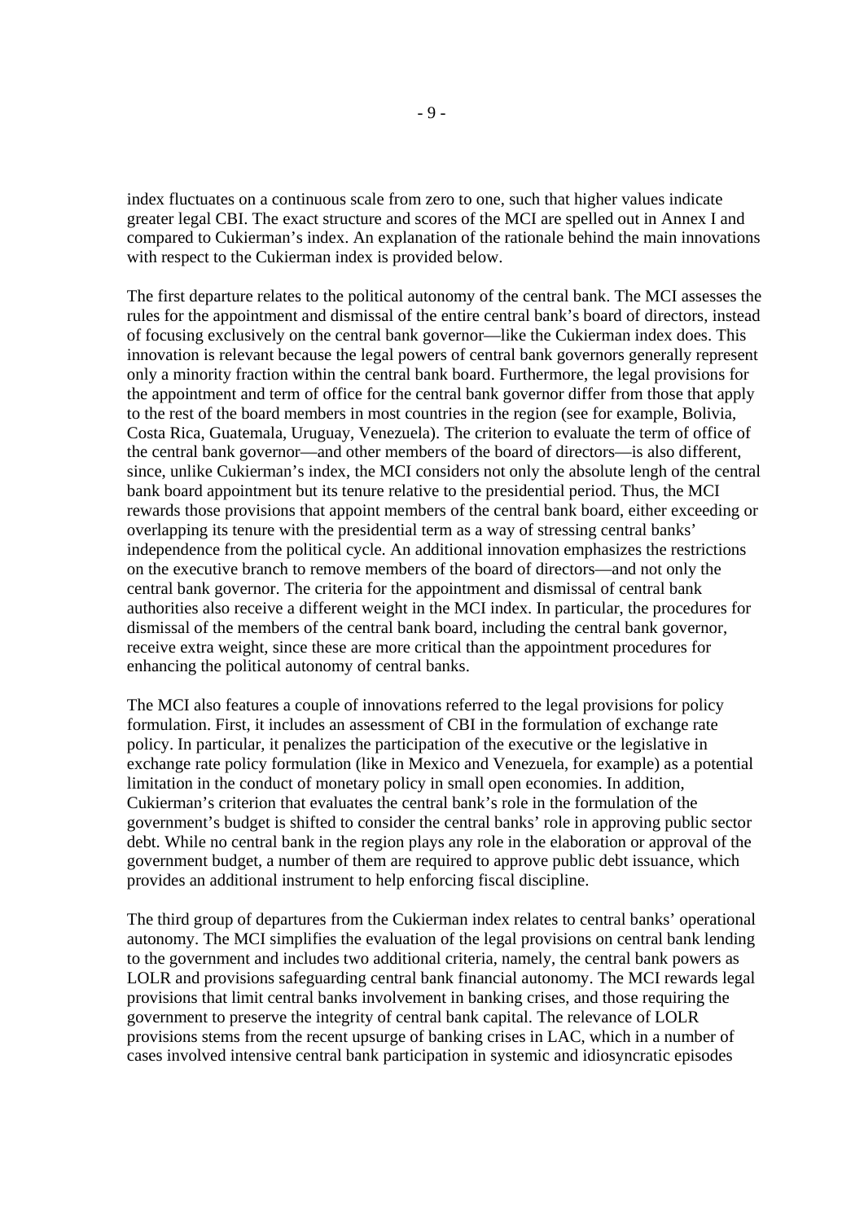index fluctuates on a continuous scale from zero to one, such that higher values indicate greater legal CBI. The exact structure and scores of the MCI are spelled out in Annex I and compared to Cukierman's index. An explanation of the rationale behind the main innovations with respect to the Cukierman index is provided below.

The first departure relates to the political autonomy of the central bank. The MCI assesses the rules for the appointment and dismissal of the entire central bank's board of directors, instead of focusing exclusively on the central bank governor—like the Cukierman index does. This innovation is relevant because the legal powers of central bank governors generally represent only a minority fraction within the central bank board. Furthermore, the legal provisions for the appointment and term of office for the central bank governor differ from those that apply to the rest of the board members in most countries in the region (see for example, Bolivia, Costa Rica, Guatemala, Uruguay, Venezuela). The criterion to evaluate the term of office of the central bank governor—and other members of the board of directors—is also different, since, unlike Cukierman's index, the MCI considers not only the absolute lengh of the central bank board appointment but its tenure relative to the presidential period. Thus, the MCI rewards those provisions that appoint members of the central bank board, either exceeding or overlapping its tenure with the presidential term as a way of stressing central banks' independence from the political cycle. An additional innovation emphasizes the restrictions on the executive branch to remove members of the board of directors—and not only the central bank governor. The criteria for the appointment and dismissal of central bank authorities also receive a different weight in the MCI index. In particular, the procedures for dismissal of the members of the central bank board, including the central bank governor, receive extra weight, since these are more critical than the appointment procedures for enhancing the political autonomy of central banks.

The MCI also features a couple of innovations referred to the legal provisions for policy formulation. First, it includes an assessment of CBI in the formulation of exchange rate policy. In particular, it penalizes the participation of the executive or the legislative in exchange rate policy formulation (like in Mexico and Venezuela, for example) as a potential limitation in the conduct of monetary policy in small open economies. In addition, Cukierman's criterion that evaluates the central bank's role in the formulation of the government's budget is shifted to consider the central banks' role in approving public sector debt. While no central bank in the region plays any role in the elaboration or approval of the government budget, a number of them are required to approve public debt issuance, which provides an additional instrument to help enforcing fiscal discipline.

The third group of departures from the Cukierman index relates to central banks' operational autonomy. The MCI simplifies the evaluation of the legal provisions on central bank lending to the government and includes two additional criteria, namely, the central bank powers as LOLR and provisions safeguarding central bank financial autonomy. The MCI rewards legal provisions that limit central banks involvement in banking crises, and those requiring the government to preserve the integrity of central bank capital. The relevance of LOLR provisions stems from the recent upsurge of banking crises in LAC, which in a number of cases involved intensive central bank participation in systemic and idiosyncratic episodes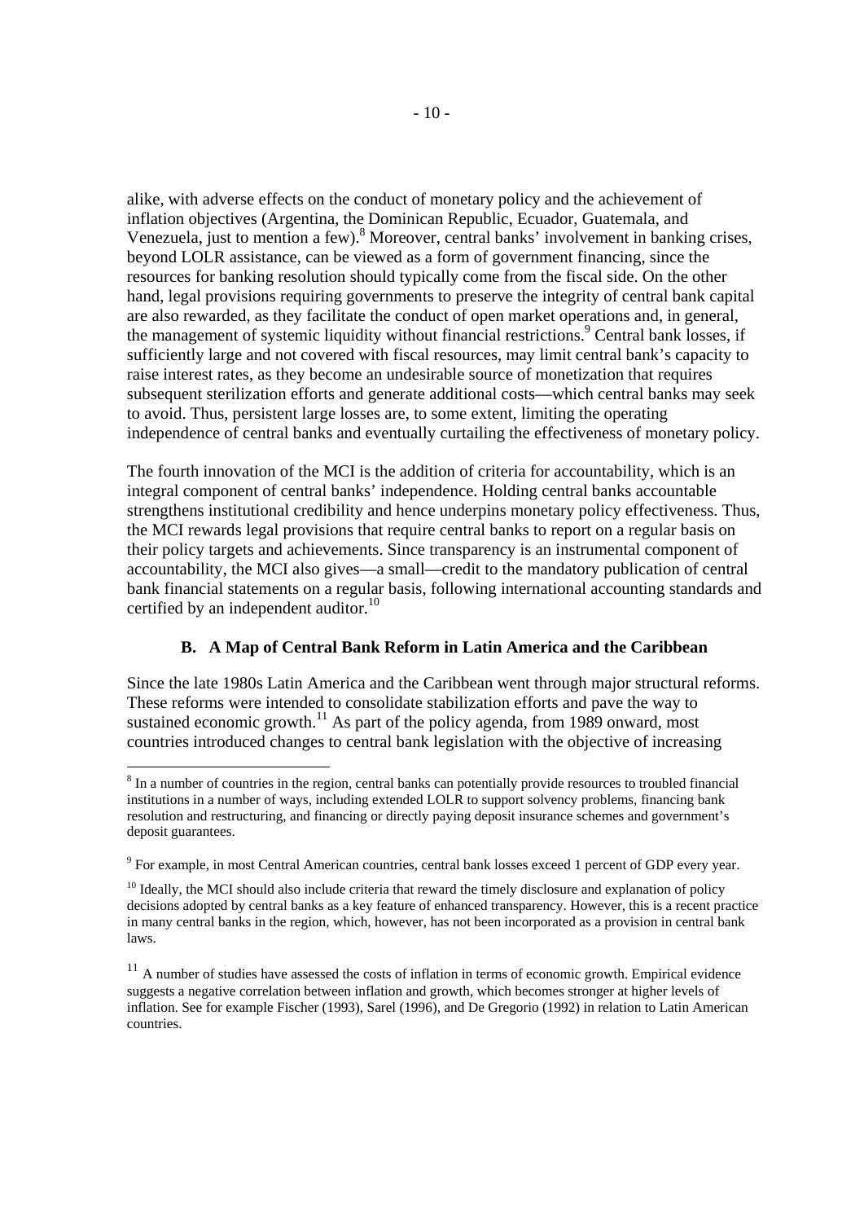alike, with adverse effects on the conduct of monetary policy and the achievement of inflation objectives (Argentina, the Dominican Republic, Ecuador, Guatemala, and Venezuela, just to mention a few).<sup>8</sup> Moreover, central banks' involvement in banking crises, beyond LOLR assistance, can be viewed as a form of government financing, since the resources for banking resolution should typically come from the fiscal side. On the other hand, legal provisions requiring governments to preserve the integrity of central bank capital are also rewarded, as they facilitate the conduct of open market operations and, in general, the management of systemic liquidity without financial restrictions.<sup>9</sup> Central bank losses, if sufficiently large and not covered with fiscal resources, may limit central bank's capacity to raise interest rates, as they become an undesirable source of monetization that requires subsequent sterilization efforts and generate additional costs—which central banks may seek to avoid. Thus, persistent large losses are, to some extent, limiting the operating independence of central banks and eventually curtailing the effectiveness of monetary policy.

The fourth innovation of the MCI is the addition of criteria for accountability, which is an integral component of central banks' independence. Holding central banks accountable strengthens institutional credibility and hence underpins monetary policy effectiveness. Thus, the MCI rewards legal provisions that require central banks to report on a regular basis on their policy targets and achievements. Since transparency is an instrumental component of accountability, the MCI also gives—a small—credit to the mandatory publication of central bank financial statements on a regular basis, following international accounting standards and certified by an independent auditor.<sup>10</sup>

### **B. A Map of Central Bank Reform in Latin America and the Caribbean**

Since the late 1980s Latin America and the Caribbean went through major structural reforms. These reforms were intended to consolidate stabilization efforts and pave the way to sustained economic growth.<sup>11</sup> As part of the policy agenda, from 1989 onward, most countries introduced changes to central bank legislation with the objective of increasing

<sup>&</sup>lt;sup>8</sup> In a number of countries in the region, central banks can potentially provide resources to troubled financial institutions in a number of ways, including extended LOLR to support solvency problems, financing bank resolution and restructuring, and financing or directly paying deposit insurance schemes and government's deposit guarantees.

<sup>&</sup>lt;sup>9</sup> For example, in most Central American countries, central bank losses exceed 1 percent of GDP every year.

 $10$  Ideally, the MCI should also include criteria that reward the timely disclosure and explanation of policy decisions adopted by central banks as a key feature of enhanced transparency. However, this is a recent practice in many central banks in the region, which, however, has not been incorporated as a provision in central bank laws.

 $11$  A number of studies have assessed the costs of inflation in terms of economic growth. Empirical evidence suggests a negative correlation between inflation and growth, which becomes stronger at higher levels of inflation. See for example Fischer (1993), Sarel (1996), and De Gregorio (1992) in relation to Latin American countries.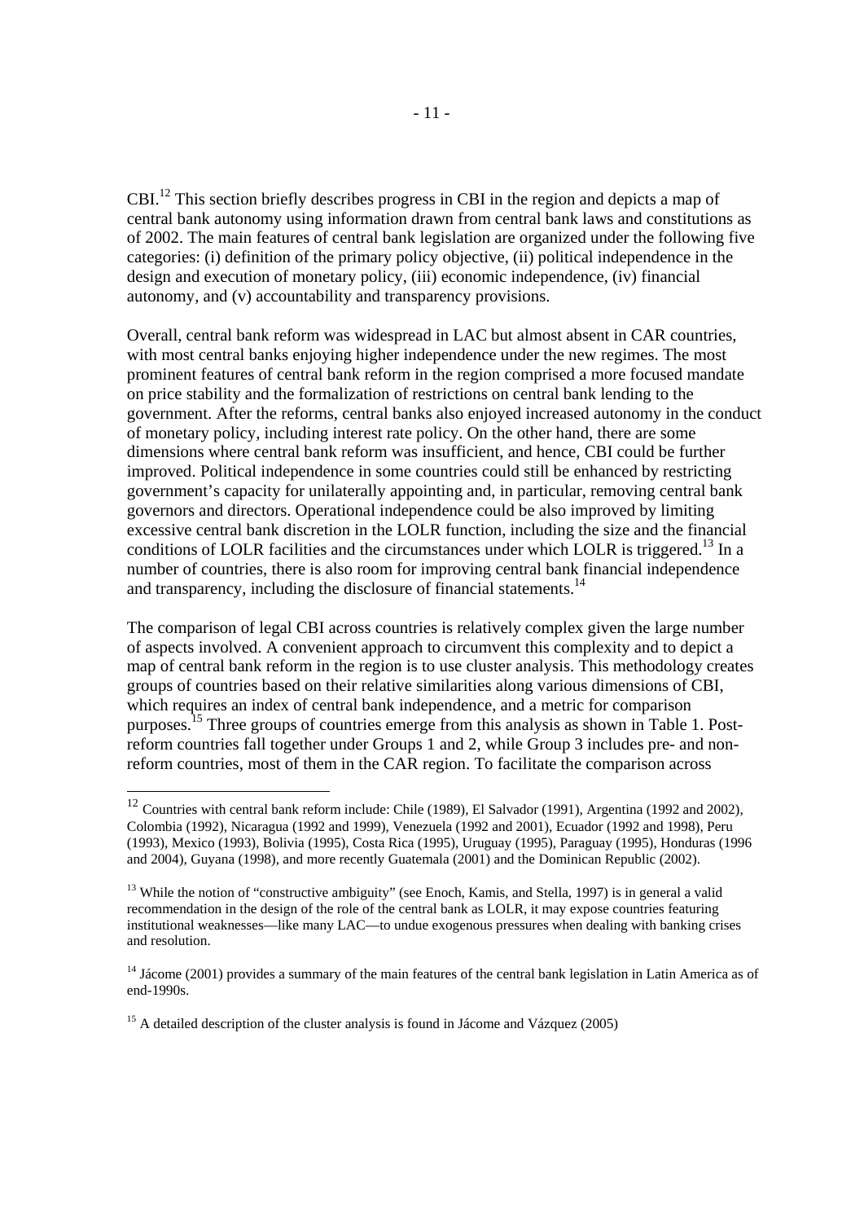CBI.12 This section briefly describes progress in CBI in the region and depicts a map of central bank autonomy using information drawn from central bank laws and constitutions as of 2002. The main features of central bank legislation are organized under the following five categories: (i) definition of the primary policy objective, (ii) political independence in the design and execution of monetary policy, (iii) economic independence, (iv) financial autonomy, and (v) accountability and transparency provisions.

Overall, central bank reform was widespread in LAC but almost absent in CAR countries, with most central banks enjoying higher independence under the new regimes. The most prominent features of central bank reform in the region comprised a more focused mandate on price stability and the formalization of restrictions on central bank lending to the government. After the reforms, central banks also enjoyed increased autonomy in the conduct of monetary policy, including interest rate policy. On the other hand, there are some dimensions where central bank reform was insufficient, and hence, CBI could be further improved. Political independence in some countries could still be enhanced by restricting government's capacity for unilaterally appointing and, in particular, removing central bank governors and directors. Operational independence could be also improved by limiting excessive central bank discretion in the LOLR function, including the size and the financial conditions of LOLR facilities and the circumstances under which LOLR is triggered.<sup>13</sup> In a number of countries, there is also room for improving central bank financial independence and transparency, including the disclosure of financial statements.<sup>14</sup>

The comparison of legal CBI across countries is relatively complex given the large number of aspects involved. A convenient approach to circumvent this complexity and to depict a map of central bank reform in the region is to use cluster analysis. This methodology creates groups of countries based on their relative similarities along various dimensions of CBI, which requires an index of central bank independence, and a metric for comparison purposes.15 Three groups of countries emerge from this analysis as shown in Table 1. Postreform countries fall together under Groups 1 and 2, while Group 3 includes pre- and nonreform countries, most of them in the CAR region. To facilitate the comparison across

 $12$  Countries with central bank reform include: Chile (1989), El Salvador (1991), Argentina (1992 and 2002), Colombia (1992), Nicaragua (1992 and 1999), Venezuela (1992 and 2001), Ecuador (1992 and 1998), Peru (1993), Mexico (1993), Bolivia (1995), Costa Rica (1995), Uruguay (1995), Paraguay (1995), Honduras (1996 and 2004), Guyana (1998), and more recently Guatemala (2001) and the Dominican Republic (2002).

<sup>&</sup>lt;sup>13</sup> While the notion of "constructive ambiguity" (see Enoch, Kamis, and Stella, 1997) is in general a valid recommendation in the design of the role of the central bank as LOLR, it may expose countries featuring institutional weaknesses—like many LAC—to undue exogenous pressures when dealing with banking crises and resolution.

<sup>&</sup>lt;sup>14</sup> Jácome (2001) provides a summary of the main features of the central bank legislation in Latin America as of end-1990s.

<sup>&</sup>lt;sup>15</sup> A detailed description of the cluster analysis is found in Jácome and Vázquez (2005)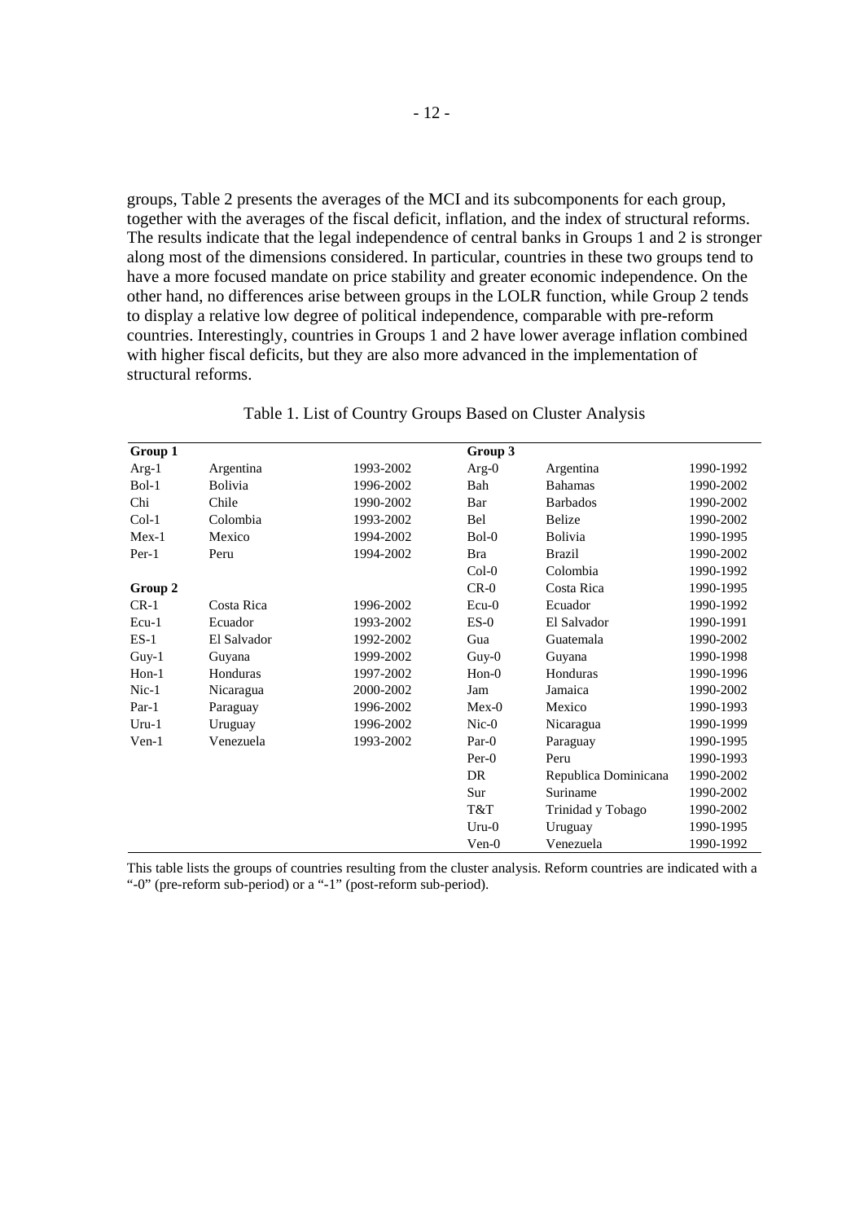groups, Table 2 presents the averages of the MCI and its subcomponents for each group, together with the averages of the fiscal deficit, inflation, and the index of structural reforms. The results indicate that the legal independence of central banks in Groups 1 and 2 is stronger along most of the dimensions considered. In particular, countries in these two groups tend to have a more focused mandate on price stability and greater economic independence. On the other hand, no differences arise between groups in the LOLR function, while Group 2 tends to display a relative low degree of political independence, comparable with pre-reform countries. Interestingly, countries in Groups 1 and 2 have lower average inflation combined with higher fiscal deficits, but they are also more advanced in the implementation of structural reforms.

| Group 1     |                |           | Group 3     |                      |           |
|-------------|----------------|-----------|-------------|----------------------|-----------|
| $Arg-1$     | Argentina      | 1993-2002 | $Arg-0$     | Argentina            | 1990-1992 |
| $Bo1-1$     | <b>Bolivia</b> | 1996-2002 | Bah         | <b>Bahamas</b>       | 1990-2002 |
| Chi         | Chile          | 1990-2002 | Bar         | <b>Barbados</b>      | 1990-2002 |
| $Col-1$     | Colombia       | 1993-2002 | <b>Bel</b>  | <b>Belize</b>        | 1990-2002 |
| $Mex-1$     | Mexico         | 1994-2002 | $BoI-0$     | <b>Bolivia</b>       | 1990-1995 |
| $Per-1$     | Peru           | 1994-2002 | <b>Bra</b>  | <b>Brazil</b>        | 1990-2002 |
|             |                |           | $Col-0$     | Colombia             | 1990-1992 |
| Group 2     |                |           | $CR-0$      | Costa Rica           | 1990-1995 |
| $CR-1$      | Costa Rica     | 1996-2002 | $Ecu-0$     | Ecuador              | 1990-1992 |
| $Ecu-1$     | Ecuador        | 1993-2002 | $ES-0$      | El Salvador          | 1990-1991 |
| $ES-1$      | El Salvador    | 1992-2002 | Gua         | Guatemala            | 1990-2002 |
| $Guy-1$     | Guyana         | 1999-2002 | $G$ uy- $0$ | Guyana               | 1990-1998 |
| $H$ on- $1$ | Honduras       | 1997-2002 | $Hon-0$     | Honduras             | 1990-1996 |
| $Nic-1$     | Nicaragua      | 2000-2002 | Jam         | Jamaica              | 1990-2002 |
| $Par-1$     | Paraguay       | 1996-2002 | $Mex-0$     | Mexico               | 1990-1993 |
| $Uru-1$     | Uruguay        | 1996-2002 | $Nic-0$     | Nicaragua            | 1990-1999 |
| $Ven-1$     | Venezuela      | 1993-2002 | $Par-0$     | Paraguay             | 1990-1995 |
|             |                |           | $Per-0$     | Peru                 | 1990-1993 |
|             |                |           | DR.         | Republica Dominicana | 1990-2002 |
|             |                |           | Sur         | Suriname             | 1990-2002 |
|             |                |           | T&T         | Trinidad y Tobago    | 1990-2002 |
|             |                |           | $Uru-0$     | Uruguay              | 1990-1995 |
|             |                |           | $Ven-0$     | Venezuela            | 1990-1992 |

Table 1. List of Country Groups Based on Cluster Analysis

This table lists the groups of countries resulting from the cluster analysis. Reform countries are indicated with a "-0" (pre-reform sub-period) or a "-1" (post-reform sub-period).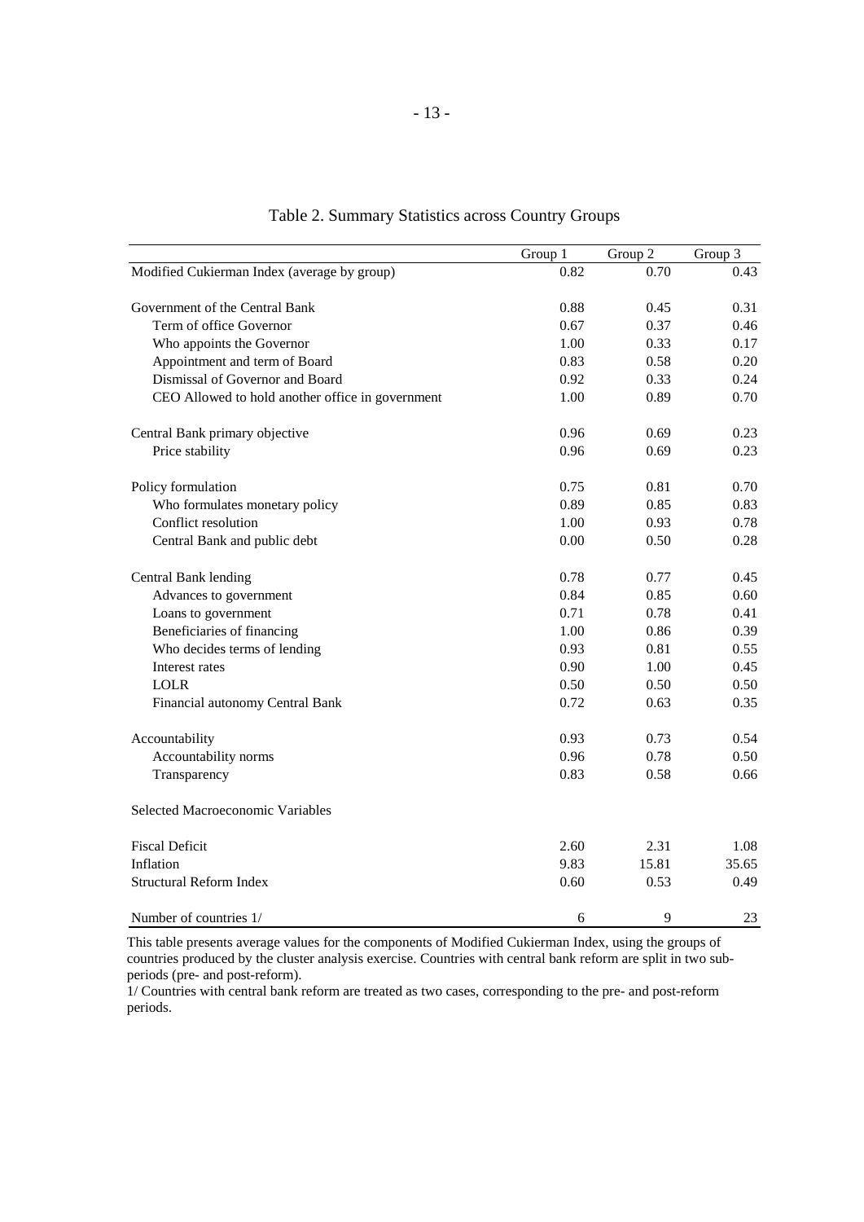|                                                  | Group 1 | Group $\overline{2}$ | Group $\overline{3}$ |
|--------------------------------------------------|---------|----------------------|----------------------|
| Modified Cukierman Index (average by group)      | 0.82    | 0.70                 | 0.43                 |
| Government of the Central Bank                   | 0.88    | 0.45                 | 0.31                 |
| Term of office Governor                          | 0.67    | 0.37                 | 0.46                 |
| Who appoints the Governor                        | 1.00    | 0.33                 | 0.17                 |
| Appointment and term of Board                    | 0.83    | 0.58                 | 0.20                 |
| Dismissal of Governor and Board                  | 0.92    | 0.33                 | 0.24                 |
| CEO Allowed to hold another office in government | 1.00    | 0.89                 | 0.70                 |
| Central Bank primary objective                   | 0.96    | 0.69                 | 0.23                 |
| Price stability                                  | 0.96    | 0.69                 | 0.23                 |
| Policy formulation                               | 0.75    | 0.81                 | 0.70                 |
| Who formulates monetary policy                   | 0.89    | 0.85                 | 0.83                 |
| Conflict resolution                              | 1.00    | 0.93                 | 0.78                 |
| Central Bank and public debt                     | 0.00    | 0.50                 | 0.28                 |
| Central Bank lending                             | 0.78    | 0.77                 | 0.45                 |
| Advances to government                           | 0.84    | 0.85                 | 0.60                 |
| Loans to government                              | 0.71    | 0.78                 | 0.41                 |
| Beneficiaries of financing                       | 1.00    | 0.86                 | 0.39                 |
| Who decides terms of lending                     | 0.93    | 0.81                 | 0.55                 |
| Interest rates                                   | 0.90    | 1.00                 | 0.45                 |
| <b>LOLR</b>                                      | 0.50    | 0.50                 | 0.50                 |
| Financial autonomy Central Bank                  | 0.72    | 0.63                 | 0.35                 |
| Accountability                                   | 0.93    | 0.73                 | 0.54                 |
| Accountability norms                             | 0.96    | 0.78                 | 0.50                 |
| Transparency                                     | 0.83    | 0.58                 | 0.66                 |
| Selected Macroeconomic Variables                 |         |                      |                      |
| <b>Fiscal Deficit</b>                            | 2.60    | 2.31                 | 1.08                 |
| Inflation                                        | 9.83    | 15.81                | 35.65                |
| <b>Structural Reform Index</b>                   | 0.60    | 0.53                 | 0.49                 |
| Number of countries 1/                           | 6       | 9                    | 23                   |

Table 2. Summary Statistics across Country Groups

This table presents average values for the components of Modified Cukierman Index, using the groups of countries produced by the cluster analysis exercise. Countries with central bank reform are split in two subperiods (pre- and post-reform).

1/ Countries with central bank reform are treated as two cases, corresponding to the pre- and post-reform periods.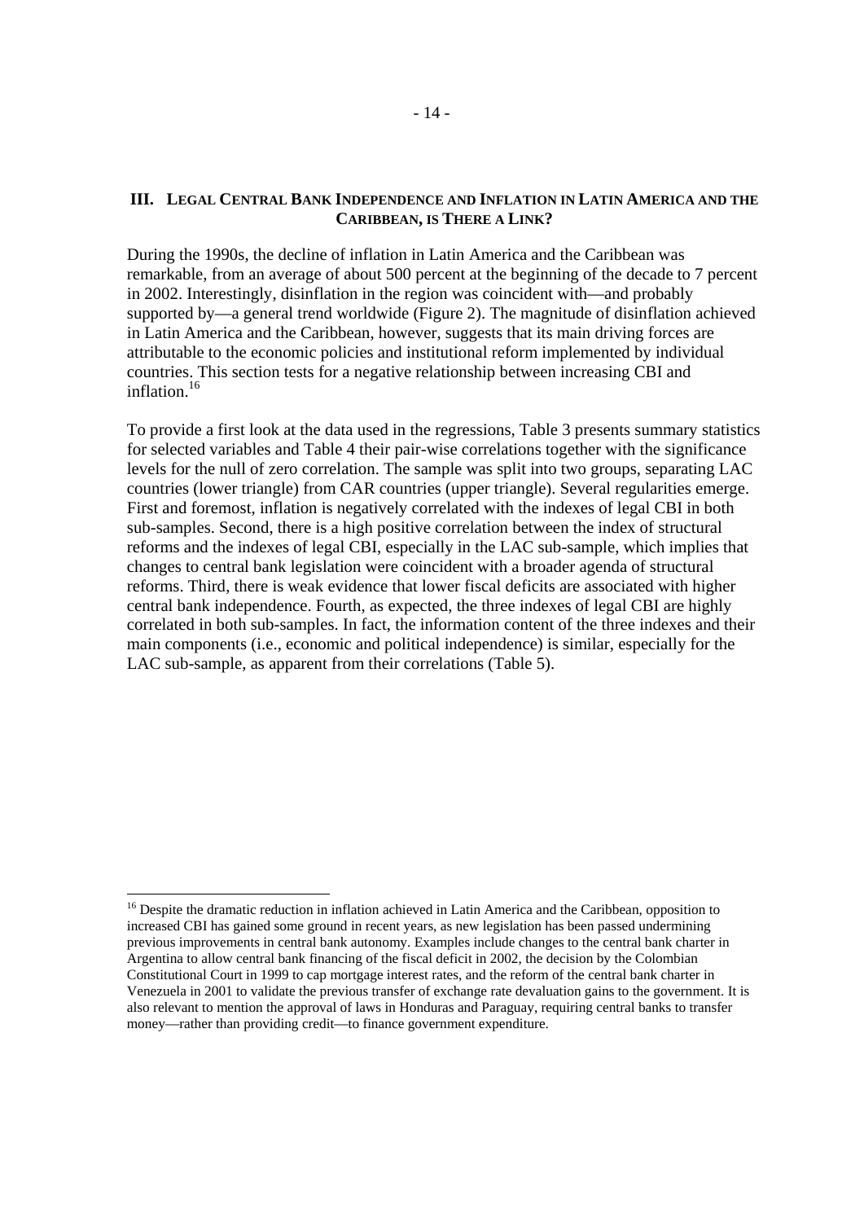### **III. LEGAL CENTRAL BANK INDEPENDENCE AND INFLATION IN LATIN AMERICA AND THE CARIBBEAN, IS THERE A LINK?**

During the 1990s, the decline of inflation in Latin America and the Caribbean was remarkable, from an average of about 500 percent at the beginning of the decade to 7 percent in 2002. Interestingly, disinflation in the region was coincident with—and probably supported by—a general trend worldwide (Figure 2). The magnitude of disinflation achieved in Latin America and the Caribbean, however, suggests that its main driving forces are attributable to the economic policies and institutional reform implemented by individual countries. This section tests for a negative relationship between increasing CBI and inflation.<sup>16</sup>

To provide a first look at the data used in the regressions, Table 3 presents summary statistics for selected variables and Table 4 their pair-wise correlations together with the significance levels for the null of zero correlation. The sample was split into two groups, separating LAC countries (lower triangle) from CAR countries (upper triangle). Several regularities emerge. First and foremost, inflation is negatively correlated with the indexes of legal CBI in both sub-samples. Second, there is a high positive correlation between the index of structural reforms and the indexes of legal CBI, especially in the LAC sub-sample, which implies that changes to central bank legislation were coincident with a broader agenda of structural reforms. Third, there is weak evidence that lower fiscal deficits are associated with higher central bank independence. Fourth, as expected, the three indexes of legal CBI are highly correlated in both sub-samples. In fact, the information content of the three indexes and their main components (i.e., economic and political independence) is similar, especially for the LAC sub-sample, as apparent from their correlations (Table 5).

<sup>&</sup>lt;sup>16</sup> Despite the dramatic reduction in inflation achieved in Latin America and the Caribbean, opposition to increased CBI has gained some ground in recent years, as new legislation has been passed undermining previous improvements in central bank autonomy. Examples include changes to the central bank charter in Argentina to allow central bank financing of the fiscal deficit in 2002, the decision by the Colombian Constitutional Court in 1999 to cap mortgage interest rates, and the reform of the central bank charter in Venezuela in 2001 to validate the previous transfer of exchange rate devaluation gains to the government. It is also relevant to mention the approval of laws in Honduras and Paraguay, requiring central banks to transfer money—rather than providing credit—to finance government expenditure.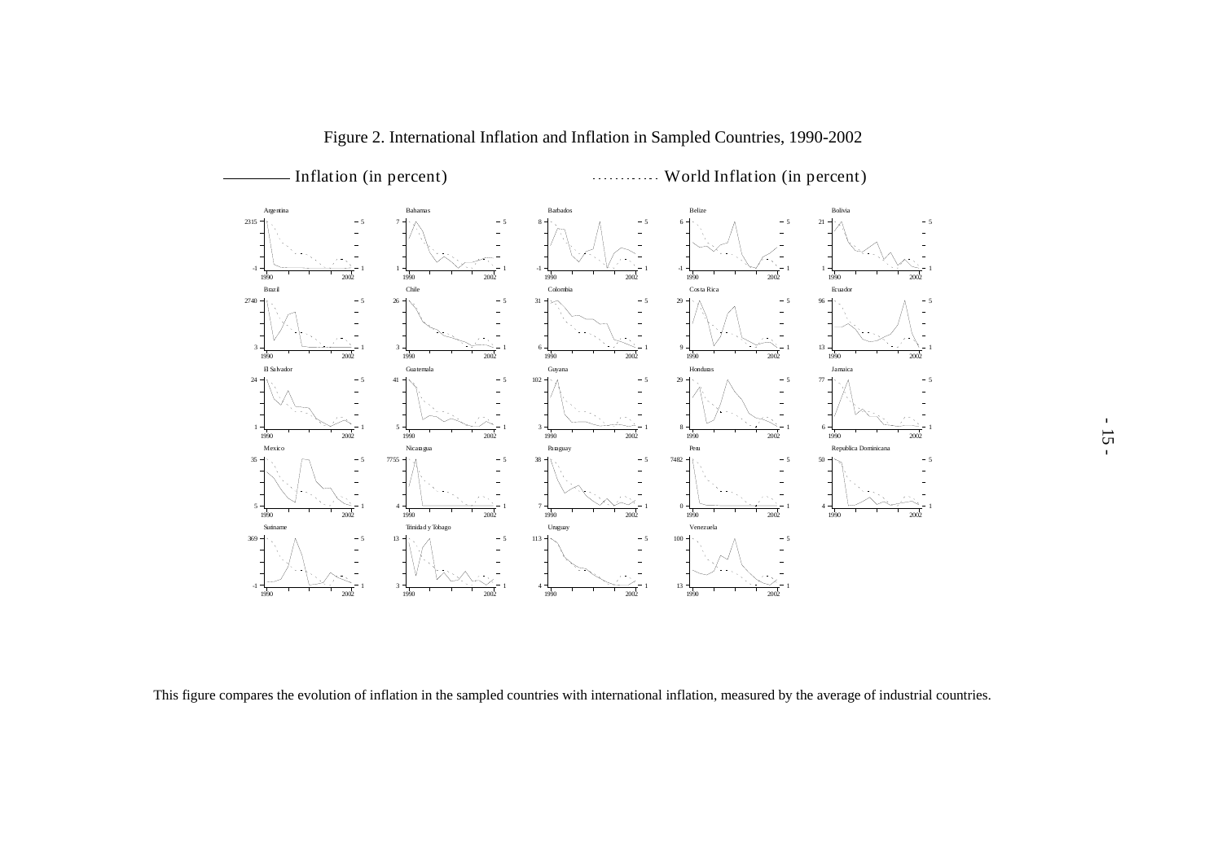

This figure compares the evolution of inflation in the sampled countries with international inflation, measured by the average of industrial countries.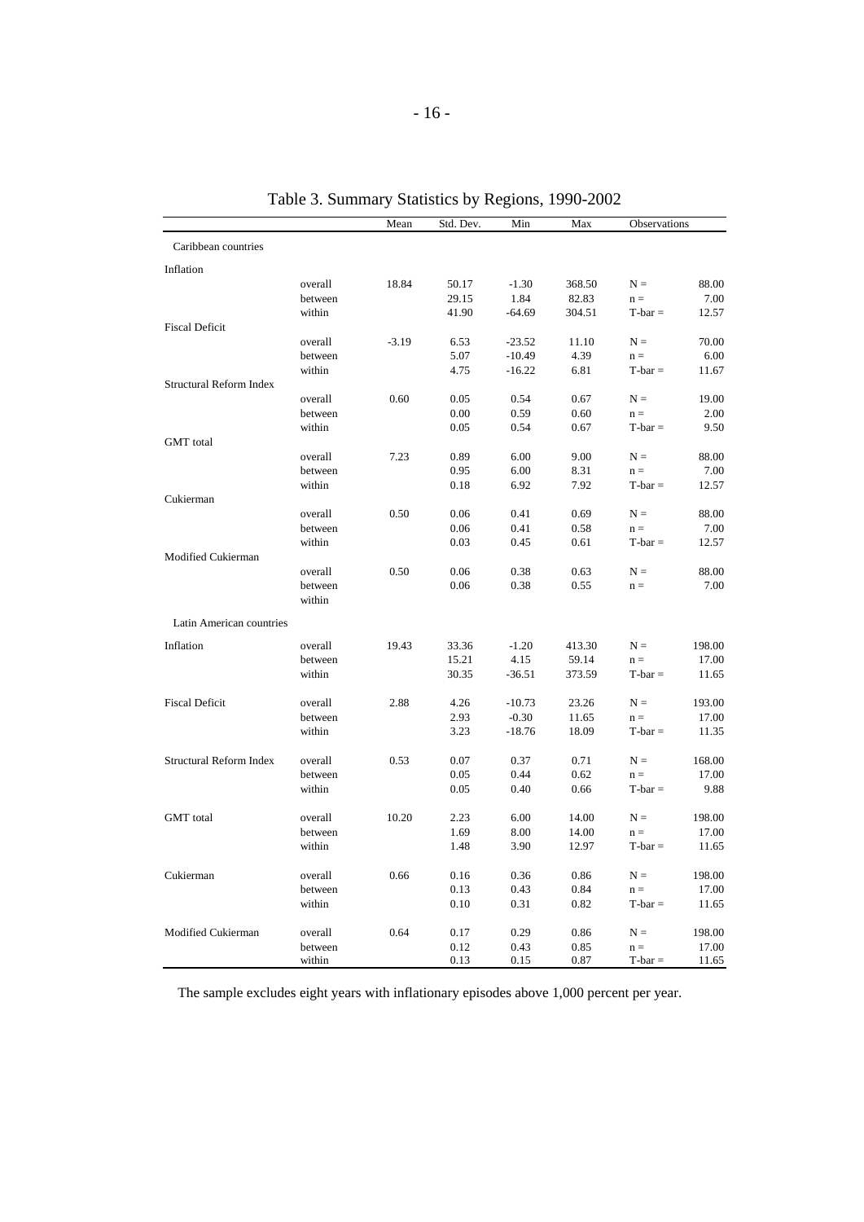|                                |                   | Mean    | Std. Dev. | Min      | Max    | Observations |               |
|--------------------------------|-------------------|---------|-----------|----------|--------|--------------|---------------|
| Caribbean countries            |                   |         |           |          |        |              |               |
| Inflation                      |                   |         |           |          |        |              |               |
|                                | overall           | 18.84   | 50.17     | $-1.30$  | 368.50 | $N =$        | 88.00         |
|                                | between           |         | 29.15     | 1.84     | 82.83  | $n =$        | 7.00          |
|                                | within            |         | 41.90     | $-64.69$ | 304.51 | $T$ -bar $=$ | 12.57         |
| <b>Fiscal Deficit</b>          |                   |         |           |          |        |              |               |
|                                | overall           | $-3.19$ | 6.53      | $-23.52$ | 11.10  | $N =$        | 70.00         |
|                                | between           |         | 5.07      | $-10.49$ | 4.39   | $n =$        | 6.00          |
|                                | within            |         | 4.75      | $-16.22$ | 6.81   | $T-bar =$    | 11.67         |
| Structural Reform Index        |                   |         |           |          |        |              |               |
|                                | overall           | 0.60    | 0.05      | 0.54     | 0.67   | $N =$        | 19.00         |
|                                | between           |         | 0.00      | 0.59     | 0.60   | $n =$        | 2.00          |
|                                | within            |         | 0.05      | 0.54     | 0.67   | $T$ -bar $=$ | 9.50          |
| <b>GMT</b> total               |                   |         |           |          |        |              |               |
|                                | overall           | 7.23    | 0.89      | 6.00     | 9.00   | $N =$        | 88.00         |
|                                | between           |         | 0.95      | 6.00     | 8.31   | $n =$        | 7.00          |
|                                | within            |         | 0.18      | 6.92     | 7.92   | $T-bar =$    | 12.57         |
| Cukierman                      |                   |         |           |          |        |              |               |
|                                | overall           | 0.50    | 0.06      | 0.41     | 0.69   | $N =$        | 88.00         |
|                                | between           |         | 0.06      | 0.41     | 0.58   | $n =$        | 7.00          |
|                                | within            |         | 0.03      | 0.45     | 0.61   | $T-bar =$    | 12.57         |
| Modified Cukierman             |                   |         |           |          |        |              |               |
|                                | overall           | 0.50    | 0.06      | 0.38     | 0.63   | $N =$        | 88.00<br>7.00 |
|                                | between<br>within |         | 0.06      | 0.38     | 0.55   | $n =$        |               |
|                                |                   |         |           |          |        |              |               |
| Latin American countries       |                   |         |           |          |        |              |               |
| Inflation                      | overall           | 19.43   | 33.36     | $-1.20$  | 413.30 | $N =$        | 198.00        |
|                                | between           |         | 15.21     | 4.15     | 59.14  | $n =$        | 17.00         |
|                                | within            |         | 30.35     | $-36.51$ | 373.59 | $T$ -bar $=$ | 11.65         |
|                                |                   |         |           |          |        |              |               |
| <b>Fiscal Deficit</b>          | overall           | 2.88    | 4.26      | $-10.73$ | 23.26  | $N =$        | 193.00        |
|                                | between           |         | 2.93      | $-0.30$  | 11.65  | $n =$        | 17.00         |
|                                | within            |         | 3.23      | $-18.76$ | 18.09  | $T-bar =$    | 11.35         |
|                                |                   |         |           |          |        |              |               |
| <b>Structural Reform Index</b> | overall           | 0.53    | 0.07      | 0.37     | 0.71   | $N =$        | 168.00        |
|                                | between           |         | 0.05      | 0.44     | 0.62   | $n =$        | 17.00         |
|                                | within            |         | 0.05      | 0.40     | 0.66   | $T-bar =$    | 9.88          |
|                                |                   |         |           |          |        |              |               |
| <b>GMT</b> total               | overall           | 10.20   | 2.23      | 6.00     | 14.00  | $N =$        | 198.00        |
|                                | between           |         | 1.69      | 8.00     | 14.00  | $n =$        | 17.00         |
|                                | within            |         | 1.48      | 3.90     | 12.97  | $T-bar =$    | 11.65         |
|                                |                   |         |           |          |        |              |               |
| Cukierman                      | overall           | 0.66    | 0.16      | 0.36     | 0.86   | $N =$        | 198.00        |
|                                | between           |         | 0.13      | 0.43     | 0.84   | $n =$        | 17.00         |
|                                | within            |         | 0.10      | 0.31     | 0.82   | $T-bar =$    | 11.65         |
|                                |                   |         |           |          |        |              |               |
| Modified Cukierman             | overall           | 0.64    | 0.17      | 0.29     | 0.86   | $N =$        | 198.00        |
|                                | between           |         | 0.12      | 0.43     | 0.85   | $n =$        | 17.00         |
|                                | within            |         | 0.13      | 0.15     | 0.87   | $T$ -bar $=$ | 11.65         |

Table 3. Summary Statistics by Regions, 1990-2002

The sample excludes eight years with inflationary episodes above 1,000 percent per year.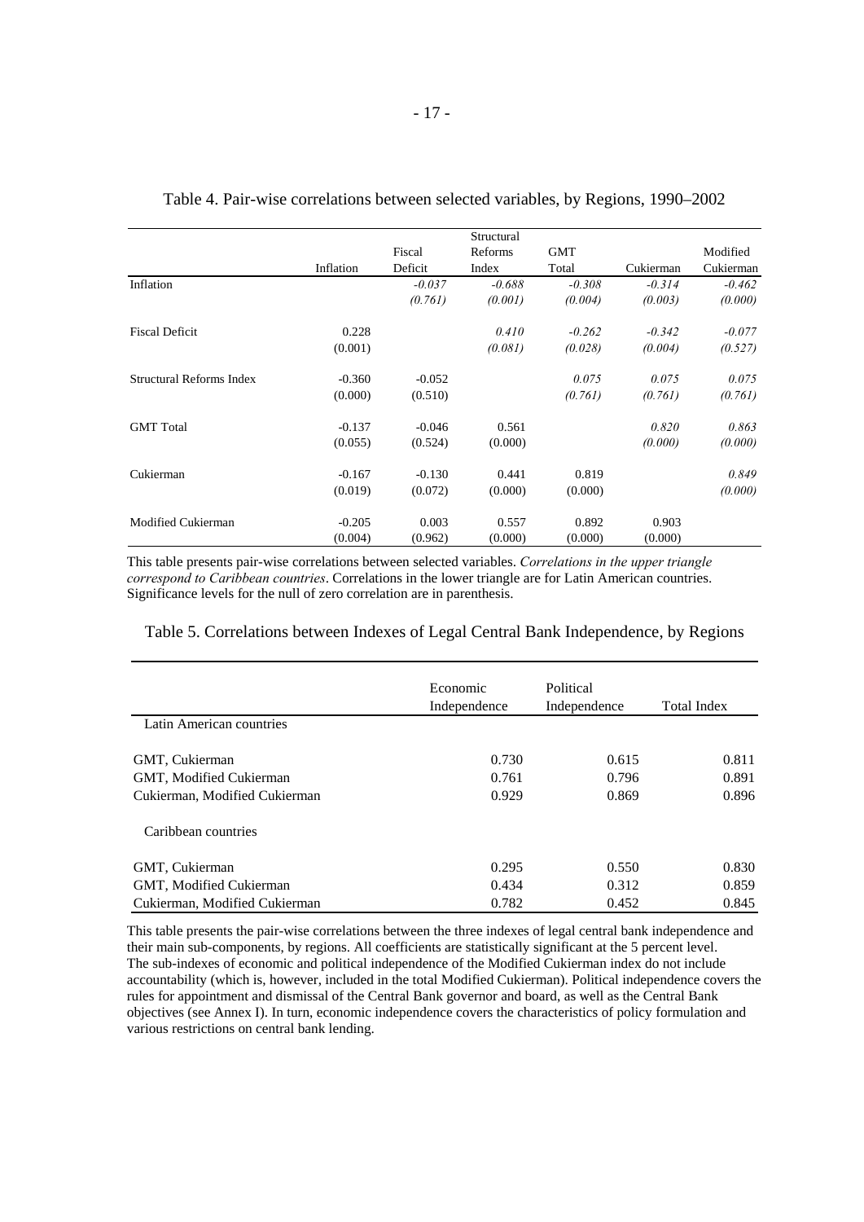|                          |           |          | Structural |            |           |           |
|--------------------------|-----------|----------|------------|------------|-----------|-----------|
|                          |           | Fiscal   | Reforms    | <b>GMT</b> |           | Modified  |
|                          | Inflation | Deficit  | Index      | Total      | Cukierman | Cukierman |
| Inflation                |           | $-0.037$ | $-0.688$   | $-0.308$   | $-0.314$  | $-0.462$  |
|                          |           |          |            |            |           |           |
|                          |           | (0.761)  | (0.001)    | (0.004)    | (0.003)   | (0.000)   |
| <b>Fiscal Deficit</b>    | 0.228     |          | 0.410      | $-0.262$   | $-0.342$  | $-0.077$  |
|                          | (0.001)   |          | (0.081)    | (0.028)    | (0.004)   | (0.527)   |
| Structural Reforms Index | $-0.360$  | $-0.052$ |            | 0.075      | 0.075     | 0.075     |
|                          | (0.000)   | (0.510)  |            | (0.761)    | (0.761)   | (0.761)   |
| <b>GMT</b> Total         | $-0.137$  | $-0.046$ | 0.561      |            | 0.820     | 0.863     |
|                          |           |          |            |            |           |           |
|                          | (0.055)   | (0.524)  | (0.000)    |            | (0.000)   | (0.000)   |
| Cukierman                | $-0.167$  | $-0.130$ | 0.441      | 0.819      |           | 0.849     |
|                          | (0.019)   | (0.072)  | (0.000)    | (0.000)    |           | (0.000)   |
| Modified Cukierman       | $-0.205$  | 0.003    | 0.557      | 0.892      | 0.903     |           |
|                          |           |          |            |            |           |           |
|                          | (0.004)   | (0.962)  | (0.000)    | (0.000)    | (0.000)   |           |

#### Table 4. Pair-wise correlations between selected variables, by Regions, 1990–2002

This table presents pair-wise correlations between selected variables. *Correlations in the upper triangle correspond to Caribbean countries*. Correlations in the lower triangle are for Latin American countries. Significance levels for the null of zero correlation are in parenthesis.

#### Table 5. Correlations between Indexes of Legal Central Bank Independence, by Regions

|                               | Economic<br>Independence | Political<br>Independence |       |
|-------------------------------|--------------------------|---------------------------|-------|
| Latin American countries      |                          |                           |       |
| GMT, Cukierman                | 0.730                    | 0.615                     | 0.811 |
| GMT, Modified Cukierman       | 0.761                    | 0.796                     | 0.891 |
| Cukierman, Modified Cukierman | 0.929                    | 0.869                     | 0.896 |
| Caribbean countries           |                          |                           |       |
| GMT, Cukierman                | 0.295                    | 0.550                     | 0.830 |
| GMT, Modified Cukierman       | 0.434                    | 0.312                     | 0.859 |
| Cukierman, Modified Cukierman | 0.782                    | 0.452                     | 0.845 |

This table presents the pair-wise correlations between the three indexes of legal central bank independence and their main sub-components, by regions. All coefficients are statistically significant at the 5 percent level. The sub-indexes of economic and political independence of the Modified Cukierman index do not include accountability (which is, however, included in the total Modified Cukierman). Political independence covers the rules for appointment and dismissal of the Central Bank governor and board, as well as the Central Bank objectives (see Annex I). In turn, economic independence covers the characteristics of policy formulation and various restrictions on central bank lending.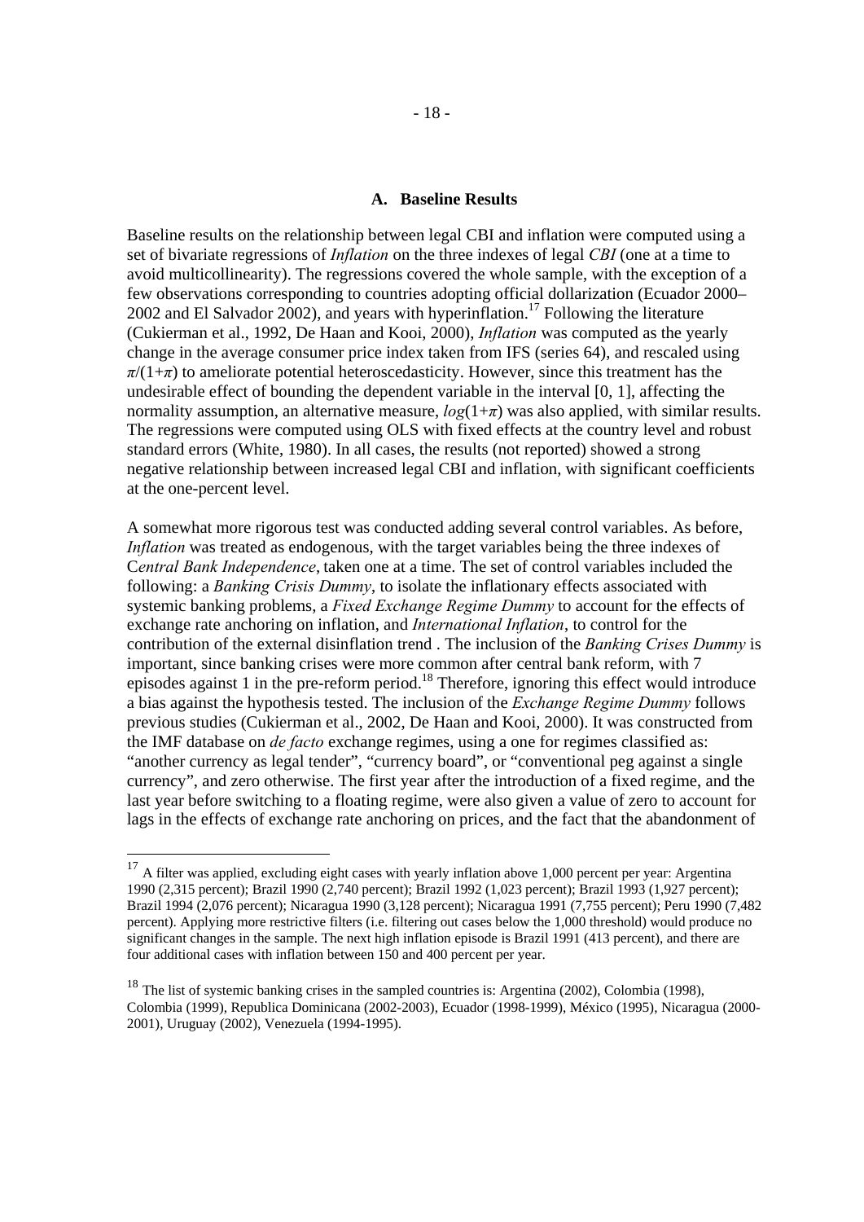#### **A. Baseline Results**

Baseline results on the relationship between legal CBI and inflation were computed using a set of bivariate regressions of *Inflation* on the three indexes of legal *CBI* (one at a time to avoid multicollinearity). The regressions covered the whole sample, with the exception of a few observations corresponding to countries adopting official dollarization (Ecuador 2000– 2002 and El Salvador 2002), and years with hyperinflation.<sup>17</sup> Following the literature (Cukierman et al., 1992, De Haan and Kooi, 2000), *Inflation* was computed as the yearly change in the average consumer price index taken from IFS (series 64), and rescaled using  $\pi/(1+\pi)$  to ameliorate potential heteroscedasticity. However, since this treatment has the undesirable effect of bounding the dependent variable in the interval [0, 1], affecting the normality assumption, an alternative measure,  $log(1+\pi)$  was also applied, with similar results. The regressions were computed using OLS with fixed effects at the country level and robust standard errors (White, 1980). In all cases, the results (not reported) showed a strong negative relationship between increased legal CBI and inflation, with significant coefficients at the one-percent level.

A somewhat more rigorous test was conducted adding several control variables. As before, *Inflation* was treated as endogenous, with the target variables being the three indexes of C*entral Bank Independence*, taken one at a time. The set of control variables included the following: a *Banking Crisis Dummy*, to isolate the inflationary effects associated with systemic banking problems, a *Fixed Exchange Regime Dummy* to account for the effects of exchange rate anchoring on inflation, and *International Inflation*, to control for the contribution of the external disinflation trend . The inclusion of the *Banking Crises Dummy* is important, since banking crises were more common after central bank reform, with 7 episodes against 1 in the pre-reform period.<sup>18</sup> Therefore, ignoring this effect would introduce a bias against the hypothesis tested. The inclusion of the *Exchange Regime Dummy* follows previous studies (Cukierman et al., 2002, De Haan and Kooi, 2000). It was constructed from the IMF database on *de facto* exchange regimes, using a one for regimes classified as: "another currency as legal tender", "currency board", or "conventional peg against a single currency", and zero otherwise. The first year after the introduction of a fixed regime, and the last year before switching to a floating regime, were also given a value of zero to account for lags in the effects of exchange rate anchoring on prices, and the fact that the abandonment of

 $17$  A filter was applied, excluding eight cases with yearly inflation above 1,000 percent per year: Argentina 1990 (2,315 percent); Brazil 1990 (2,740 percent); Brazil 1992 (1,023 percent); Brazil 1993 (1,927 percent); Brazil 1994 (2,076 percent); Nicaragua 1990 (3,128 percent); Nicaragua 1991 (7,755 percent); Peru 1990 (7,482 percent). Applying more restrictive filters (i.e. filtering out cases below the 1,000 threshold) would produce no significant changes in the sample. The next high inflation episode is Brazil 1991 (413 percent), and there are four additional cases with inflation between 150 and 400 percent per year.

<sup>&</sup>lt;sup>18</sup> The list of systemic banking crises in the sampled countries is: Argentina (2002), Colombia (1998), Colombia (1999), Republica Dominicana (2002-2003), Ecuador (1998-1999), México (1995), Nicaragua (2000- 2001), Uruguay (2002), Venezuela (1994-1995).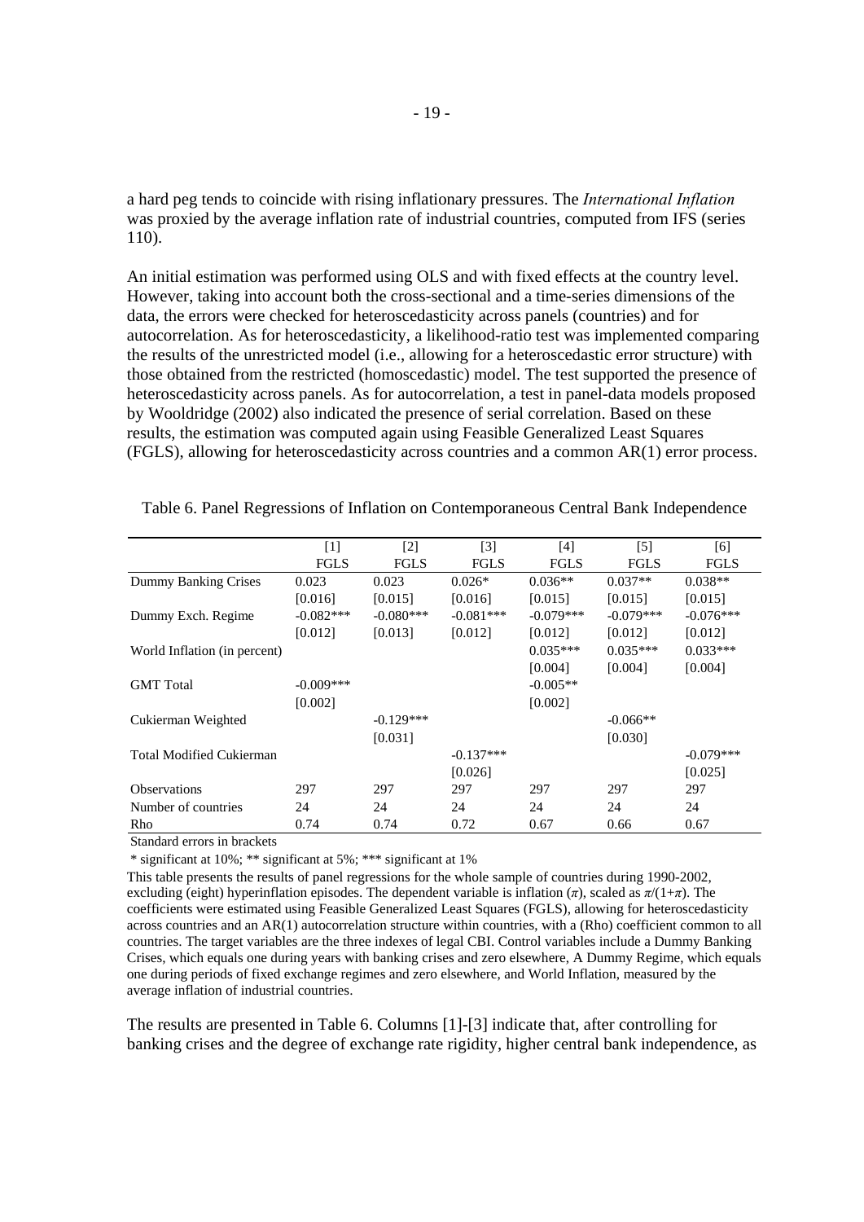a hard peg tends to coincide with rising inflationary pressures. The *International Inflation* was proxied by the average inflation rate of industrial countries, computed from IFS (series 110).

An initial estimation was performed using OLS and with fixed effects at the country level. However, taking into account both the cross-sectional and a time-series dimensions of the data, the errors were checked for heteroscedasticity across panels (countries) and for autocorrelation. As for heteroscedasticity, a likelihood-ratio test was implemented comparing the results of the unrestricted model (i.e., allowing for a heteroscedastic error structure) with those obtained from the restricted (homoscedastic) model. The test supported the presence of heteroscedasticity across panels. As for autocorrelation, a test in panel-data models proposed by Wooldridge (2002) also indicated the presence of serial correlation. Based on these results, the estimation was computed again using Feasible Generalized Least Squares (FGLS), allowing for heteroscedasticity across countries and a common AR(1) error process.

|                                 | $\lceil 1 \rceil$ | $\lceil 2 \rceil$ | $\lceil 3 \rceil$ | [4]         | $[5]$       | [6]         |
|---------------------------------|-------------------|-------------------|-------------------|-------------|-------------|-------------|
|                                 | <b>FGLS</b>       | <b>FGLS</b>       | <b>FGLS</b>       | <b>FGLS</b> | <b>FGLS</b> | <b>FGLS</b> |
| Dummy Banking Crises            | 0.023             | 0.023             | $0.026*$          | $0.036**$   | $0.037**$   | $0.038**$   |
|                                 | [0.016]           | [0.015]           | [0.016]           | [0.015]     | [0.015]     | [0.015]     |
| Dummy Exch. Regime              | $-0.082***$       | $-0.080***$       | $-0.081***$       | $-0.079***$ | $-0.079***$ | $-0.076***$ |
|                                 | [0.012]           | [0.013]           | [0.012]           | [0.012]     | [0.012]     | [0.012]     |
| World Inflation (in percent)    |                   |                   |                   | $0.035***$  | $0.035***$  | $0.033***$  |
|                                 |                   |                   |                   | [0.004]     | [0.004]     | [0.004]     |
| <b>GMT</b> Total                | $-0.009***$       |                   |                   | $-0.005**$  |             |             |
|                                 | [0.002]           |                   |                   | [0.002]     |             |             |
| Cukierman Weighted              |                   | $-0.129***$       |                   |             | $-0.066**$  |             |
|                                 |                   | [0.031]           |                   |             | [0.030]     |             |
| <b>Total Modified Cukierman</b> |                   |                   | $-0.137***$       |             |             | $-0.079***$ |
|                                 |                   |                   | [0.026]           |             |             | [0.025]     |
| <b>Observations</b>             | 297               | 297               | 297               | 297         | 297         | 297         |
| Number of countries             | 24                | 24                | 24                | 24          | 24          | 24          |
| Rho                             | 0.74              | 0.74              | 0.72              | 0.67        | 0.66        | 0.67        |

Table 6. Panel Regressions of Inflation on Contemporaneous Central Bank Independence

Standard errors in brackets

\* significant at 10%; \*\* significant at 5%; \*\*\* significant at 1%

This table presents the results of panel regressions for the whole sample of countries during 1990-2002, excluding (eight) hyperinflation episodes. The dependent variable is inflation (*π*), scaled as *π*/(1+*π*). The coefficients were estimated using Feasible Generalized Least Squares (FGLS), allowing for heteroscedasticity across countries and an AR(1) autocorrelation structure within countries, with a (Rho) coefficient common to all countries. The target variables are the three indexes of legal CBI. Control variables include a Dummy Banking Crises, which equals one during years with banking crises and zero elsewhere, A Dummy Regime, which equals one during periods of fixed exchange regimes and zero elsewhere, and World Inflation, measured by the average inflation of industrial countries.

The results are presented in Table 6. Columns [1]-[3] indicate that, after controlling for banking crises and the degree of exchange rate rigidity, higher central bank independence, as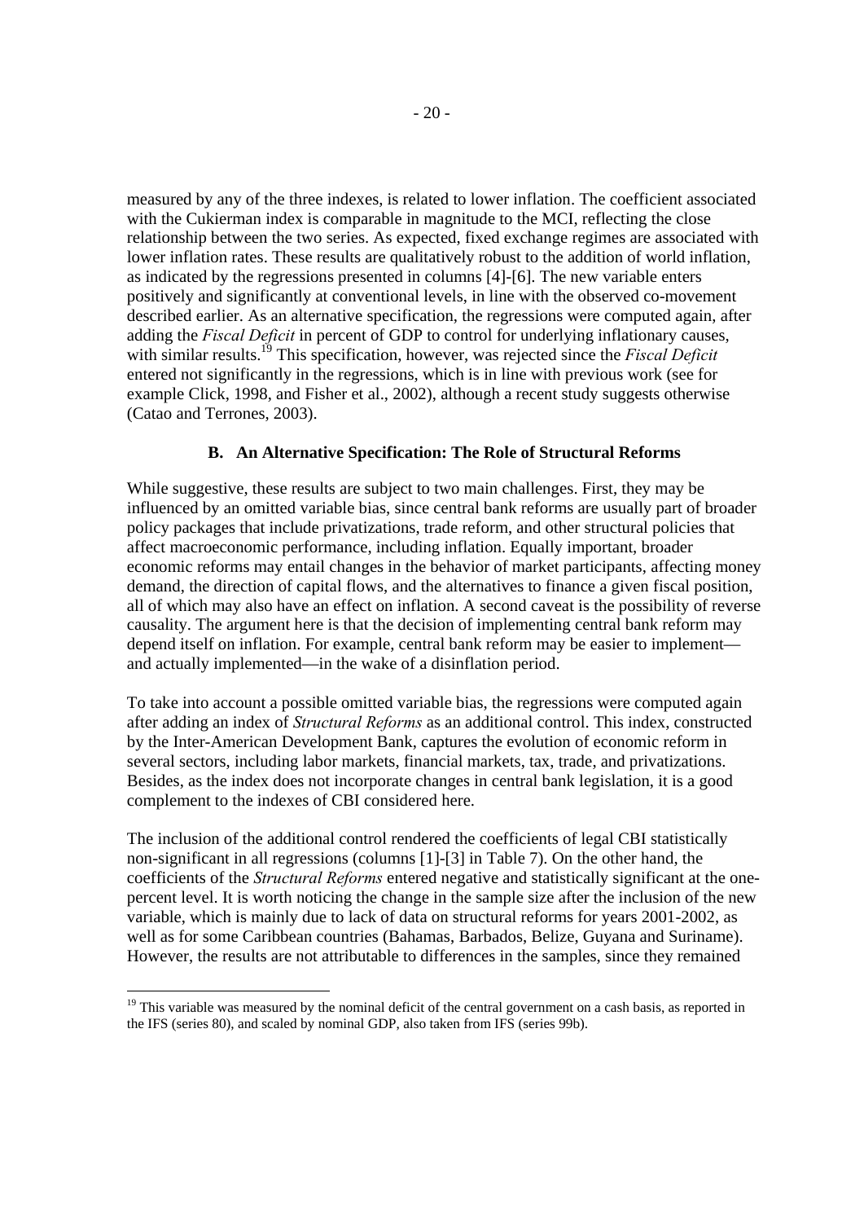measured by any of the three indexes, is related to lower inflation. The coefficient associated with the Cukierman index is comparable in magnitude to the MCI, reflecting the close relationship between the two series. As expected, fixed exchange regimes are associated with lower inflation rates. These results are qualitatively robust to the addition of world inflation, as indicated by the regressions presented in columns [4]-[6]. The new variable enters positively and significantly at conventional levels, in line with the observed co-movement described earlier. As an alternative specification, the regressions were computed again, after adding the *Fiscal Deficit* in percent of GDP to control for underlying inflationary causes, with similar results.<sup>19</sup> This specification, however, was rejected since the *Fiscal Deficit* entered not significantly in the regressions, which is in line with previous work (see for example Click, 1998, and Fisher et al., 2002), although a recent study suggests otherwise (Catao and Terrones, 2003).

### **B. An Alternative Specification: The Role of Structural Reforms**

While suggestive, these results are subject to two main challenges. First, they may be influenced by an omitted variable bias, since central bank reforms are usually part of broader policy packages that include privatizations, trade reform, and other structural policies that affect macroeconomic performance, including inflation. Equally important, broader economic reforms may entail changes in the behavior of market participants, affecting money demand, the direction of capital flows, and the alternatives to finance a given fiscal position, all of which may also have an effect on inflation. A second caveat is the possibility of reverse causality. The argument here is that the decision of implementing central bank reform may depend itself on inflation. For example, central bank reform may be easier to implement and actually implemented—in the wake of a disinflation period.

To take into account a possible omitted variable bias, the regressions were computed again after adding an index of *Structural Reforms* as an additional control. This index, constructed by the Inter-American Development Bank, captures the evolution of economic reform in several sectors, including labor markets, financial markets, tax, trade, and privatizations. Besides, as the index does not incorporate changes in central bank legislation, it is a good complement to the indexes of CBI considered here.

The inclusion of the additional control rendered the coefficients of legal CBI statistically non-significant in all regressions (columns [1]-[3] in Table 7). On the other hand, the coefficients of the *Structural Reforms* entered negative and statistically significant at the onepercent level. It is worth noticing the change in the sample size after the inclusion of the new variable, which is mainly due to lack of data on structural reforms for years 2001-2002, as well as for some Caribbean countries (Bahamas, Barbados, Belize, Guyana and Suriname). However, the results are not attributable to differences in the samples, since they remained

<sup>&</sup>lt;sup>19</sup> This variable was measured by the nominal deficit of the central government on a cash basis, as reported in the IFS (series 80), and scaled by nominal GDP, also taken from IFS (series 99b).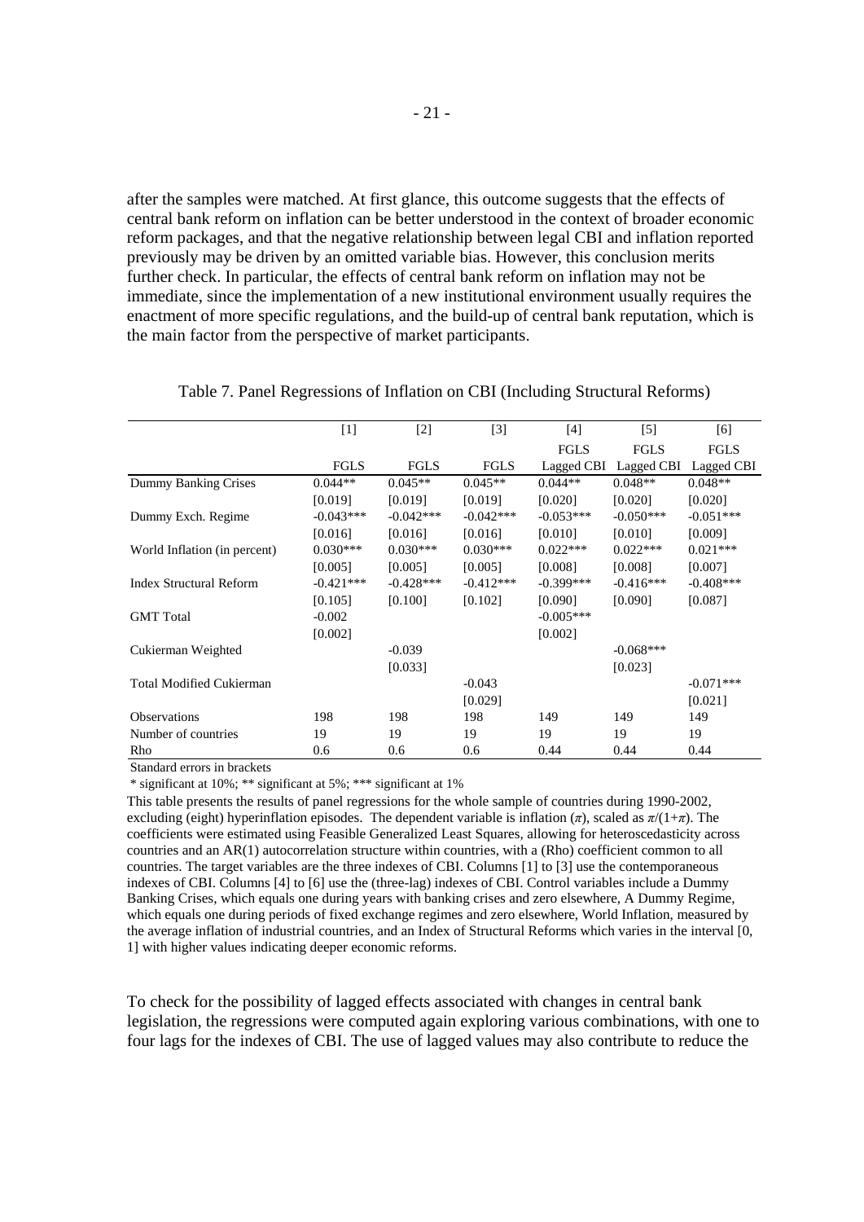after the samples were matched. At first glance, this outcome suggests that the effects of central bank reform on inflation can be better understood in the context of broader economic reform packages, and that the negative relationship between legal CBI and inflation reported previously may be driven by an omitted variable bias. However, this conclusion merits further check. In particular, the effects of central bank reform on inflation may not be immediate, since the implementation of a new institutional environment usually requires the enactment of more specific regulations, and the build-up of central bank reputation, which is the main factor from the perspective of market participants.

|                                 | $[1]$       | $\lceil 2 \rceil$ | [3]         | [4]         | $\lceil 5 \rceil$ | [6]                   |
|---------------------------------|-------------|-------------------|-------------|-------------|-------------------|-----------------------|
|                                 |             |                   |             | <b>FGLS</b> | <b>FGLS</b>       | <b>FGLS</b>           |
|                                 | <b>FGLS</b> | <b>FGLS</b>       | <b>FGLS</b> | Lagged CBI  |                   | Lagged CBI Lagged CBI |
| <b>Dummy Banking Crises</b>     | $0.044**$   | $0.045**$         | $0.045**$   | $0.044**$   | $0.048**$         | $0.048**$             |
|                                 | [0.019]     | [0.019]           | [0.019]     | [0.020]     | [0.020]           | [0.020]               |
| Dummy Exch. Regime              | $-0.043***$ | $-0.042***$       | $-0.042***$ | $-0.053***$ | $-0.050***$       | $-0.051***$           |
|                                 | [0.016]     | [0.016]           | [0.016]     | [0.010]     | [0.010]           | [0.009]               |
| World Inflation (in percent)    | $0.030***$  | $0.030***$        | $0.030***$  | $0.022***$  | $0.022***$        | $0.021***$            |
|                                 | [0.005]     | [0.005]           | [0.005]     | [0.008]     | [0.008]           | [0.007]               |
| <b>Index Structural Reform</b>  | $-0.421***$ | $-0.428***$       | $-0.412***$ | $-0.399***$ | $-0.416***$       | $-0.408$ ***          |
|                                 | [0.105]     | [0.100]           | [0.102]     | [0.090]     | [0.090]           | [0.087]               |
| <b>GMT</b> Total                | $-0.002$    |                   |             | $-0.005***$ |                   |                       |
|                                 | [0.002]     |                   |             | [0.002]     |                   |                       |
| Cukierman Weighted              |             | $-0.039$          |             |             | $-0.068***$       |                       |
|                                 |             | [0.033]           |             |             | [0.023]           |                       |
| <b>Total Modified Cukierman</b> |             |                   | $-0.043$    |             |                   | $-0.071***$           |
|                                 |             |                   | [0.029]     |             |                   | [0.021]               |
| <b>Observations</b>             | 198         | 198               | 198         | 149         | 149               | 149                   |
| Number of countries             | 19          | 19                | 19          | 19          | 19                | 19                    |
| Rho                             | 0.6         | 0.6               | 0.6         | 0.44        | 0.44              | 0.44                  |

Table 7. Panel Regressions of Inflation on CBI (Including Structural Reforms)

Standard errors in brackets

\* significant at 10%; \*\* significant at 5%; \*\*\* significant at 1%

This table presents the results of panel regressions for the whole sample of countries during 1990-2002, excluding (eight) hyperinflation episodes. The dependent variable is inflation (*π*), scaled as *π*/(1+*π*). The coefficients were estimated using Feasible Generalized Least Squares, allowing for heteroscedasticity across countries and an AR(1) autocorrelation structure within countries, with a (Rho) coefficient common to all countries. The target variables are the three indexes of CBI. Columns [1] to [3] use the contemporaneous indexes of CBI. Columns [4] to [6] use the (three-lag) indexes of CBI. Control variables include a Dummy Banking Crises, which equals one during years with banking crises and zero elsewhere, A Dummy Regime, which equals one during periods of fixed exchange regimes and zero elsewhere, World Inflation, measured by the average inflation of industrial countries, and an Index of Structural Reforms which varies in the interval [0, 1] with higher values indicating deeper economic reforms.

To check for the possibility of lagged effects associated with changes in central bank legislation, the regressions were computed again exploring various combinations, with one to four lags for the indexes of CBI. The use of lagged values may also contribute to reduce the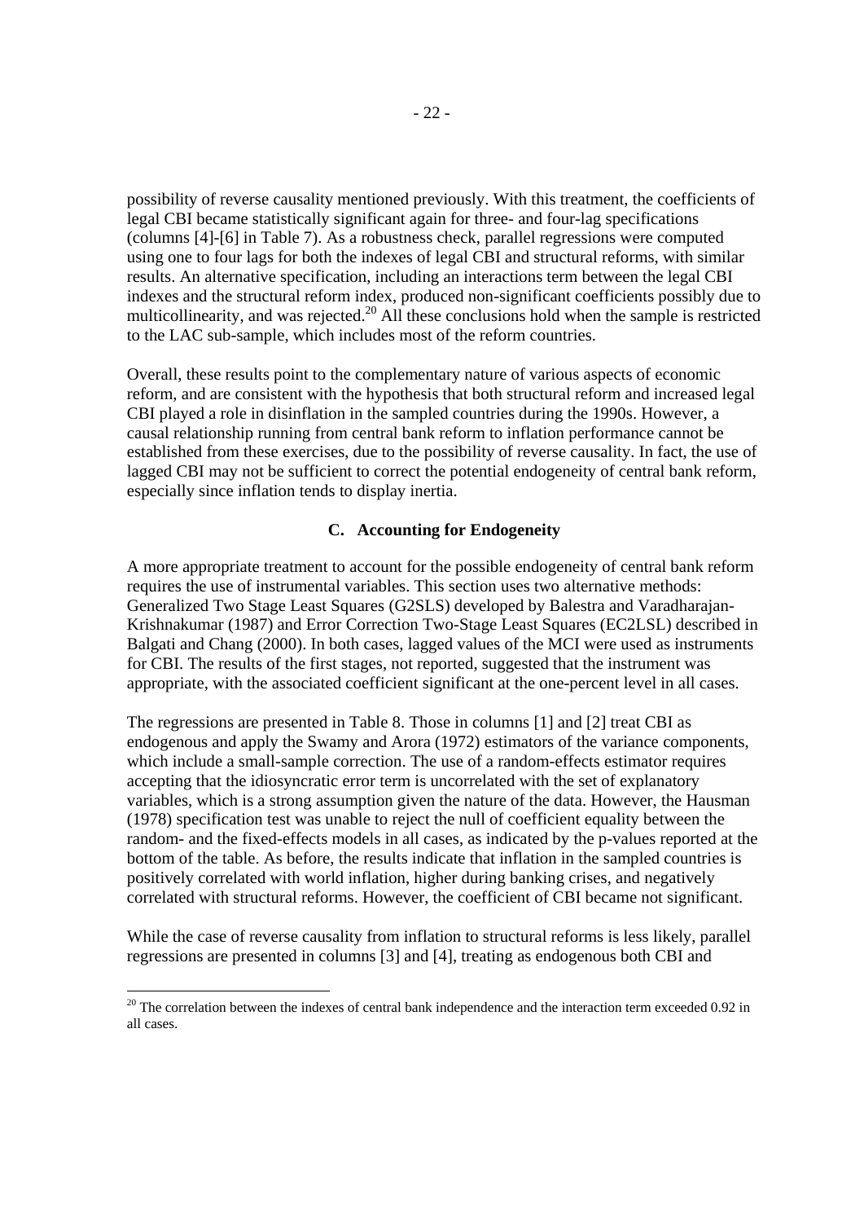possibility of reverse causality mentioned previously. With this treatment, the coefficients of legal CBI became statistically significant again for three- and four-lag specifications (columns [4]-[6] in Table 7). As a robustness check, parallel regressions were computed using one to four lags for both the indexes of legal CBI and structural reforms, with similar results. An alternative specification, including an interactions term between the legal CBI indexes and the structural reform index, produced non-significant coefficients possibly due to multicollinearity, and was rejected.<sup>20</sup> All these conclusions hold when the sample is restricted to the LAC sub-sample, which includes most of the reform countries.

Overall, these results point to the complementary nature of various aspects of economic reform, and are consistent with the hypothesis that both structural reform and increased legal CBI played a role in disinflation in the sampled countries during the 1990s. However, a causal relationship running from central bank reform to inflation performance cannot be established from these exercises, due to the possibility of reverse causality. In fact, the use of lagged CBI may not be sufficient to correct the potential endogeneity of central bank reform, especially since inflation tends to display inertia.

### **C. Accounting for Endogeneity**

A more appropriate treatment to account for the possible endogeneity of central bank reform requires the use of instrumental variables. This section uses two alternative methods: Generalized Two Stage Least Squares (G2SLS) developed by Balestra and Varadharajan-Krishnakumar (1987) and Error Correction Two-Stage Least Squares (EC2LSL) described in Balgati and Chang (2000). In both cases, lagged values of the MCI were used as instruments for CBI. The results of the first stages, not reported, suggested that the instrument was appropriate, with the associated coefficient significant at the one-percent level in all cases.

The regressions are presented in Table 8. Those in columns [1] and [2] treat CBI as endogenous and apply the Swamy and Arora (1972) estimators of the variance components, which include a small-sample correction. The use of a random-effects estimator requires accepting that the idiosyncratic error term is uncorrelated with the set of explanatory variables, which is a strong assumption given the nature of the data. However, the Hausman (1978) specification test was unable to reject the null of coefficient equality between the random- and the fixed-effects models in all cases, as indicated by the p-values reported at the bottom of the table. As before, the results indicate that inflation in the sampled countries is positively correlated with world inflation, higher during banking crises, and negatively correlated with structural reforms. However, the coefficient of CBI became not significant.

While the case of reverse causality from inflation to structural reforms is less likely, parallel regressions are presented in columns [3] and [4], treating as endogenous both CBI and

 $20$  The correlation between the indexes of central bank independence and the interaction term exceeded 0.92 in all cases.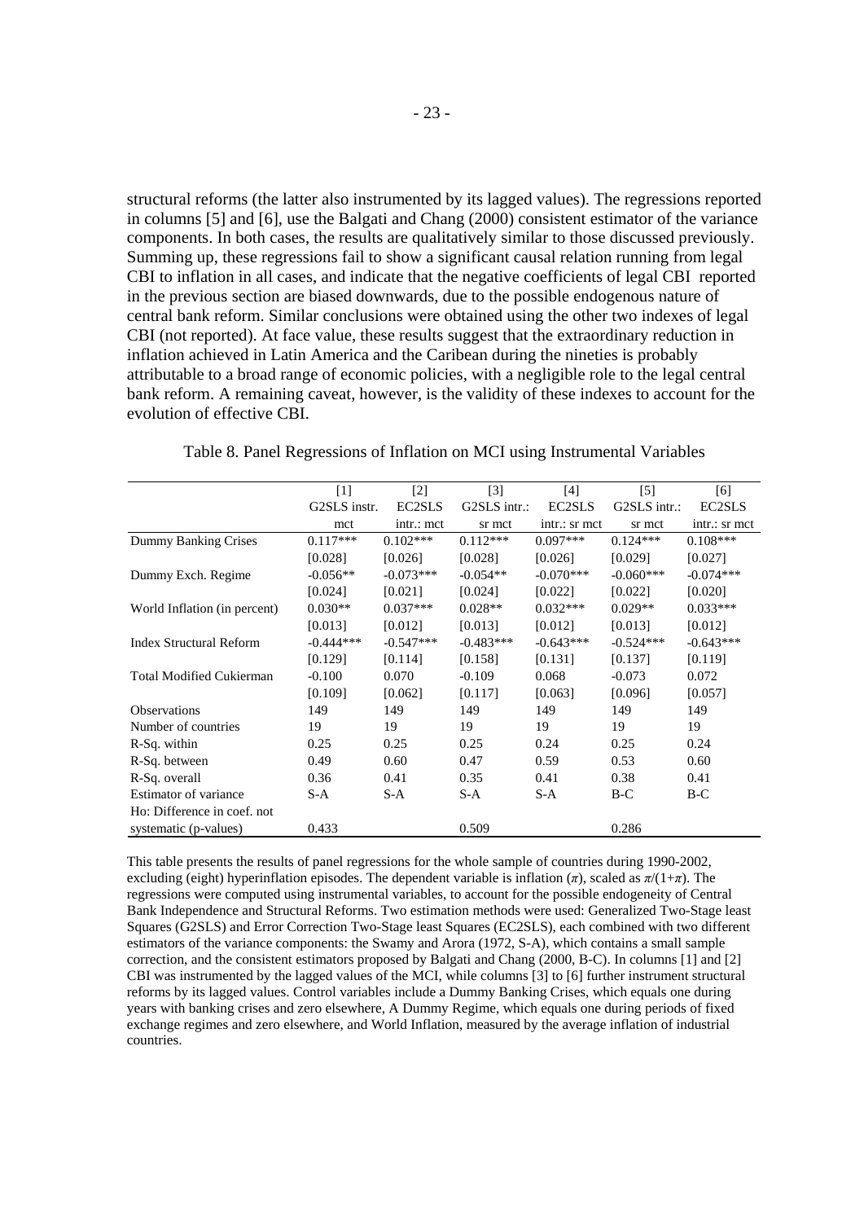structural reforms (the latter also instrumented by its lagged values). The regressions reported in columns [5] and [6], use the Balgati and Chang (2000) consistent estimator of the variance components. In both cases, the results are qualitatively similar to those discussed previously. Summing up, these regressions fail to show a significant causal relation running from legal CBI to inflation in all cases, and indicate that the negative coefficients of legal CBI reported in the previous section are biased downwards, due to the possible endogenous nature of central bank reform. Similar conclusions were obtained using the other two indexes of legal CBI (not reported). At face value, these results suggest that the extraordinary reduction in inflation achieved in Latin America and the Caribean during the nineties is probably attributable to a broad range of economic policies, with a negligible role to the legal central bank reform. A remaining caveat, however, is the validity of these indexes to account for the evolution of effective CBI.

|                                 | $[1]$        | $\lceil 2 \rceil$ | $\lceil 3 \rceil$ | [4]           | $\lceil 5 \rceil$ | [6]           |
|---------------------------------|--------------|-------------------|-------------------|---------------|-------------------|---------------|
|                                 | G2SLS instr. | EC2SLS            | $G2SLS$ intr.:    | EC2SLS        | $G2SLS$ intr.:    | EC2SLS        |
|                                 | mct          | intr.: mct        | sr mct            | intr.: sr mct | sr mct            | intr.: sr mct |
| Dummy Banking Crises            | $0.117***$   | $0.102***$        | $0.112***$        | $0.097***$    | $0.124***$        | $0.108***$    |
|                                 | [0.028]      | [0.026]           | [0.028]           | [0.026]       | [0.029]           | [0.027]       |
| Dummy Exch. Regime              | $-0.056**$   | $-0.073***$       | $-0.054**$        | $-0.070***$   | $-0.060***$       | $-0.074***$   |
|                                 | [0.024]      | [0.021]           | [0.024]           | [0.022]       | [0.022]           | [0.020]       |
| World Inflation (in percent)    | $0.030**$    | $0.037***$        | $0.028**$         | $0.032***$    | $0.029**$         | $0.033***$    |
|                                 | [0.013]      | [0.012]           | [0.013]           | [0.012]       | [0.013]           | [0.012]       |
| <b>Index Structural Reform</b>  | $-0.444***$  | $-0.547***$       | $-0.483***$       | $-0.643***$   | $-0.524***$       | $-0.643***$   |
|                                 | [0.129]      | [0.114]           | [0.158]           | [0.131]       | [0.137]           | [0.119]       |
| <b>Total Modified Cukierman</b> | $-0.100$     | 0.070             | $-0.109$          | 0.068         | $-0.073$          | 0.072         |
|                                 | [0.109]      | [0.062]           | [0.117]           | [0.063]       | [0.096]           | [0.057]       |
| <b>Observations</b>             | 149          | 149               | 149               | 149           | 149               | 149           |
| Number of countries             | 19           | 19                | 19                | 19            | 19                | 19            |
| R-Sq. within                    | 0.25         | 0.25              | 0.25              | 0.24          | 0.25              | 0.24          |
| R-Sq. between                   | 0.49         | 0.60              | 0.47              | 0.59          | 0.53              | 0.60          |
| R-Sq. overall                   | 0.36         | 0.41              | 0.35              | 0.41          | 0.38              | 0.41          |
| Estimator of variance           | $S-A$        | $S-A$             | $S-A$             | $S-A$         | $B-C$             | B-C           |
| Ho: Difference in coef. not     |              |                   |                   |               |                   |               |
| systematic (p-values)           | 0.433        |                   | 0.509             |               | 0.286             |               |

Table 8. Panel Regressions of Inflation on MCI using Instrumental Variables

This table presents the results of panel regressions for the whole sample of countries during 1990-2002, excluding (eight) hyperinflation episodes. The dependent variable is inflation ( $\pi$ ), scaled as  $\pi/(1+\pi)$ . The regressions were computed using instrumental variables, to account for the possible endogeneity of Central Bank Independence and Structural Reforms. Two estimation methods were used: Generalized Two-Stage least Squares (G2SLS) and Error Correction Two-Stage least Squares (EC2SLS), each combined with two different estimators of the variance components: the Swamy and Arora (1972, S-A), which contains a small sample correction, and the consistent estimators proposed by Balgati and Chang (2000, B-C). In columns [1] and [2] CBI was instrumented by the lagged values of the MCI, while columns [3] to [6] further instrument structural reforms by its lagged values. Control variables include a Dummy Banking Crises, which equals one during years with banking crises and zero elsewhere, A Dummy Regime, which equals one during periods of fixed exchange regimes and zero elsewhere, and World Inflation, measured by the average inflation of industrial countries.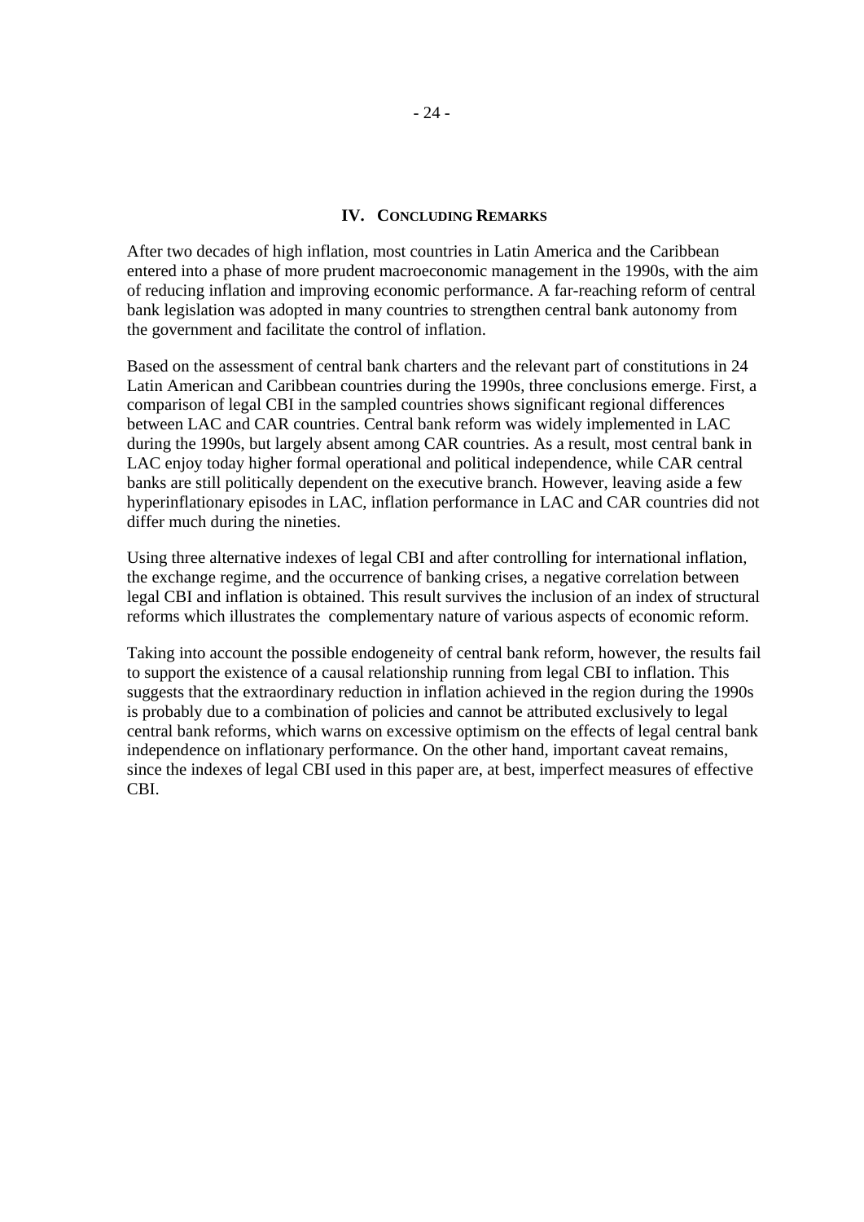#### **IV. CONCLUDING REMARKS**

After two decades of high inflation, most countries in Latin America and the Caribbean entered into a phase of more prudent macroeconomic management in the 1990s, with the aim of reducing inflation and improving economic performance. A far-reaching reform of central bank legislation was adopted in many countries to strengthen central bank autonomy from the government and facilitate the control of inflation.

Based on the assessment of central bank charters and the relevant part of constitutions in 24 Latin American and Caribbean countries during the 1990s, three conclusions emerge. First, a comparison of legal CBI in the sampled countries shows significant regional differences between LAC and CAR countries. Central bank reform was widely implemented in LAC during the 1990s, but largely absent among CAR countries. As a result, most central bank in LAC enjoy today higher formal operational and political independence, while CAR central banks are still politically dependent on the executive branch. However, leaving aside a few hyperinflationary episodes in LAC, inflation performance in LAC and CAR countries did not differ much during the nineties.

Using three alternative indexes of legal CBI and after controlling for international inflation, the exchange regime, and the occurrence of banking crises, a negative correlation between legal CBI and inflation is obtained. This result survives the inclusion of an index of structural reforms which illustrates the complementary nature of various aspects of economic reform.

Taking into account the possible endogeneity of central bank reform, however, the results fail to support the existence of a causal relationship running from legal CBI to inflation. This suggests that the extraordinary reduction in inflation achieved in the region during the 1990s is probably due to a combination of policies and cannot be attributed exclusively to legal central bank reforms, which warns on excessive optimism on the effects of legal central bank independence on inflationary performance. On the other hand, important caveat remains, since the indexes of legal CBI used in this paper are, at best, imperfect measures of effective CBI.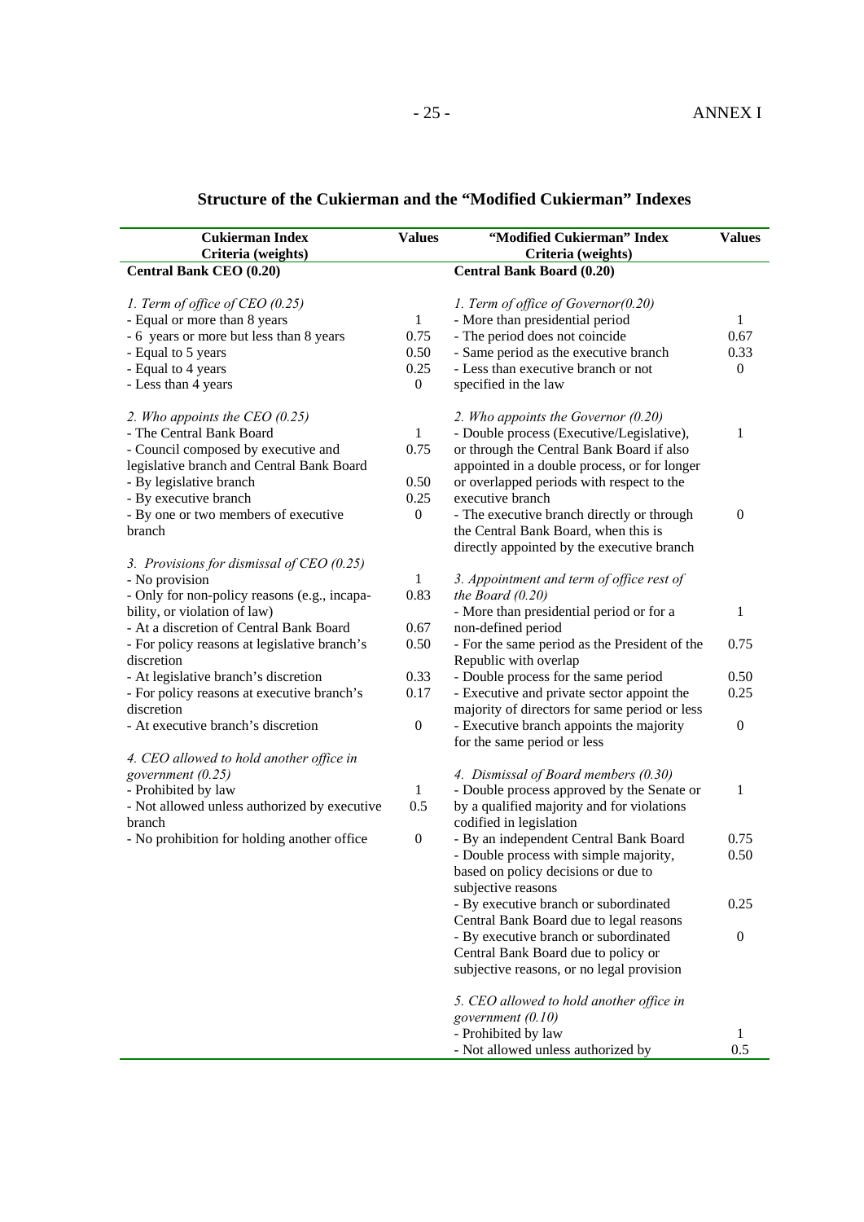| <b>Cukierman Index</b>                                                                                                                                                                               | <b>Values</b>                                            | "Modified Cukierman" Index                                                                                                                                                                                                                       | <b>Values</b>                         |
|------------------------------------------------------------------------------------------------------------------------------------------------------------------------------------------------------|----------------------------------------------------------|--------------------------------------------------------------------------------------------------------------------------------------------------------------------------------------------------------------------------------------------------|---------------------------------------|
| Criteria (weights)                                                                                                                                                                                   |                                                          | Criteria (weights)                                                                                                                                                                                                                               |                                       |
| Central Bank CEO (0.20)                                                                                                                                                                              |                                                          | <b>Central Bank Board (0.20)</b>                                                                                                                                                                                                                 |                                       |
| 1. Term of office of CEO (0.25)<br>- Equal or more than 8 years<br>- 6 years or more but less than 8 years<br>- Equal to 5 years<br>- Equal to 4 years<br>- Less than 4 years                        | $\mathbf{1}$<br>0.75<br>0.50<br>0.25<br>$\boldsymbol{0}$ | 1. Term of office of Governor(0.20)<br>- More than presidential period<br>- The period does not coincide<br>- Same period as the executive branch<br>- Less than executive branch or not<br>specified in the law                                 | 1<br>0.67<br>0.33<br>$\boldsymbol{0}$ |
| 2. Who appoints the CEO $(0.25)$<br>- The Central Bank Board<br>- Council composed by executive and<br>legislative branch and Central Bank Board<br>- By legislative branch<br>- By executive branch | $\mathbf{1}$<br>0.75<br>0.50<br>0.25                     | 2. Who appoints the Governor $(0.20)$<br>- Double process (Executive/Legislative),<br>or through the Central Bank Board if also<br>appointed in a double process, or for longer<br>or overlapped periods with respect to the<br>executive branch | 1                                     |
| - By one or two members of executive<br>branch                                                                                                                                                       | $\overline{0}$                                           | - The executive branch directly or through<br>the Central Bank Board, when this is<br>directly appointed by the executive branch                                                                                                                 | $\boldsymbol{0}$                      |
| 3. Provisions for dismissal of $CEO$ (0.25)<br>- No provision<br>- Only for non-policy reasons (e.g., incapa-                                                                                        | 1<br>0.83                                                | 3. Appointment and term of office rest of<br>the Board $(0.20)$                                                                                                                                                                                  |                                       |
| bility, or violation of law)<br>- At a discretion of Central Bank Board                                                                                                                              | 0.67                                                     | - More than presidential period or for a<br>non-defined period                                                                                                                                                                                   | 1                                     |
| - For policy reasons at legislative branch's<br>discretion                                                                                                                                           | 0.50                                                     | - For the same period as the President of the<br>Republic with overlap                                                                                                                                                                           | 0.75                                  |
| - At legislative branch's discretion                                                                                                                                                                 | 0.33                                                     | - Double process for the same period                                                                                                                                                                                                             | 0.50                                  |
| - For policy reasons at executive branch's<br>discretion                                                                                                                                             | 0.17                                                     | - Executive and private sector appoint the<br>majority of directors for same period or less                                                                                                                                                      | 0.25                                  |
| - At executive branch's discretion                                                                                                                                                                   | $\boldsymbol{0}$                                         | - Executive branch appoints the majority<br>for the same period or less                                                                                                                                                                          | $\boldsymbol{0}$                      |
| 4. CEO allowed to hold another office in<br>government (0.25)<br>- Prohibited by law<br>- Not allowed unless authorized by executive<br>branch                                                       | 1<br>0.5                                                 | 4. Dismissal of Board members (0.30)<br>- Double process approved by the Senate or<br>by a qualified majority and for violations<br>codified in legislation                                                                                      | 1                                     |
| - No prohibition for holding another office                                                                                                                                                          | $\boldsymbol{0}$                                         | - By an independent Central Bank Board<br>- Double process with simple majority,<br>based on policy decisions or due to<br>subjective reasons                                                                                                    | 0.75<br>0.50                          |
|                                                                                                                                                                                                      |                                                          | - By executive branch or subordinated<br>Central Bank Board due to legal reasons                                                                                                                                                                 | 0.25                                  |
|                                                                                                                                                                                                      |                                                          | - By executive branch or subordinated<br>Central Bank Board due to policy or<br>subjective reasons, or no legal provision                                                                                                                        | $\boldsymbol{0}$                      |
|                                                                                                                                                                                                      |                                                          | 5. CEO allowed to hold another office in                                                                                                                                                                                                         |                                       |
|                                                                                                                                                                                                      |                                                          | government (0.10)                                                                                                                                                                                                                                |                                       |
|                                                                                                                                                                                                      |                                                          | - Prohibited by law<br>- Not allowed unless authorized by                                                                                                                                                                                        | 1<br>0.5                              |

## **Structure of the Cukierman and the "Modified Cukierman" Indexes**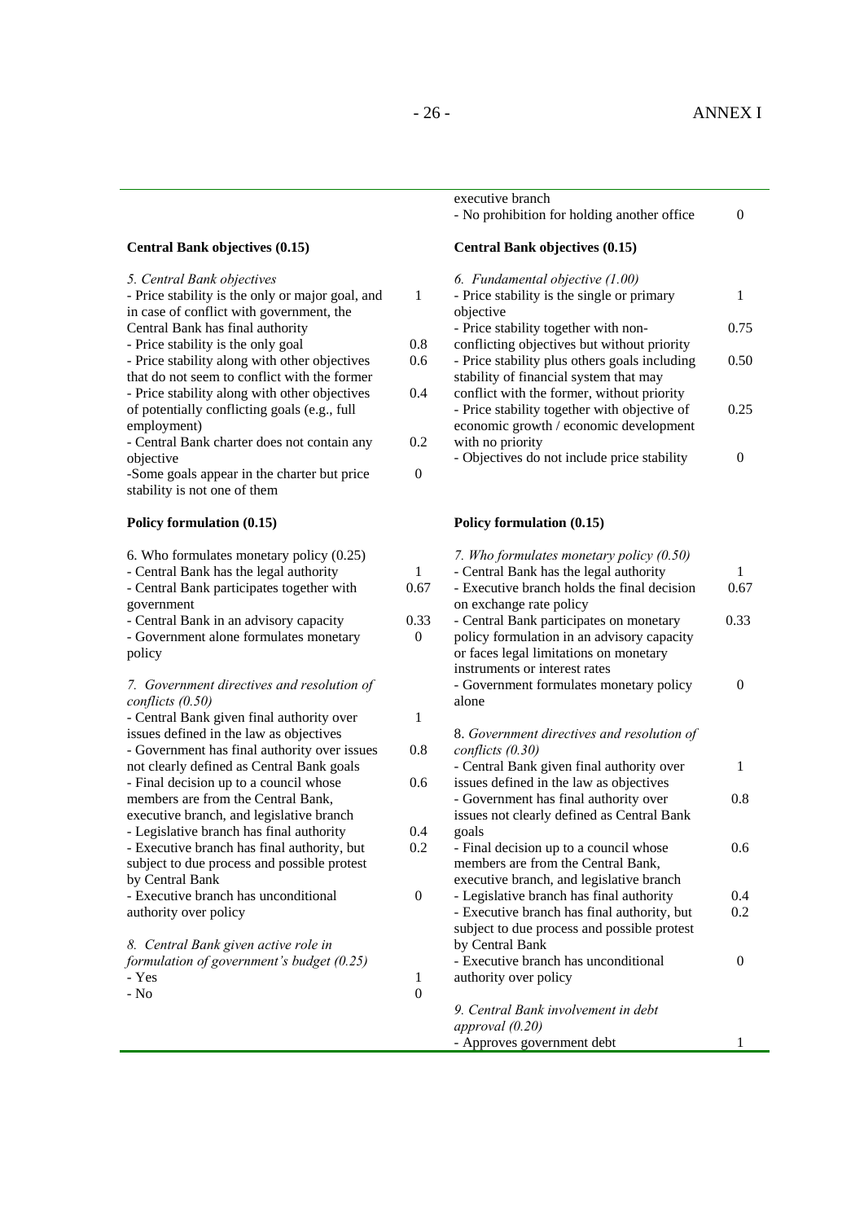executive branch

|                                                                                                                                     |                          | - No prohibition for holding another office                                                                                                                      | $\boldsymbol{0}$     |
|-------------------------------------------------------------------------------------------------------------------------------------|--------------------------|------------------------------------------------------------------------------------------------------------------------------------------------------------------|----------------------|
| Central Bank objectives (0.15)                                                                                                      |                          | <b>Central Bank objectives (0.15)</b>                                                                                                                            |                      |
| 5. Central Bank objectives<br>- Price stability is the only or major goal, and<br>in case of conflict with government, the          | $\mathbf{1}$             | 6. Fundamental objective (1.00)<br>- Price stability is the single or primary<br>objective                                                                       | $\mathbf{1}$         |
| Central Bank has final authority                                                                                                    |                          | - Price stability together with non-                                                                                                                             | 0.75                 |
| - Price stability is the only goal<br>- Price stability along with other objectives<br>that do not seem to conflict with the former | 0.8<br>0.6               | conflicting objectives but without priority<br>- Price stability plus others goals including<br>stability of financial system that may                           | 0.50                 |
| - Price stability along with other objectives<br>of potentially conflicting goals (e.g., full<br>employment)                        | 0.4                      | conflict with the former, without priority<br>- Price stability together with objective of<br>economic growth / economic development                             | 0.25                 |
| - Central Bank charter does not contain any                                                                                         | 0.2                      | with no priority                                                                                                                                                 |                      |
| objective<br>-Some goals appear in the charter but price<br>stability is not one of them                                            | $\boldsymbol{0}$         | - Objectives do not include price stability                                                                                                                      | $\overline{0}$       |
| Policy formulation (0.15)                                                                                                           |                          | Policy formulation (0.15)                                                                                                                                        |                      |
| 6. Who formulates monetary policy (0.25)                                                                                            |                          | 7. Who formulates monetary policy (0.50)                                                                                                                         |                      |
| - Central Bank has the legal authority<br>- Central Bank participates together with                                                 | $\mathbf{1}$<br>0.67     | - Central Bank has the legal authority<br>- Executive branch holds the final decision                                                                            | $\mathbf{1}$<br>0.67 |
| government                                                                                                                          |                          | on exchange rate policy                                                                                                                                          |                      |
| - Central Bank in an advisory capacity<br>- Government alone formulates monetary<br>policy                                          | 0.33<br>$\boldsymbol{0}$ | - Central Bank participates on monetary<br>policy formulation in an advisory capacity<br>or faces legal limitations on monetary<br>instruments or interest rates | 0.33                 |
| 7. Government directives and resolution of<br>conflicts (0.50)                                                                      |                          | - Government formulates monetary policy<br>alone                                                                                                                 | $\overline{0}$       |
| - Central Bank given final authority over<br>issues defined in the law as objectives                                                | $\mathbf{1}$             | 8. Government directives and resolution of                                                                                                                       |                      |
| - Government has final authority over issues                                                                                        | 0.8                      | conflicts $(0.30)$                                                                                                                                               |                      |
| not clearly defined as Central Bank goals<br>- Final decision up to a council whose                                                 | 0.6                      | - Central Bank given final authority over<br>issues defined in the law as objectives                                                                             | $\mathbf{1}$         |
| members are from the Central Bank,                                                                                                  |                          | - Government has final authority over                                                                                                                            | 0.8                  |
| executive branch, and legislative branch<br>- Legislative branch has final authority                                                | 0.4                      | issues not clearly defined as Central Bank<br>goals                                                                                                              |                      |
| - Executive branch has final authority, but                                                                                         | 0.2                      | - Final decision up to a council whose                                                                                                                           | 0.6                  |
| subject to due process and possible protest<br>by Central Bank                                                                      |                          | members are from the Central Bank,<br>executive branch, and legislative branch                                                                                   |                      |
| - Executive branch has unconditional                                                                                                | $\boldsymbol{0}$         | - Legislative branch has final authority                                                                                                                         | 0.4                  |
| authority over policy                                                                                                               |                          | - Executive branch has final authority, but                                                                                                                      | 0.2                  |
| 8. Central Bank given active role in                                                                                                |                          | subject to due process and possible protest<br>by Central Bank                                                                                                   |                      |
| formulation of government's budget (0.25)                                                                                           |                          | - Executive branch has unconditional                                                                                                                             | $\overline{0}$       |
| - Yes                                                                                                                               | $\mathbf{1}$             | authority over policy                                                                                                                                            |                      |
| - $\mathrm{No}$                                                                                                                     | $\boldsymbol{0}$         | 9. Central Bank involvement in debt                                                                                                                              |                      |
|                                                                                                                                     |                          | approval $(0.20)$                                                                                                                                                |                      |
|                                                                                                                                     |                          | - Approves government debt                                                                                                                                       | $\mathbf{1}$         |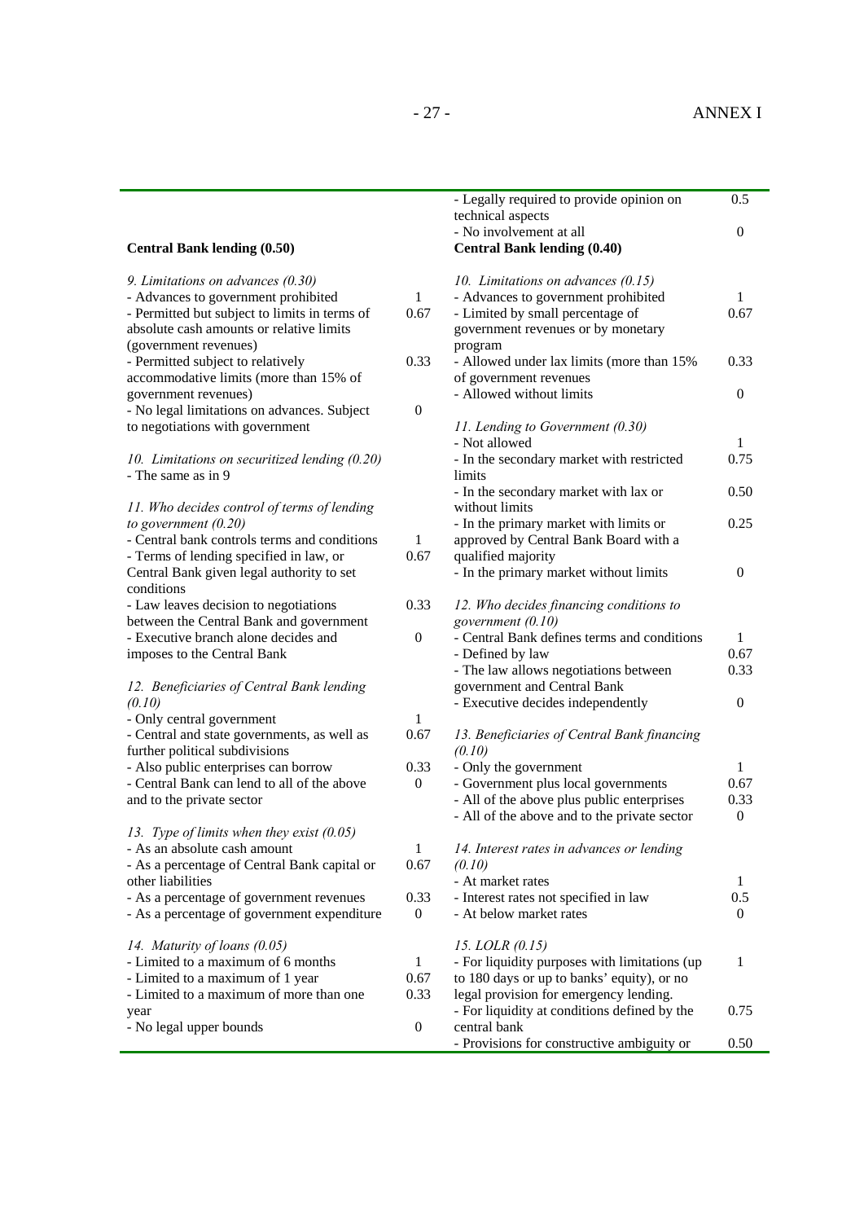|                                               |                  | - Legally required to provide opinion on<br>technical aspects               | 0.5              |
|-----------------------------------------------|------------------|-----------------------------------------------------------------------------|------------------|
| <b>Central Bank lending (0.50)</b>            |                  | - No involvement at all<br><b>Central Bank lending (0.40)</b>               | $\boldsymbol{0}$ |
| 9. Limitations on advances (0.30)             |                  |                                                                             |                  |
| - Advances to government prohibited           | $\mathbf{1}$     | 10. Limitations on advances $(0.15)$<br>- Advances to government prohibited | $\mathbf{1}$     |
| - Permitted but subject to limits in terms of | 0.67             | - Limited by small percentage of                                            | 0.67             |
| absolute cash amounts or relative limits      |                  | government revenues or by monetary                                          |                  |
| (government revenues)                         |                  | program                                                                     |                  |
| - Permitted subject to relatively             | 0.33             | - Allowed under lax limits (more than 15%                                   | 0.33             |
| accommodative limits (more than 15% of        |                  | of government revenues                                                      |                  |
| government revenues)                          |                  | - Allowed without limits                                                    | $\overline{0}$   |
| - No legal limitations on advances. Subject   | $\boldsymbol{0}$ |                                                                             |                  |
| to negotiations with government               |                  | 11. Lending to Government (0.30)                                            |                  |
|                                               |                  | - Not allowed                                                               | $\mathbf{1}$     |
| 10. Limitations on securitized lending (0.20) |                  | - In the secondary market with restricted                                   | 0.75             |
| - The same as in 9                            |                  | limits                                                                      |                  |
|                                               |                  | - In the secondary market with lax or                                       | 0.50             |
| 11. Who decides control of terms of lending   |                  | without limits                                                              |                  |
| to government $(0.20)$                        |                  | - In the primary market with limits or                                      | 0.25             |
| - Central bank controls terms and conditions  | $\mathbf{1}$     | approved by Central Bank Board with a                                       |                  |
| - Terms of lending specified in law, or       | 0.67             | qualified majority                                                          |                  |
| Central Bank given legal authority to set     |                  | - In the primary market without limits                                      | $\theta$         |
| conditions                                    |                  |                                                                             |                  |
| - Law leaves decision to negotiations         | 0.33             | 12. Who decides financing conditions to                                     |                  |
| between the Central Bank and government       |                  | government (0.10)                                                           |                  |
| - Executive branch alone decides and          | $\boldsymbol{0}$ | - Central Bank defines terms and conditions                                 | $\mathbf{1}$     |
| imposes to the Central Bank                   |                  | - Defined by law                                                            | 0.67             |
|                                               |                  | - The law allows negotiations between                                       | 0.33             |
| 12. Beneficiaries of Central Bank lending     |                  | government and Central Bank                                                 |                  |
| (0.10)<br>- Only central government           | 1                | - Executive decides independently                                           | $\boldsymbol{0}$ |
| - Central and state governments, as well as   | 0.67             | 13. Beneficiaries of Central Bank financing                                 |                  |
| further political subdivisions                |                  | (0.10)                                                                      |                  |
| - Also public enterprises can borrow          | 0.33             | - Only the government                                                       | $\mathbf{1}$     |
| - Central Bank can lend to all of the above   | $\boldsymbol{0}$ | - Government plus local governments                                         | 0.67             |
| and to the private sector                     |                  | - All of the above plus public enterprises                                  | 0.33             |
|                                               |                  | - All of the above and to the private sector                                | $\boldsymbol{0}$ |
| 13. Type of limits when they exist $(0.05)$   |                  |                                                                             |                  |
| - As an absolute cash amount                  | $\mathbf{1}$     | 14. Interest rates in advances or lending                                   |                  |
| - As a percentage of Central Bank capital or  | 0.67             | (0.10)                                                                      |                  |
| other liabilities                             |                  | - At market rates                                                           | 1                |
| - As a percentage of government revenues      | 0.33             | - Interest rates not specified in law                                       | 0.5              |
| - As a percentage of government expenditure   | $\overline{0}$   | - At below market rates                                                     | $\overline{0}$   |
| 14. Maturity of loans (0.05)                  |                  | 15. LOLR (0.15)                                                             |                  |
| - Limited to a maximum of 6 months            | $\mathbf{1}$     | - For liquidity purposes with limitations (up                               | 1                |
| - Limited to a maximum of 1 year              | 0.67             | to 180 days or up to banks' equity), or no                                  |                  |
| - Limited to a maximum of more than one       | 0.33             | legal provision for emergency lending.                                      |                  |
| year                                          |                  | - For liquidity at conditions defined by the                                | 0.75             |
| - No legal upper bounds                       | $\boldsymbol{0}$ | central bank                                                                |                  |
|                                               |                  | - Provisions for constructive ambiguity or                                  | 0.50             |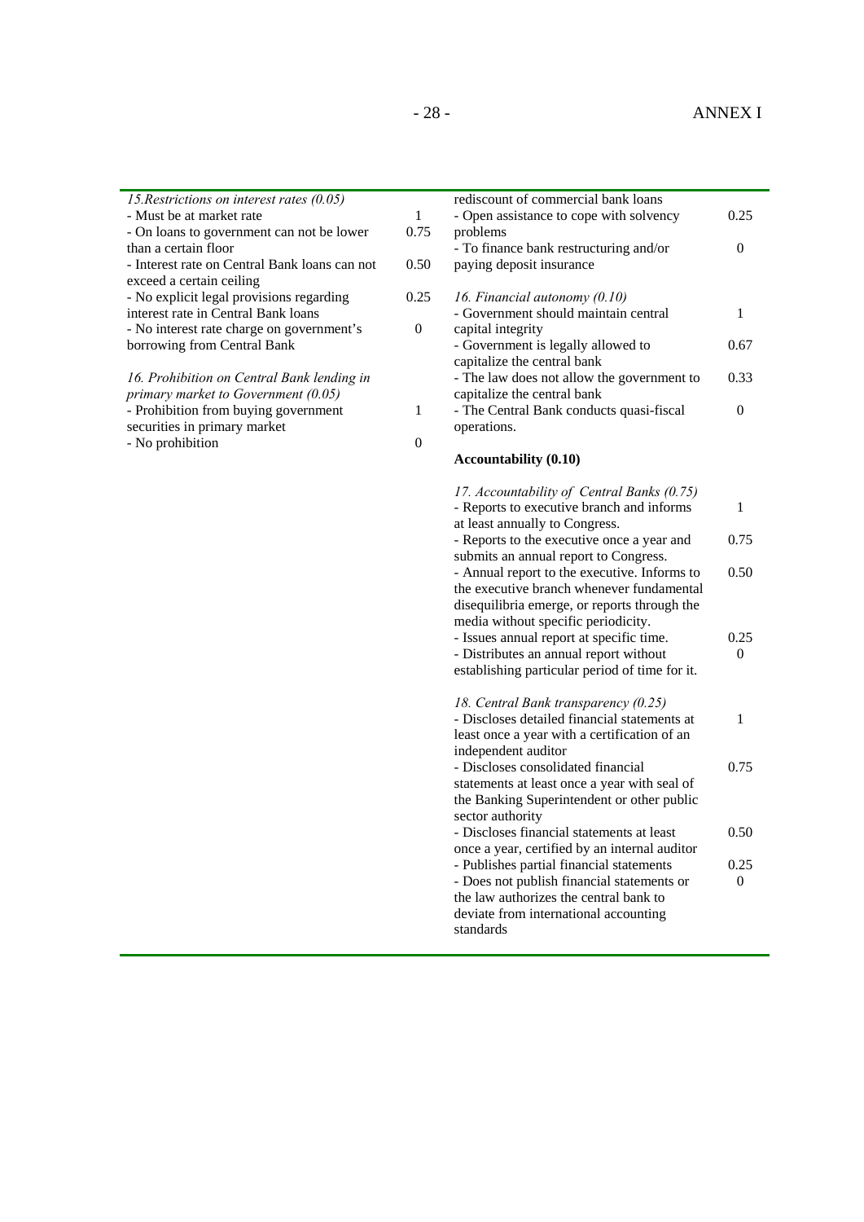0.75

0.50

0.25 0

1

0.75

0.50

0.25  $\theta$ 

| 15. Restrictions on interest rates $(0.05)$   |          | rediscount of commercial bank loans        |          |
|-----------------------------------------------|----------|--------------------------------------------|----------|
| - Must be at market rate                      | 1        | - Open assistance to cope with solvency    | 0.25     |
| - On loans to government can not be lower     | 0.75     | problems                                   |          |
| than a certain floor                          |          | - To finance bank restructuring and/or     | $\Omega$ |
| - Interest rate on Central Bank loans can not | 0.50     | paying deposit insurance                   |          |
| exceed a certain ceiling                      |          |                                            |          |
| - No explicit legal provisions regarding      | 0.25     | 16. Financial autonomy $(0.10)$            |          |
| interest rate in Central Bank loans           |          | - Government should maintain central       | 1        |
| - No interest rate charge on government's     | $\theta$ | capital integrity                          |          |
| borrowing from Central Bank                   |          | - Government is legally allowed to         | 0.67     |
|                                               |          | capitalize the central bank                |          |
| 16. Prohibition on Central Bank lending in    |          | - The law does not allow the government to | 0.33     |
| primary market to Government $(0.05)$         |          | capitalize the central bank                |          |
| - Prohibition from buying government          | -1       | - The Central Bank conducts quasi-fiscal   | $\Omega$ |
| securities in primary market                  |          | operations.                                |          |
| - No prohibition                              | $\theta$ |                                            |          |
|                                               |          | <b>Accountability (0.10)</b>               |          |
|                                               |          |                                            |          |
|                                               |          | 17. Accountability of Central Banks (0.75) |          |
|                                               |          | - Reports to executive branch and informs  |          |
|                                               |          | at least annually to Congress.             |          |

- Reports to the executive once a year and submits an annual report to Congress. - Annual report to the executive. Informs to the executive branch whenever fundamental disequilibria emerge, or reports through the

media without specific periodicity. - Issues annual report at specific time. - Distributes an annual report without establishing particular period of time for it.

*18. Central Bank transparency (0.25)*  - Discloses detailed financial statements at least once a year with a certification of an

- Discloses consolidated financial statements at least once a year with seal of the Banking Superintendent or other public

- Discloses financial statements at least once a year, certified by an internal auditor - Publishes partial financial statements - Does not publish financial statements or the law authorizes the central bank to deviate from international accounting

independent auditor

sector authority

standards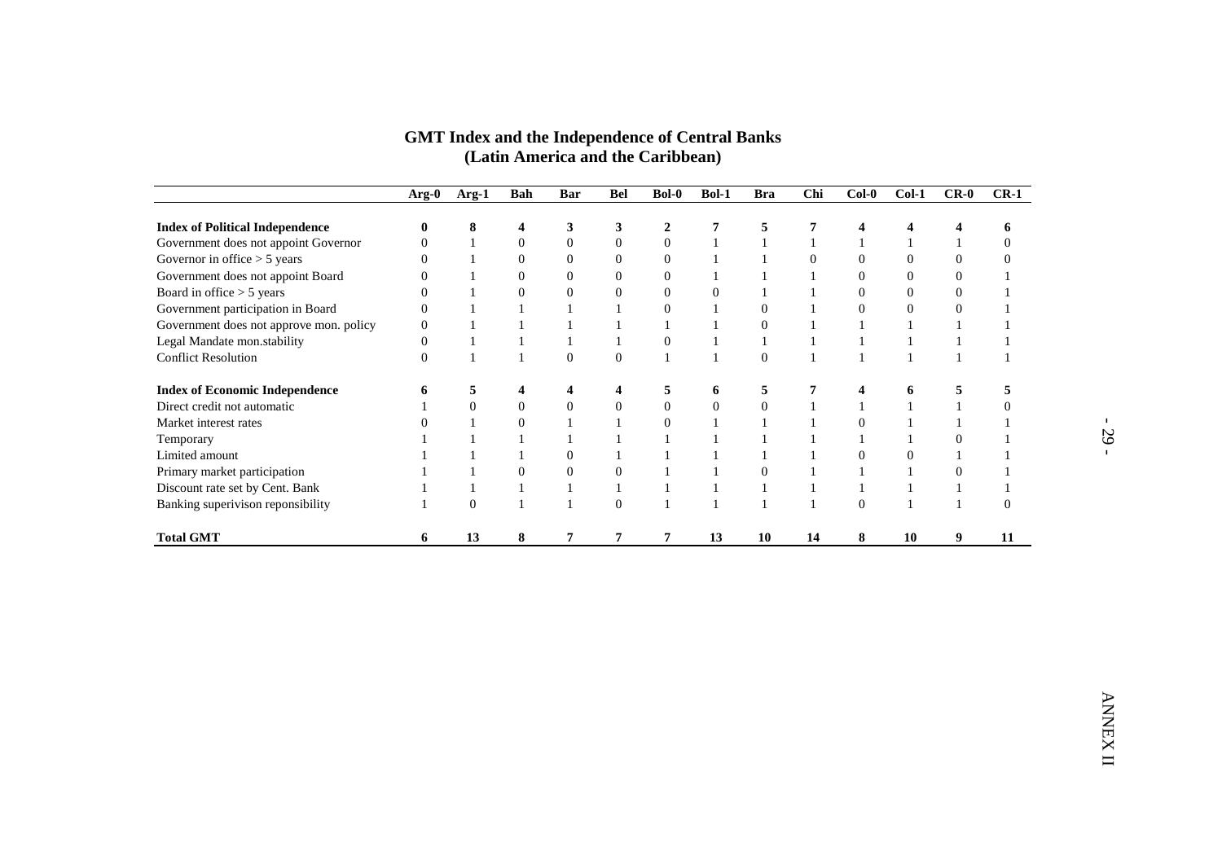|                                         | Arg-0            | Arg-1          | Bah                     | Bar                     | Bel              | <b>Bol-0</b>     | Bol-1            | <b>Bra</b>       | <b>Chi</b>       | $Col-0$                 | $Col-1$          | $CR-0$                  | $CR-1$           |
|-----------------------------------------|------------------|----------------|-------------------------|-------------------------|------------------|------------------|------------------|------------------|------------------|-------------------------|------------------|-------------------------|------------------|
| <b>Index of Political Independence</b>  | $\bf{0}$         | 8              | $\overline{\mathbf{4}}$ | 3                       | 3                | $\overline{2}$   | $\overline{7}$   | 5                | 7                | $\overline{\mathbf{4}}$ | 4                | $\overline{\mathbf{4}}$ | 6                |
| Government does not appoint Governor    | $\boldsymbol{0}$ | 1              | $\boldsymbol{0}$        | $\boldsymbol{0}$        | $\boldsymbol{0}$ | $\boldsymbol{0}$ | $\mathbf{1}$     | $\mathbf{1}$     | $\mathbf{1}$     | $\mathbf{1}$            | 1                | $\mathbf{1}$            | $\boldsymbol{0}$ |
| Governor in office $> 5$ years          | $\boldsymbol{0}$ | $\mathbf{1}$   | $\boldsymbol{0}$        | $\boldsymbol{0}$        | $\boldsymbol{0}$ | $\boldsymbol{0}$ | $\mathbf{1}$     | $\mathbf{1}$     | $\boldsymbol{0}$ | $\boldsymbol{0}$        | $\boldsymbol{0}$ | $\boldsymbol{0}$        | $\boldsymbol{0}$ |
| Government does not appoint Board       | $\boldsymbol{0}$ | $\mathbf{1}$   | $\boldsymbol{0}$        | $\boldsymbol{0}$        | $\boldsymbol{0}$ | $\boldsymbol{0}$ | $\mathbf{1}$     | $\mathbf 1$      | $\mathbf{1}$     | $\boldsymbol{0}$        | $\boldsymbol{0}$ | $\boldsymbol{0}$        | $\mathbf{1}$     |
| Board in office > 5 years               | $\theta$         | 1              | $\overline{0}$          | $\overline{0}$          | $\overline{0}$   | $\overline{0}$   | $\mathbf{0}$     | $\mathbf{1}$     | $\mathbf{1}$     | $\overline{0}$          | $\overline{0}$   | $\overline{0}$          | $\mathbf{1}$     |
| Government participation in Board       | $\boldsymbol{0}$ | $\mathbf{1}$   | $\mathbf{1}$            | 1                       | 1                | $\boldsymbol{0}$ | -1               | $\boldsymbol{0}$ | $\mathbf{1}$     | $\boldsymbol{0}$        | $\boldsymbol{0}$ | $\boldsymbol{0}$        | 1                |
| Government does not approve mon. policy | $\overline{0}$   | $\mathbf{1}$   | $\mathbf{1}$            | $\mathbf{1}$            | $\mathbf{1}$     | $\mathbf{1}$     | $\mathbf{1}$     | $\boldsymbol{0}$ | $\mathbf{1}$     | $\mathbf{1}$            | $\mathbf{1}$     | $\mathbf{1}$            | $\mathbf{1}$     |
| Legal Mandate mon.stability             | $\boldsymbol{0}$ | $\mathbf{1}$   | $\mathbf{1}$            | $\mathbf{1}$            | 1                | $\boldsymbol{0}$ | $\mathbf{1}$     | $\mathbf{1}$     | $\mathbf{1}$     | $\mathbf{1}$            | $\mathbf{1}$     | $\mathbf{1}$            | $\mathbf{1}$     |
| <b>Conflict Resolution</b>              | $\theta$         | $\mathbf{1}$   | $\mathbf{1}$            | $\boldsymbol{0}$        | $\overline{0}$   | $\mathbf{1}$     | $\mathbf{1}$     | $\overline{0}$   | $\mathbf{1}$     | $\mathbf{1}$            | 1                | $\mathbf{1}$            | $\mathbf{1}$     |
| <b>Index of Economic Independence</b>   | 6                | $\sqrt{5}$     | $\overline{\mathbf{4}}$ | $\overline{\mathbf{4}}$ | $\boldsymbol{4}$ | $\sqrt{5}$       | 6                | $\sqrt{5}$       | 7                | $\overline{\mathbf{4}}$ | 6                | 5                       | $\sqrt{5}$       |
| Direct credit not automatic             | 1                | $\overline{0}$ | $\boldsymbol{0}$        | $\boldsymbol{0}$        | $\boldsymbol{0}$ | $\boldsymbol{0}$ | $\boldsymbol{0}$ | $\boldsymbol{0}$ | $\mathbf{1}$     | $\mathbf{1}$            | 1                | $\mathbf{1}$            | $\boldsymbol{0}$ |
| Market interest rates                   | $\boldsymbol{0}$ | $\mathbf{1}$   | $\boldsymbol{0}$        | $1\,$                   | $\mathbf{1}$     | $\boldsymbol{0}$ | $\mathbf{1}$     | $\mathbf 1$      | $\mathbf{1}$     | $\mathbf{0}$            | $\mathbf{1}$     | $\,1\,$                 | $\,1\,$          |
| Temporary                               | $\mathbf{1}$     | $\mathbf{1}$   | $\mathbf{1}$            | $\mathbf{1}$            | $\mathbf{1}$     | $\mathbf{1}$     | $\mathbf{1}$     | $\mathbf{1}$     | $\mathbf{1}$     | $\mathbf{1}$            | 1                | $\boldsymbol{0}$        | $\mathbf{1}$     |
| Limited amount                          | 1                | $\mathbf{1}$   | $\mathbf{1}$            | $\boldsymbol{0}$        | $\mathbf{1}$     | $\mathbf{1}$     | -1               | $\mathbf{1}$     | $\mathbf{1}$     | $\boldsymbol{0}$        | $\boldsymbol{0}$ | $\mathbf{1}$            | $\mathbf{1}$     |
| Primary market participation            | $\mathbf{1}$     | $\mathbf{1}$   | $\boldsymbol{0}$        | $\boldsymbol{0}$        | $\boldsymbol{0}$ | $\mathbf{1}$     | $\mathbf{1}$     | $\boldsymbol{0}$ | $\mathbf{1}$     | $\mathbf{1}$            | 1                | $\boldsymbol{0}$        | $\mathbf{1}$     |
| Discount rate set by Cent. Bank         | $\mathbf{1}$     | $\mathbf{1}$   | $\mathbf{1}$            | $1\,$                   | $1\,$            | $1\,$            | $1\,$            | $\mathbf{1}$     | $\mathbf{1}$     | $\mathbf{1}$            | 1                | $\mathbf{1}$            | $\mathbf{1}$     |
| Banking superivison reponsibility       | $\mathbf{1}$     | $\overline{0}$ | $\mathbf{1}$            | $\mathbf{1}$            | $\overline{0}$   | $\mathbf{1}$     | $\mathbf{1}$     | $\mathbf{1}$     | $\mathbf{1}$     | $\boldsymbol{0}$        | $\mathbf{1}$     | $\mathbf{1}$            | $\mathbf{0}$     |
|                                         | 6                | 13             | 8                       | 7                       | $\overline{7}$   | 7                | 13               | <b>10</b>        | 14               | 8                       | <b>10</b>        | 9                       | 11               |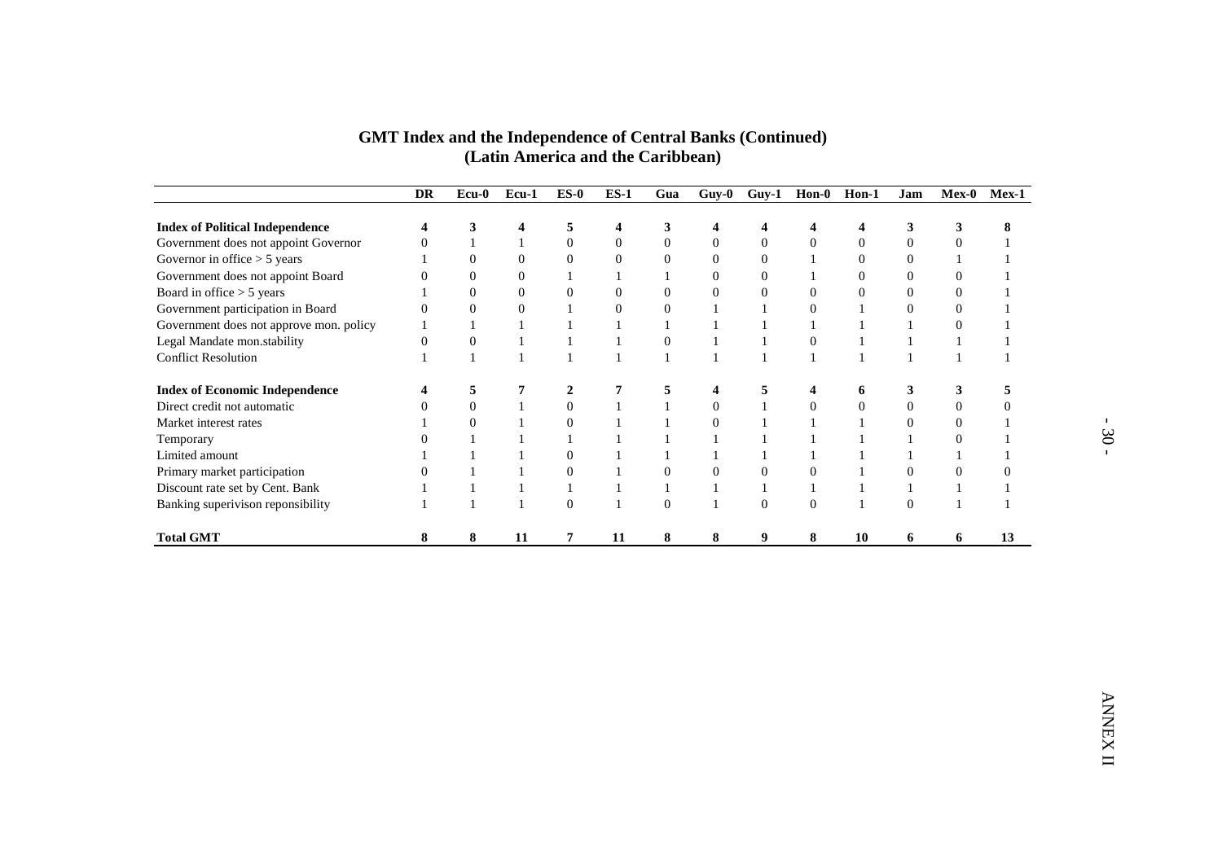|                                                                     | <b>DR</b>               | $\overline{\mathbf{E}}$ cu-0         | Ecu-1                            | $ES-0$                           | $ES-1$                           | Gua                              | $Guy-0$                            | $Guy-1$                              | $\text{H}$ on-0              | Hon-1                              | Jam                                | Mex-0                            | $Mex-1$                      |
|---------------------------------------------------------------------|-------------------------|--------------------------------------|----------------------------------|----------------------------------|----------------------------------|----------------------------------|------------------------------------|--------------------------------------|------------------------------|------------------------------------|------------------------------------|----------------------------------|------------------------------|
| <b>Index of Political Independence</b>                              | $\overline{\mathbf{4}}$ | 3                                    | $\overline{\mathbf{4}}$          | 5                                | 4                                | 3                                | $\overline{\mathbf{4}}$            | 4                                    | $\overline{\mathbf{4}}$      | $\overline{\mathbf{4}}$            | 3                                  | 3                                | 8                            |
| Government does not appoint Governor                                | $\boldsymbol{0}$        | $\mathbf{1}$                         | $\mathbf{1}$                     | $\boldsymbol{0}$                 | $\boldsymbol{0}$                 | $\boldsymbol{0}$                 | $\boldsymbol{0}$                   | $\boldsymbol{0}$                     | $\boldsymbol{0}$             | $\boldsymbol{0}$                   | $\boldsymbol{0}$                   | $\boldsymbol{0}$                 | $\mathbf{1}$                 |
| Governor in office $> 5$ years<br>Government does not appoint Board | 1<br>$\boldsymbol{0}$   | $\boldsymbol{0}$<br>$\boldsymbol{0}$ | $\mathbf{0}$<br>$\boldsymbol{0}$ | $\boldsymbol{0}$<br>$\mathbf{1}$ | $\boldsymbol{0}$<br>$\mathbf{1}$ | $\boldsymbol{0}$<br>$\mathbf{1}$ | $\overline{0}$<br>$\boldsymbol{0}$ | $\boldsymbol{0}$<br>$\boldsymbol{0}$ | $\mathbf{1}$<br>$\mathbf{1}$ | $\overline{0}$<br>$\boldsymbol{0}$ | $\overline{0}$<br>$\boldsymbol{0}$ | $\mathbf{1}$<br>$\boldsymbol{0}$ | $\mathbf{1}$<br>$\mathbf{1}$ |
| Board in office > 5 years                                           | $\mathbf{1}$            | $\overline{0}$                       | $\mathbf{0}$                     | $\mathbf{0}$                     | $\overline{0}$                   | $\mathbf{0}$                     | $\overline{0}$                     | $\overline{0}$                       | $\overline{0}$               | $\overline{0}$                     | $\Omega$                           | $\overline{0}$                   | $\mathbf{1}$                 |
| Government participation in Board                                   | $\boldsymbol{0}$        | $\boldsymbol{0}$                     | $\boldsymbol{0}$                 | $\mathbf{1}$                     | $\boldsymbol{0}$                 | $\boldsymbol{0}$                 | $\mathbf{1}$                       | $\mathbf{1}$                         | $\boldsymbol{0}$             | 1                                  | $\boldsymbol{0}$                   | $\boldsymbol{0}$                 | $\mathbf{1}$                 |
| Government does not approve mon. policy                             | $\mathbf{1}$            | $\mathbf{1}$                         | $\mathbf{1}$                     | $\mathbf{1}$                     | $\mathbf{1}$                     | $\mathbf{1}$                     | $\mathbf{1}$                       | $\mathbf{1}$                         | $\mathbf{1}$                 | $\mathbf{1}$                       | 1                                  | $\boldsymbol{0}$                 | $\mathbf{1}$                 |
| Legal Mandate mon.stability                                         | $\boldsymbol{0}$        | $\boldsymbol{0}$                     | $\mathbf{1}$                     | $\mathbf{1}$                     | $\,1\,$                          | $\boldsymbol{0}$                 | $\mathbf{1}$                       | $\mathbf{1}$                         | $\overline{0}$               | $\mathbf{1}$                       | $\mathbf{1}$                       | $\mathbf{1}$                     | $\mathbf{1}$                 |
| <b>Conflict Resolution</b>                                          | $\mathbf{1}$            | $\mathbf{1}$                         | $\mathbf{1}$                     | $\mathbf{1}$                     | $\mathbf{1}$                     | $\mathbf{1}$                     | $\mathbf{1}$                       | $\mathbf{1}$                         | $\mathbf{1}$                 | $\mathbf{1}$                       | 1                                  | $\mathbf{1}$                     | $\mathbf{1}$                 |
| <b>Index of Economic Independence</b>                               | $\overline{\mathbf{4}}$ | $\sqrt{5}$                           | 7                                | $\mathbf 2$                      | $\boldsymbol{7}$                 | 5                                | $\overline{\mathbf{4}}$            | 5                                    | $\overline{\mathbf{4}}$      | 6                                  | 3                                  | 3                                | $\sqrt{5}$                   |
| Direct credit not automatic                                         | $\boldsymbol{0}$        | $\overline{0}$                       | $\mathbf{1}$                     | $\boldsymbol{0}$                 | 1                                | $\mathbf{1}$                     | $\boldsymbol{0}$                   | $\mathbf{1}$                         | $\mathbf{0}$                 | $\boldsymbol{0}$                   | $\overline{0}$                     | $\boldsymbol{0}$                 | $\boldsymbol{0}$             |
| Market interest rates                                               | $\mathbf{1}$            | $\boldsymbol{0}$                     | $\mathbf{1}$                     | $\boldsymbol{0}$                 | $\,1\,$                          | $\,1\,$                          | $\boldsymbol{0}$                   | $\mathbf{1}$                         | $\mathbf{1}$                 | $\mathbf{1}$                       | $\boldsymbol{0}$                   | $\boldsymbol{0}$                 | $\mathbf{1}$                 |
| Temporary                                                           | $\overline{0}$          | $\mathbf{1}$                         | $\mathbf{1}$                     | $\mathbf{1}$                     | $\mathbf{1}$                     | $\mathbf{1}$                     | $\mathbf{1}$                       | $\mathbf{1}$                         | $\mathbf{1}$                 | $\mathbf{1}$                       | $\mathbf{1}$                       | $\boldsymbol{0}$                 | $\mathbf{1}$                 |
| Limited amount                                                      | $\mathbf{1}$            | $\mathbf{1}$                         | $\mathbf{1}$                     | $\boldsymbol{0}$                 | $\mathbf{1}$                     | $\mathbf{1}$                     | 1                                  | $\mathbf{1}$                         | $\mathbf{1}$                 | $\mathbf{1}$                       | 1                                  | $\mathbf{1}$                     | $\mathbf{1}$                 |
| Primary market participation                                        | $\overline{0}$          | $\mathbf{1}$                         | $\mathbf{1}$                     | $\boldsymbol{0}$                 | $\mathbf{1}$                     | $\boldsymbol{0}$                 | $\boldsymbol{0}$                   | $\boldsymbol{0}$                     | $\mathbf{0}$                 | $\mathbf{1}$                       | $\boldsymbol{0}$                   | $\boldsymbol{0}$                 | $\boldsymbol{0}$             |
| Discount rate set by Cent. Bank                                     | $\mathbf{1}$            | $\mathbf{1}$                         | $\mathbf{1}$                     | $\mathbf{1}$                     | $\mathbf{1}$                     | $\mathbf{1}$                     | $\mathbf{1}$                       | $\mathbf{1}$                         | $\mathbf{1}$                 | $\mathbf{1}$                       | $\mathbf{1}$                       | $\mathbf{1}$                     | $1\,$                        |
| Banking superivison reponsibility                                   | 1                       | $\mathbf{1}$                         | $\mathbf{1}$                     | $\boldsymbol{0}$                 | $\mathbf{1}$                     | $\overline{0}$                   | $\mathbf{1}$                       | $\boldsymbol{0}$                     | $\overline{0}$               | $\mathbf{1}$                       | $\overline{0}$                     | $\mathbf{1}$                     | $\mathbf{1}$                 |
| <b>Total GMT</b>                                                    | 8                       | 8                                    | 11                               | 7                                | 11                               | 8                                | 8                                  | 9                                    | 8                            | 10                                 | 6                                  | 6                                | 13                           |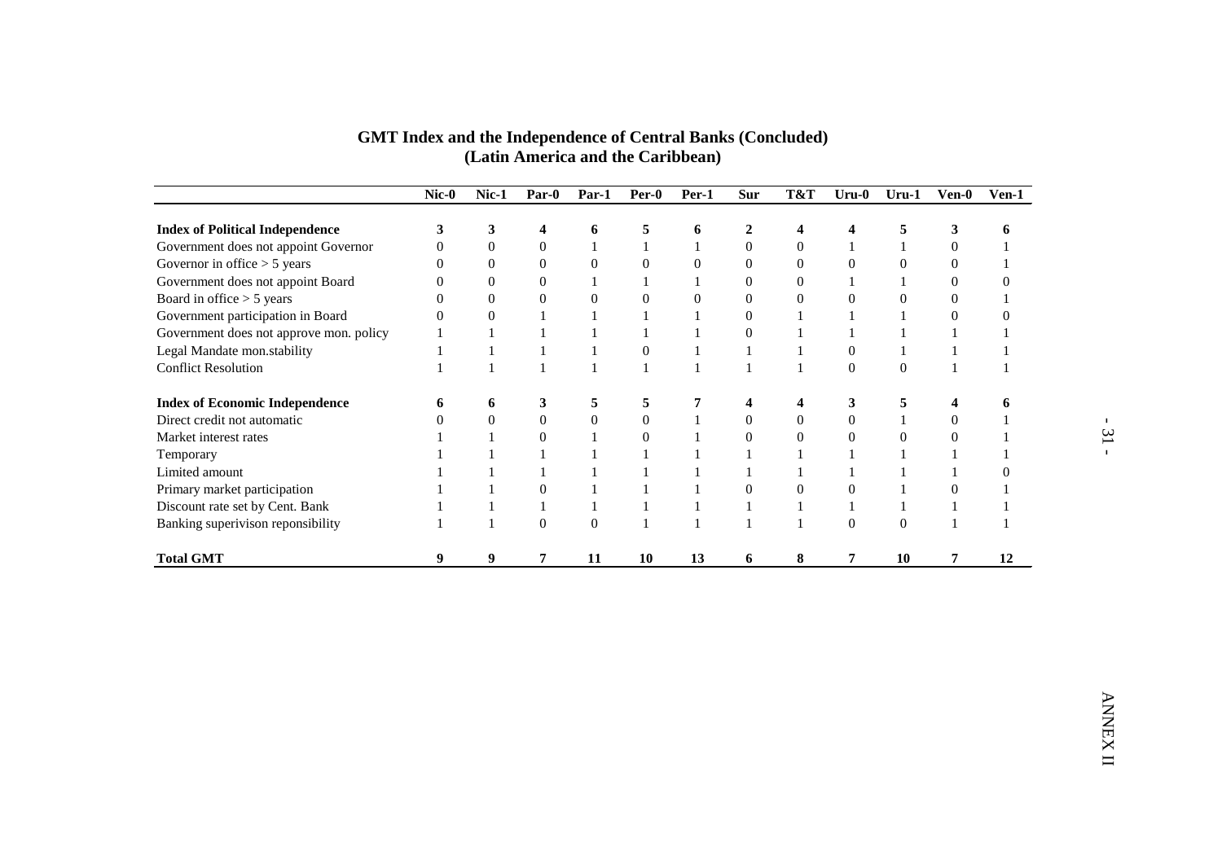| <b>Index of Political Independence</b>                           | 3                            | 3                                | 4                                | 6                                | 5                                | 6                                | $\boldsymbol{2}$                 | 4                                  | 4                                | 5                                | $\mathbf{3}$                       | 6                                |
|------------------------------------------------------------------|------------------------------|----------------------------------|----------------------------------|----------------------------------|----------------------------------|----------------------------------|----------------------------------|------------------------------------|----------------------------------|----------------------------------|------------------------------------|----------------------------------|
| Government does not appoint Governor                             | $\boldsymbol{0}$             | $\boldsymbol{0}$                 | $\boldsymbol{0}$                 | $\mathbf{1}$                     | $\mathbf{1}$                     | $\,1$                            | $\boldsymbol{0}$                 | $\boldsymbol{0}$                   | $\mathbf{1}$                     | $\mathbf{1}$                     | $\mathbf{0}$                       | $\mathbf{1}$                     |
| Governor in office $> 5$ years                                   | $\mathbf{0}$                 | $\boldsymbol{0}$                 | $\boldsymbol{0}$                 | $\boldsymbol{0}$                 | $\boldsymbol{0}$                 | $\boldsymbol{0}$                 | $\boldsymbol{0}$                 | $\overline{0}$                     | $\mathbf{0}$                     | $\mathbf{0}$                     | $\overline{0}$                     | $\mathbf{1}$                     |
| Government does not appoint Board<br>Board in office $> 5$ years | $\mathbf{0}$<br>$\mathbf{0}$ | $\mathbf{0}$<br>$\boldsymbol{0}$ | $\mathbf{0}$<br>$\boldsymbol{0}$ | $\mathbf{1}$<br>$\boldsymbol{0}$ | $\mathbf{1}$<br>$\boldsymbol{0}$ | $\mathbf{1}$<br>$\boldsymbol{0}$ | $\mathbf{0}$<br>$\boldsymbol{0}$ | $\overline{0}$<br>$\boldsymbol{0}$ | $\mathbf{1}$<br>$\boldsymbol{0}$ | $\mathbf{1}$<br>$\boldsymbol{0}$ | $\overline{0}$<br>$\boldsymbol{0}$ | $\boldsymbol{0}$<br>$\mathbf{1}$ |
| Government participation in Board                                | $\overline{0}$               | $\boldsymbol{0}$                 | $\mathbf{1}$                     | $\mathbf{1}$                     | $\,1\,$                          | $\,1$                            | $\boldsymbol{0}$                 | $\,1\,$                            | $\,1$                            | $\mathbf 1$                      | $\mathbf{0}$                       | $\boldsymbol{0}$                 |
| Government does not approve mon. policy                          | 1                            | 1                                | $\mathbf{1}$                     | $\mathbf{1}$                     | $\mathbf{1}$                     | $\mathbf{1}$                     | $\boldsymbol{0}$                 | $\mathbf{1}$                       | $\mathbf{1}$                     | $\mathbf{1}$                     | $\mathbf{1}$                       | $\mathbf{1}$                     |
| Legal Mandate mon.stability                                      | 1                            | $\mathbf{1}$                     | $\mathbf{1}$                     | $\mathbf{1}$                     | $\boldsymbol{0}$                 | $\mathbf{1}$                     | $\mathbf{1}$                     | $\mathbf{1}$                       | $\boldsymbol{0}$                 | $\mathbf{1}$                     | $\mathbf{1}$                       | $\mathbf{1}$                     |
| <b>Conflict Resolution</b>                                       | 1                            | $\mathbf{1}$                     | $\mathbf{1}$                     | $\mathbf{1}$                     | $\mathbf{1}$                     | $\mathbf{1}$                     | $\mathbf{1}$                     | $\mathbf{1}$                       | $\boldsymbol{0}$                 | $\boldsymbol{0}$                 | $\mathbf{1}$                       | $\mathbf{1}$                     |
| <b>Index of Economic Independence</b>                            | 6                            | 6                                | 3                                | 5                                | 5                                | 7                                | 4                                | 4                                  | $\mathbf{3}$                     | 5                                | 4                                  | 6                                |
| Direct credit not automatic                                      | $\overline{0}$               | $\boldsymbol{0}$                 | $\boldsymbol{0}$                 | $\boldsymbol{0}$                 | $\boldsymbol{0}$                 | $\mathbf 1$                      | $\boldsymbol{0}$                 | $\boldsymbol{0}$                   | $\boldsymbol{0}$                 | $\mathbf{1}$                     | $\boldsymbol{0}$                   | $\mathbf{1}$                     |
| Market interest rates                                            | 1                            | $\mathbf{1}$                     | $\boldsymbol{0}$                 | $\mathbf{1}$                     | $\boldsymbol{0}$                 | $1\,$                            | $\boldsymbol{0}$                 | $\boldsymbol{0}$                   | $\boldsymbol{0}$                 | $\boldsymbol{0}$                 | $\boldsymbol{0}$                   | $\mathbf 1$                      |
| Temporary                                                        | 1                            | $\mathbf{1}$                     | $\mathbf{1}$                     | $\mathbf{1}$                     | $\mathbf{1}$                     | $\mathbf{1}$                     | $\mathbf{1}$                     | $\mathbf{1}$                       | $\mathbf{1}$                     | $\mathbf{1}$                     | $\mathbf{1}$                       | $\mathbf{1}$                     |
| Limited amount                                                   | 1                            | 1                                | $\mathbf{1}$                     | $\mathbf{1}$                     | $\mathbf{1}$                     | $\mathbf{1}$                     | $\mathbf{1}$                     | $\mathbf{1}$                       | $\mathbf{1}$                     | $\mathbf{1}$                     | $\mathbf{1}$                       | $\boldsymbol{0}$                 |
| Primary market participation                                     | 1                            | $\mathbf{1}$                     | $\overline{0}$                   | $\mathbf{1}$                     | $\mathbf{1}$                     | $\mathbf{1}$                     | $\boldsymbol{0}$                 | $\overline{0}$                     | $\boldsymbol{0}$                 | $\mathbf{1}$                     | $\boldsymbol{0}$                   | $\mathbf{1}$                     |
| Discount rate set by Cent. Bank                                  | 1                            | $\mathbf{1}$                     | $\mathbf{1}$                     | $\mathbf{1}$                     | $\mathbf{1}$                     | $\mathbf{1}$                     | $\mathbf{1}$                     | $\mathbf{1}$                       | $1\,$                            | $\,1\,$                          | $1\,$                              | $\mathbf 1$                      |
| Banking superivison reponsibility                                | $\mathbf{1}$                 | $\mathbf{1}$                     | $\boldsymbol{0}$                 | $\boldsymbol{0}$                 | $\,1\,$                          | $\,1$                            | $\mathbf 1$                      | $\,1\,$                            | $\boldsymbol{0}$                 | $\mathbf{0}$                     | $1\,$                              | $\mathbf 1$                      |
| <b>Total GMT</b>                                                 | 9                            | $\boldsymbol{9}$                 | $\boldsymbol{7}$                 | 11                               | 10                               | 13                               | 6                                | 8                                  | $\boldsymbol{7}$                 | 10                               | $\boldsymbol{7}$                   | 12                               |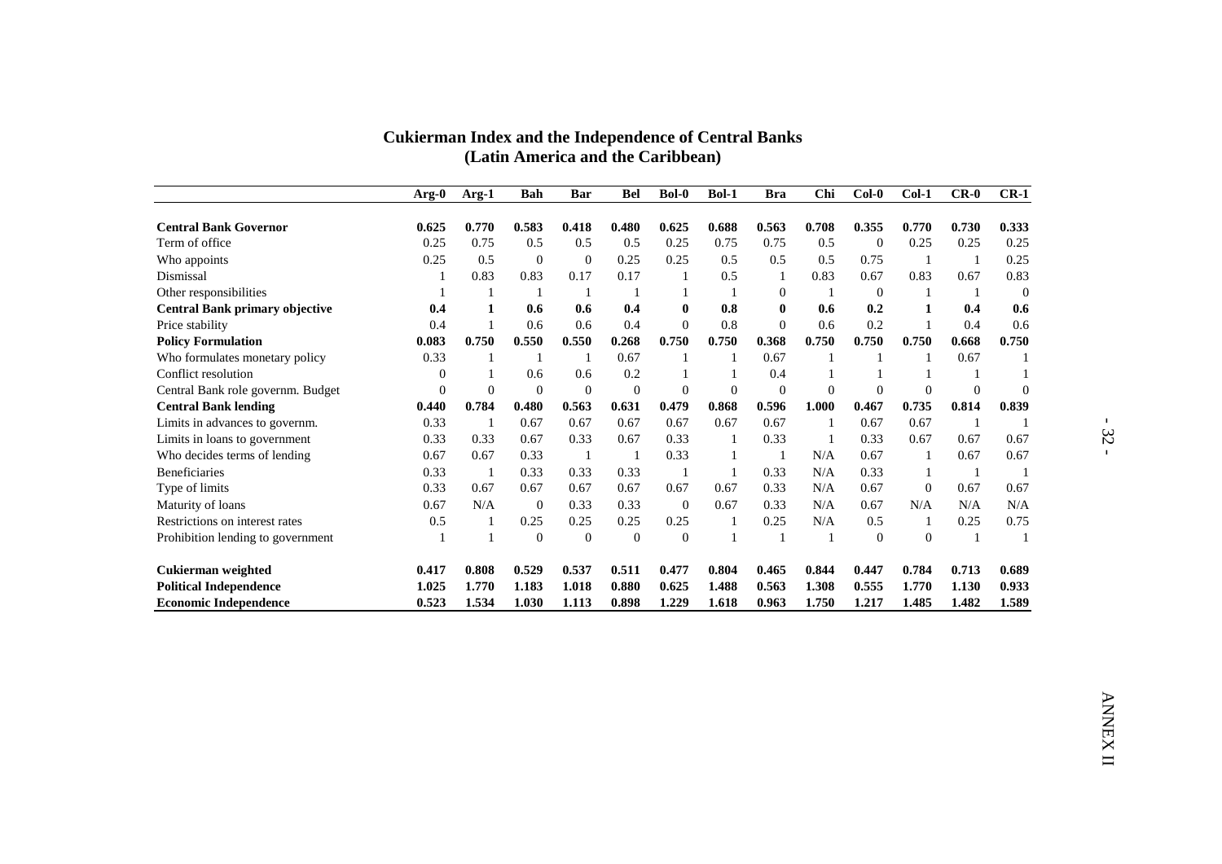|                                       | $Arg-0$        | Arg-1          | <b>Bah</b>       | <b>Bar</b>     | <b>Bel</b>     | <b>Bol-0</b> | Bol-1          | <b>Bra</b>     | Chi          | $Col-0$          | $Col-1$          | $CR-0$         | $CR-1$         |
|---------------------------------------|----------------|----------------|------------------|----------------|----------------|--------------|----------------|----------------|--------------|------------------|------------------|----------------|----------------|
| <b>Central Bank Governor</b>          | 0.625          | 0.770          | 0.583            | 0.418          | 0.480          | 0.625        | 0.688          | 0.563          | 0.708        | 0.355            | 0.770            | 0.730          | 0.333          |
| Term of office                        | 0.25           | 0.75           | 0.5              | 0.5            | 0.5            | 0.25         | 0.75           | 0.75           | 0.5          | $\boldsymbol{0}$ | 0.25             | 0.25           | 0.25           |
| Who appoints                          | 0.25           | 0.5            | $\boldsymbol{0}$ | $\mathbf{0}$   | 0.25           | 0.25         | 0.5            | 0.5            | 0.5          | 0.75             | $\mathbf{1}$     | -1             | 0.25           |
| Dismissal                             | $\mathbf{1}$   | 0.83           | 0.83             | 0.17           | 0.17           | $\mathbf{1}$ | 0.5            | $\mathbf{1}$   | 0.83         | 0.67             | 0.83             | 0.67           | 0.83           |
| Other responsibilities                | $\mathbf{1}$   | $\mathbf{1}$   | 1                | -1             | $\mathbf{1}$   | $\mathbf{1}$ | 1              | $\mathbf{0}$   | $\mathbf{1}$ | $\mathbf{0}$     | $\mathbf{1}$     | -1             | $\theta$       |
| <b>Central Bank primary objective</b> | 0.4            | $\mathbf{1}$   | 0.6              | 0.6            | 0.4            | $\bf{0}$     | 0.8            | $\bf{0}$       | 0.6          | 0.2              | $\mathbf{1}$     | 0.4            | 0.6            |
| Price stability                       | 0.4            | $\mathbf{1}$   | 0.6              | 0.6            | 0.4            | $\Omega$     | 0.8            | $\mathbf{0}$   | 0.6          | 0.2              | $\mathbf{1}$     | 0.4            | 0.6            |
| <b>Policy Formulation</b>             | 0.083          | 0.750          | 0.550            | 0.550          | 0.268          | 0.750        | 0.750          | 0.368          | 0.750        | 0.750            | 0.750            | 0.668          | 0.750          |
| Who formulates monetary policy        | 0.33           | 1              | $\mathbf{1}$     | $\mathbf{1}$   | 0.67           | $\mathbf{1}$ | $\mathbf{1}$   | 0.67           | $\mathbf{1}$ | $\mathbf{1}$     | $\mathbf{1}$     | 0.67           | $\overline{1}$ |
| Conflict resolution                   | $\mathbf{0}$   | $\mathbf{1}$   | 0.6              | 0.6            | 0.2            | $\mathbf{1}$ | $\mathbf{1}$   | 0.4            | $\mathbf{1}$ | $\mathbf{1}$     | $\mathbf{1}$     | -1             | $\mathbf{1}$   |
| Central Bank role governm. Budget     | $\overline{0}$ | $\overline{0}$ | $\overline{0}$   | $\overline{0}$ | $\overline{0}$ | $\Omega$     | $\overline{0}$ | $\overline{0}$ | $\theta$     | $\mathbf{0}$     | $\overline{0}$   | $\theta$       | $\theta$       |
| <b>Central Bank lending</b>           | 0.440          | 0.784          | 0.480            | 0.563          | 0.631          | 0.479        | 0.868          | 0.596          | 1.000        | 0.467            | 0.735            | 0.814          | 0.839          |
| Limits in advances to governm.        | 0.33           | $\mathbf{1}$   | 0.67             | 0.67           | 0.67           | 0.67         | 0.67           | 0.67           | $\mathbf{1}$ | 0.67             | 0.67             | -1             | -1             |
| Limits in loans to government         | 0.33           | 0.33           | 0.67             | 0.33           | 0.67           | 0.33         | 1              | 0.33           | $\mathbf{1}$ | 0.33             | 0.67             | 0.67           | 0.67           |
| Who decides terms of lending          | 0.67           | 0.67           | 0.33             | $\mathbf{1}$   | -1             | 0.33         | $\mathbf{1}$   | $\mathbf{1}$   | N/A          | 0.67             | $\mathbf{1}$     | 0.67           | 0.67           |
| <b>Beneficiaries</b>                  | 0.33           | $\mathbf{1}$   | 0.33             | 0.33           | 0.33           | -1           | $\mathbf{1}$   | 0.33           | N/A          | 0.33             | $\mathbf{1}$     | $\overline{1}$ | $\mathbf{1}$   |
| Type of limits                        | 0.33           | 0.67           | 0.67             | 0.67           | 0.67           | 0.67         | 0.67           | 0.33           | N/A          | 0.67             | $\boldsymbol{0}$ | 0.67           | 0.67           |
| Maturity of loans                     | 0.67           | N/A            | $\mathbf{0}$     | 0.33           | 0.33           | $\mathbf{0}$ | 0.67           | 0.33           | N/A          | 0.67             | N/A              | N/A            | N/A            |
| Restrictions on interest rates        | 0.5            | $\mathbf{1}$   | 0.25             | 0.25           | 0.25           | 0.25         | $\mathbf{1}$   | 0.25           | N/A          | 0.5              | $\mathbf{1}$     | 0.25           | 0.75           |
| Prohibition lending to government     | $\mathbf{1}$   | $\mathbf{1}$   | $\overline{0}$   | $\overline{0}$ | $\mathbf{0}$   | $\Omega$     | $\mathbf{1}$   | $\mathbf{1}$   | -1           | $\mathbf{0}$     | $\overline{0}$   | -1             | -1             |
| Cukierman weighted                    | 0.417          | 0.808          | 0.529            | 0.537          | 0.511          | 0.477        | 0.804          | 0.465          | 0.844        | 0.447            | 0.784            | 0.713          | 0.689          |
| <b>Political Independence</b>         | 1.025          | 1.770          | 1.183            | 1.018          | 0.880          | 0.625        | 1.488          | 0.563          | 1.308        | 0.555            | 1.770            | 1.130          | 0.933          |
| <b>Economic Independence</b>          | 0.523          | 1.534          | 1.030            | 1.113          | 0.898          | 1.229        | 1.618          | 0.963          | 1.750        | 1.217            | 1.485            | 1.482          | 1.589          |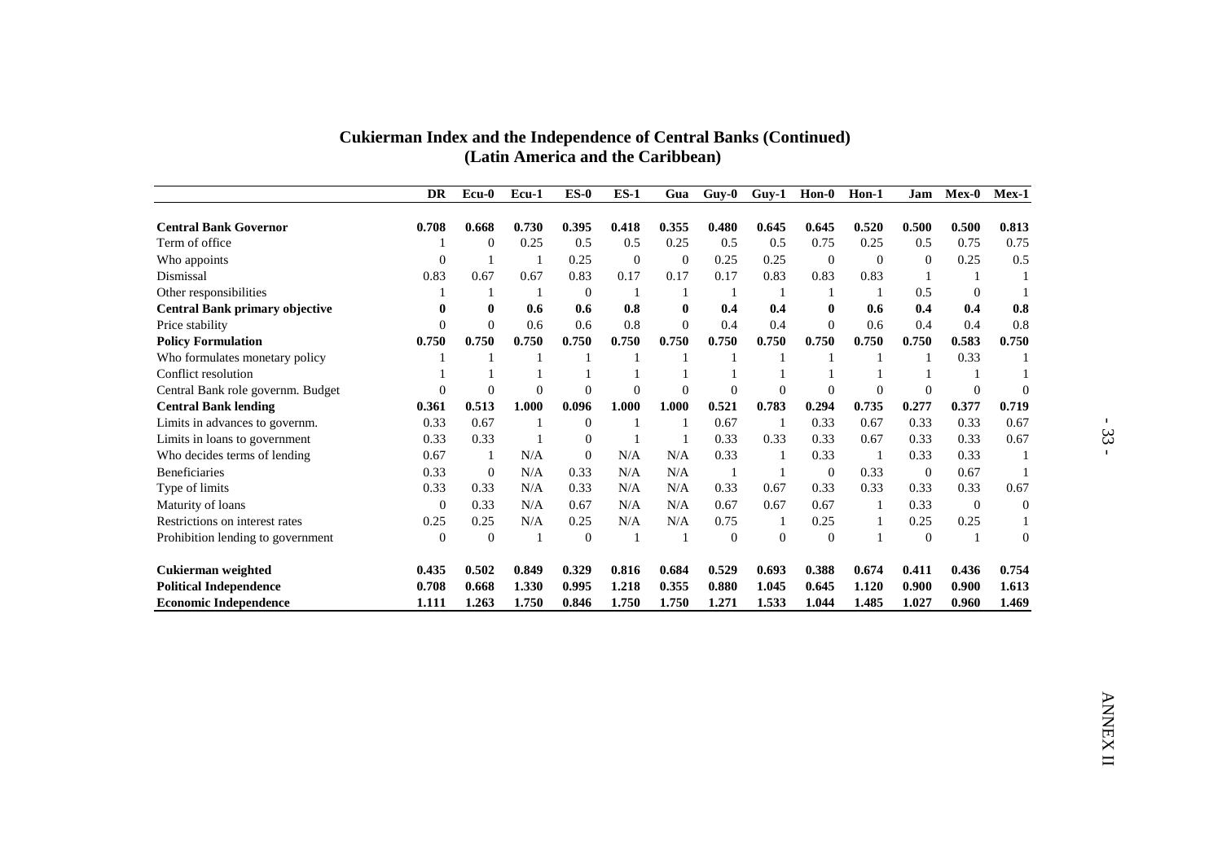| <b>Cukierman Index and the Independence of Central Banks (Continued)</b> |
|--------------------------------------------------------------------------|
| (Latin America and the Caribbean)                                        |

|                                       | <b>DR</b>        | $Ecu-0$          | Ecu-1        | $ES-0$           | $ES-1$           | Gua              | $Guy-0$        | $Guy-1$        | $Hom-0$        | Hon-1        | Jam          | Mex-0          | Mex-1          |
|---------------------------------------|------------------|------------------|--------------|------------------|------------------|------------------|----------------|----------------|----------------|--------------|--------------|----------------|----------------|
| <b>Central Bank Governor</b>          | 0.708            | 0.668            | 0.730        | 0.395            | 0.418            | 0.355            | 0.480          | 0.645          | 0.645          | 0.520        | 0.500        | 0.500          | 0.813          |
| Term of office                        | -1               | $\boldsymbol{0}$ | 0.25         | 0.5              | 0.5              | 0.25             | 0.5            | 0.5            | 0.75           | 0.25         | 0.5          | 0.75           | 0.75           |
| Who appoints                          | $\boldsymbol{0}$ | $\mathbf{1}$     | -1           | 0.25             | $\boldsymbol{0}$ | $\boldsymbol{0}$ | 0.25           | 0.25           | $\mathbf{0}$   | $\mathbf{0}$ | $\mathbf{0}$ | 0.25           | 0.5            |
| Dismissal                             | 0.83             | 0.67             | 0.67         | 0.83             | 0.17             | 0.17             | 0.17           | 0.83           | 0.83           | 0.83         | $\mathbf{1}$ | -1             | $\mathbf{1}$   |
| Other responsibilities                | $\mathbf{1}$     | -1               | -1           | $\mathbf{0}$     | $\mathbf{1}$     | $\mathbf{1}$     | -1             | $\mathbf{1}$   | $\mathbf{1}$   | $\mathbf{1}$ | 0.5          | $\mathbf{0}$   | $\mathbf{1}$   |
| <b>Central Bank primary objective</b> | $\pmb{0}$        | $\bf{0}$         | 0.6          | 0.6              | 0.8              | $\bf{0}$         | 0.4            | 0.4            | $\bf{0}$       | 0.6          | 0.4          | 0.4            | 0.8            |
| Price stability                       | $\overline{0}$   | $\Omega$         | 0.6          | 0.6              | 0.8              | $\overline{0}$   | 0.4            | 0.4            | $\theta$       | 0.6          | 0.4          | 0.4            | 0.8            |
| <b>Policy Formulation</b>             | 0.750            | 0.750            | 0.750        | 0.750            | 0.750            | 0.750            | 0.750          | 0.750          | 0.750          | 0.750        | 0.750        | 0.583          | 0.750          |
| Who formulates monetary policy        | $\mathbf{1}$     | $\mathbf{1}$     | $\mathbf{1}$ | -1               | 1                | 1                | -1             | $\mathbf{1}$   | -1             | $\mathbf{1}$ | $\mathbf{1}$ | 0.33           | -1             |
| Conflict resolution                   | $\mathbf{1}$     | $\mathbf{1}$     | $\mathbf{1}$ | $\mathbf{1}$     | $\mathbf{1}$     | $\mathbf{1}$     | $\mathbf{1}$   | $\mathbf{1}$   | $\mathbf{1}$   | $\mathbf{1}$ | $\mathbf{1}$ | -1             | $\mathbf{1}$   |
| Central Bank role governm. Budget     | $\overline{0}$   | $\Omega$         | $\theta$     | $\Omega$         | $\overline{0}$   | $\theta$         | $\theta$       | $\theta$       | $\theta$       | $\mathbf{0}$ | $\mathbf{0}$ | $\Omega$       | $\theta$       |
| <b>Central Bank lending</b>           | 0.361            | 0.513            | 1.000        | 0.096            | 1.000            | 1.000            | 0.521          | 0.783          | 0.294          | 0.735        | 0.277        | 0.377          | 0.719          |
| Limits in advances to governm.        | 0.33             | 0.67             | $\mathbf{1}$ | $\boldsymbol{0}$ | $\mathbf{1}$     | -1               | 0.67           | $\mathbf{1}$   | 0.33           | 0.67         | 0.33         | 0.33           | 0.67           |
| Limits in loans to government         | 0.33             | 0.33             | -1           | $\mathbf{0}$     | $\mathbf{1}$     | $\mathbf{1}$     | 0.33           | 0.33           | 0.33           | 0.67         | 0.33         | 0.33           | 0.67           |
| Who decides terms of lending          | 0.67             | -1               | N/A          | $\mathbf{0}$     | N/A              | N/A              | 0.33           | $\mathbf{1}$   | 0.33           | $\mathbf{1}$ | 0.33         | 0.33           | $\mathbf{1}$   |
| Beneficiaries                         | 0.33             | $\boldsymbol{0}$ | N/A          | 0.33             | N/A              | N/A              | -1             | $\mathbf{1}$   | $\mathbf{0}$   | 0.33         | $\mathbf{0}$ | 0.67           | $\mathbf{1}$   |
| Type of limits                        | 0.33             | 0.33             | N/A          | 0.33             | N/A              | N/A              | 0.33           | 0.67           | 0.33           | 0.33         | 0.33         | 0.33           | 0.67           |
| Maturity of loans                     | $\mathbf{0}$     | 0.33             | N/A          | 0.67             | N/A              | N/A              | 0.67           | 0.67           | 0.67           | 1            | 0.33         | $\overline{0}$ | $\overline{0}$ |
| Restrictions on interest rates        | 0.25             | 0.25             | N/A          | 0.25             | N/A              | N/A              | 0.75           | $\mathbf{1}$   | 0.25           | $\,1\,$      | 0.25         | 0.25           | $\mathbf{1}$   |
| Prohibition lending to government     | $\mathbf{0}$     | $\mathbf{0}$     | -1           | $\overline{0}$   | $\mathbf{1}$     | $\mathbf{1}$     | $\overline{0}$ | $\overline{0}$ | $\overline{0}$ | $\mathbf{1}$ | $\mathbf{0}$ | -1             | $\Omega$       |
| Cukierman weighted                    | 0.435            | 0.502            | 0.849        | 0.329            | 0.816            | 0.684            | 0.529          | 0.693          | 0.388          | 0.674        | 0.411        | 0.436          | 0.754          |
| <b>Political Independence</b>         | 0.708            | 0.668            | 1.330        | 0.995            | 1.218            | 0.355            | 0.880          | 1.045          | 0.645          | 1.120        | 0.900        | 0.900          | 1.613          |
| <b>Economic Independence</b>          | 1.111            | 1.263            | 1.750        | 0.846            | 1.750            | 1.750            | 1.271          | 1.533          | 1.044          | 1.485        | 1.027        | 0.960          | 1.469          |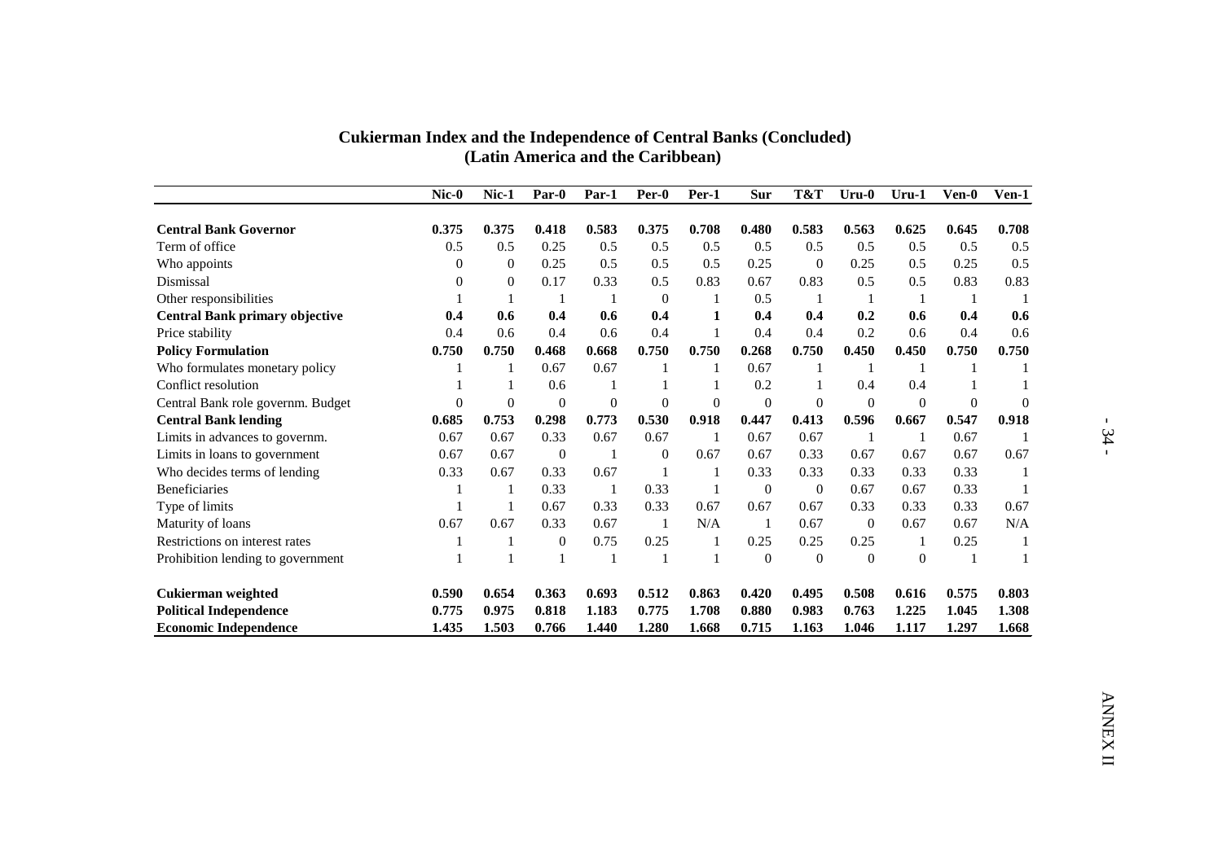|                                   | $Nic-0$        | Nic-1        | Par-0            | Par-1        | Per-0            | Per-1        | <b>Sur</b>   | T&T              | $Uru-0$        | $Uru-1$      | Ven-0          | Ven-1          |
|-----------------------------------|----------------|--------------|------------------|--------------|------------------|--------------|--------------|------------------|----------------|--------------|----------------|----------------|
| <b>Central Bank Governor</b>      | 0.375          | 0.375        | 0.418            | 0.583        | 0.375            | 0.708        | 0.480        | 0.583            | 0.563          | 0.625        | 0.645          | 0.708          |
| Term of office                    | 0.5            | 0.5          | 0.25             | 0.5          | 0.5              | 0.5          | 0.5          | 0.5              | 0.5            | 0.5          | 0.5            | 0.5            |
| Who appoints                      | $\theta$       | $\mathbf{0}$ | 0.25             | 0.5          | 0.5              | 0.5          | 0.25         | $\overline{0}$   | 0.25           | 0.5          | 0.25           | 0.5            |
| Dismissal                         | $\Omega$       | $\mathbf{0}$ | 0.17             | 0.33         | 0.5              | 0.83         | 0.67         | 0.83             | 0.5            | 0.5          | 0.83           | 0.83           |
| Other responsibilities            | 1              | $\mathbf{1}$ | $\mathbf{1}$     | $\mathbf{1}$ | $\boldsymbol{0}$ | -1           | 0.5          | -1               | $\overline{1}$ | $\mathbf{1}$ | -1             | -1             |
| Central Bank primary objective    | 0.4            | 0.6          | 0.4              | 0.6          | 0.4              | $\mathbf{1}$ | 0.4          | 0.4              | 0.2            | 0.6          | 0.4            | 0.6            |
| Price stability                   | 0.4            | 0.6          | 0.4              | 0.6          | 0.4              | $\mathbf{1}$ | 0.4          | 0.4              | 0.2            | 0.6          | 0.4            | 0.6            |
| <b>Policy Formulation</b>         | 0.750          | 0.750        | 0.468            | 0.668        | 0.750            | 0.750        | 0.268        | 0.750            | 0.450          | 0.450        | 0.750          | 0.750          |
| Who formulates monetary policy    | -1             | -1           | 0.67             | 0.67         | $\mathbf{1}$     | -1           | 0.67         | -1               | -1             | -1           | $\mathbf{1}$   | 1              |
| Conflict resolution               | $\mathbf{1}$   | $\mathbf{1}$ | 0.6              | $\mathbf{1}$ | $\mathbf{1}$     | $\mathbf{1}$ | 0.2          | $\mathbf{1}$     | 0.4            | 0.4          | $\mathbf{1}$   | $\mathbf{1}$   |
| Central Bank role governm. Budget | $\overline{0}$ | $\mathbf{0}$ | $\overline{0}$   | $\mathbf{0}$ | $\overline{0}$   | $\mathbf{0}$ | $\mathbf{0}$ | $\overline{0}$   | $\mathbf{0}$   | $\mathbf{0}$ | $\overline{0}$ | $\overline{0}$ |
| <b>Central Bank lending</b>       | 0.685          | 0.753        | 0.298            | 0.773        | 0.530            | 0.918        | 0.447        | 0.413            | 0.596          | 0.667        | 0.547          | 0.918          |
| Limits in advances to governm.    | 0.67           | 0.67         | 0.33             | 0.67         | 0.67             | -1           | 0.67         | 0.67             | $\overline{1}$ | -1           | 0.67           | $\overline{1}$ |
| Limits in loans to government     | 0.67           | 0.67         | $\mathbf{0}$     | $\mathbf{1}$ | $\mathbf{0}$     | 0.67         | 0.67         | 0.33             | 0.67           | 0.67         | 0.67           | 0.67           |
| Who decides terms of lending      | 0.33           | 0.67         | 0.33             | 0.67         | -1               | $\mathbf{1}$ | 0.33         | 0.33             | 0.33           | 0.33         | 0.33           | $\mathbf{1}$   |
| <b>Beneficiaries</b>              | $\mathbf{1}$   | -1           | 0.33             | -1           | 0.33             | $\mathbf{1}$ | $\mathbf{0}$ | $\boldsymbol{0}$ | 0.67           | 0.67         | 0.33           | $\mathbf{1}$   |
| Type of limits                    | $\mathbf{1}$   | $\mathbf{1}$ | 0.67             | 0.33         | 0.33             | 0.67         | 0.67         | 0.67             | 0.33           | 0.33         | 0.33           | 0.67           |
| Maturity of loans                 | 0.67           | 0.67         | 0.33             | 0.67         | $\overline{1}$   | N/A          | -1           | 0.67             | $\mathbf{0}$   | 0.67         | 0.67           | N/A            |
| Restrictions on interest rates    | $\mathbf{1}$   | $\mathbf{1}$ | $\boldsymbol{0}$ | 0.75         | 0.25             | $\mathbf{1}$ | 0.25         | 0.25             | 0.25           | $\mathbf{1}$ | 0.25           | $\overline{1}$ |
| Prohibition lending to government | $\mathbf{1}$   | $\mathbf{1}$ | $\mathbf{1}$     | $\mathbf{1}$ | $\overline{1}$   | $\mathbf{1}$ | $\theta$     | $\Omega$         | $\Omega$       | $\Omega$     | $\mathbf{1}$   | $\mathbf{1}$   |
| Cukierman weighted                | 0.590          | 0.654        | 0.363            | 0.693        | 0.512            | 0.863        | 0.420        | 0.495            | 0.508          | 0.616        | 0.575          | 0.803          |
| <b>Political Independence</b>     | 0.775          | 0.975        | 0.818            | 1.183        | 0.775            | 1.708        | 0.880        | 0.983            | 0.763          | 1.225        | 1.045          | 1.308          |
| <b>Economic Independence</b>      | 1.435          | 1.503        | 0.766            | 1.440        | 1.280            | 1.668        | 0.715        | 1.163            | 1.046          | 1.117        | 1.297          | 1.668          |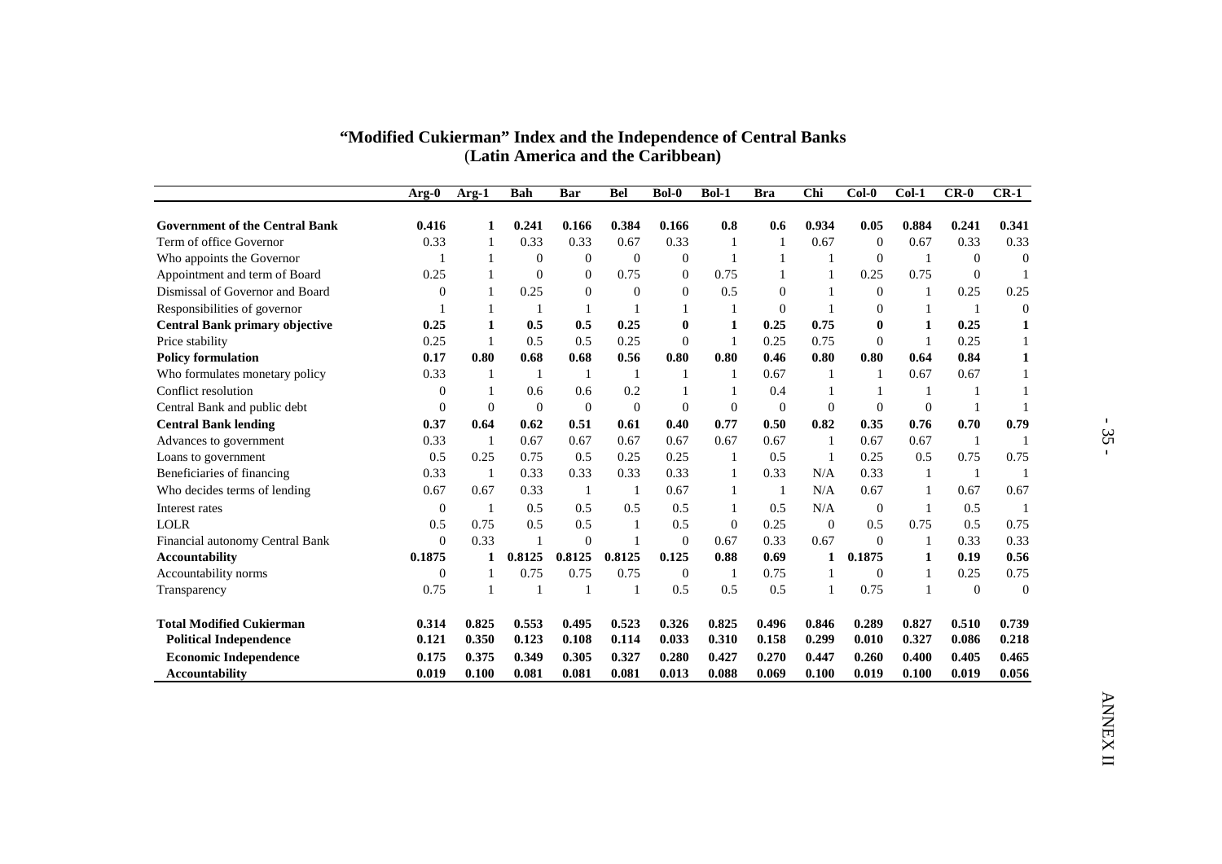|                                       |                  |              |                  |                | (Latin America and the Caribbean) |                  |                  |                  |                  |                     |              |                |                |
|---------------------------------------|------------------|--------------|------------------|----------------|-----------------------------------|------------------|------------------|------------------|------------------|---------------------|--------------|----------------|----------------|
|                                       | Arg-0            | Arg-1        | <b>Bah</b>       | <b>Bar</b>     | <b>Bel</b>                        | <b>Bol-0</b>     | <b>Bol-1</b>     | <b>Bra</b>       | Chi              | $Col-0$             | $Col-1$      | $CR-0$         | $CR-1$         |
| <b>Government of the Central Bank</b> | 0.416            | 1            | 0.241            | 0.166          | 0.384                             | 0.166            | 0.8              | 0.6              | 0.934            | 0.05                | 0.884        | 0.241          | 0.341          |
| Term of office Governor               | 0.33             | $\mathbf{1}$ | 0.33             | 0.33           | 0.67                              | 0.33             | $\mathbf{1}$     | $\mathbf{1}$     | 0.67             | $\theta$            | 0.67         | 0.33           | 0.33           |
| Who appoints the Governor             | $\mathbf{1}$     | $\mathbf{1}$ | $\overline{0}$   | $\mathbf{0}$   | $\mathbf{0}$                      | $\boldsymbol{0}$ | 1                | $\mathbf{1}$     | -1               | $\mathbf{0}$        | -1           | $\overline{0}$ | $\theta$       |
| Appointment and term of Board         | 0.25             | $\mathbf{1}$ | $\overline{0}$   | $\mathbf{0}$   | 0.75                              | $\overline{0}$   | 0.75             | $\mathbf{1}$     | $\mathbf{1}$     | 0.25                | 0.75         | $\overline{0}$ | $\overline{1}$ |
| Dismissal of Governor and Board       | $\overline{0}$   | $\mathbf{1}$ | 0.25             | $\overline{0}$ | $\overline{0}$                    | $\theta$         | 0.5              | $\mathbf{0}$     | $\mathbf{1}$     | $\mathbf{0}$        | $\mathbf{1}$ | 0.25           | 0.25           |
| Responsibilities of governor          | 1                | 1            | -1               | -1             | -1                                | 1                | 1                | $\boldsymbol{0}$ | $\mathbf{1}$     | $\boldsymbol{0}$    | -1           | -1             | $\theta$       |
| <b>Central Bank primary objective</b> | 0.25             | $\mathbf{1}$ | 0.5              | 0.5            | 0.25                              | $\bf{0}$         | $\mathbf{1}$     | 0.25             | 0.75             | $\bf{0}$            | $\mathbf{1}$ | 0.25           | $\mathbf{1}$   |
| Price stability                       | 0.25             | $\mathbf{1}$ | 0.5              | 0.5            | 0.25                              | $\theta$         | $\mathbf{1}$     | 0.25             | 0.75             | $\mathbf{0}$        | $\mathbf{1}$ | 0.25           | $\mathbf{1}$   |
| <b>Policy formulation</b>             | 0.17             | 0.80         | 0.68             | 0.68           | 0.56                              | 0.80             | 0.80             | 0.46             | 0.80             | $\boldsymbol{0.80}$ | 0.64         | 0.84           | $\mathbf{1}$   |
| Who formulates monetary policy        | 0.33             | $\mathbf{1}$ | -1               | $\mathbf{1}$   | -1                                | $\mathbf{1}$     | 1                | 0.67             | $\mathbf{1}$     | $\mathbf{1}$        | 0.67         | 0.67           | $\mathbf{1}$   |
| Conflict resolution                   | $\boldsymbol{0}$ | $\mathbf{1}$ | 0.6              | 0.6            | 0.2                               | $\mathbf{1}$     | 1                | 0.4              | 1                | $\mathbf{1}$        | $\mathbf{1}$ | -1             | $\mathbf{1}$   |
| Central Bank and public debt          | $\boldsymbol{0}$ | $\mathbf{0}$ | $\boldsymbol{0}$ | $\mathbf{0}$   | $\mathbf{0}$                      | $\mathbf{0}$     | $\mathbf{0}$     | $\mathbf{0}$     | $\boldsymbol{0}$ | $\boldsymbol{0}$    | $\mathbf{0}$ | 1              | $\blacksquare$ |
| <b>Central Bank lending</b>           | 0.37             | 0.64         | 0.62             | 0.51           | 0.61                              | 0.40             | 0.77             | 0.50             | 0.82             | 0.35                | 0.76         | 0.70           | 0.79           |
| Advances to government                | 0.33             | $\mathbf{1}$ | 0.67             | 0.67           | 0.67                              | 0.67             | 0.67             | 0.67             | $\mathbf{1}$     | 0.67                | 0.67         | $\overline{1}$ | $\blacksquare$ |
| Loans to government                   | 0.5              | 0.25         | 0.75             | 0.5            | 0.25                              | 0.25             | 1                | 0.5              | $\mathbf{1}$     | 0.25                | 0.5          | 0.75           | 0.75           |
| Beneficiaries of financing            | 0.33             | $\mathbf{1}$ | 0.33             | 0.33           | 0.33                              | 0.33             | $\mathbf{1}$     | 0.33             | N/A              | 0.33                | $\mathbf{1}$ | -1             | $\overline{1}$ |
| Who decides terms of lending          | 0.67             | 0.67         | 0.33             | $\mathbf{1}$   | -1                                | 0.67             | $\mathbf{1}$     | $\mathbf{1}$     | N/A              | 0.67                | -1           | 0.67           | 0.67           |
| Interest rates                        | $\overline{0}$   | $\mathbf{1}$ | 0.5              | 0.5            | 0.5                               | 0.5              | $\mathbf{1}$     | 0.5              | N/A              | $\overline{0}$      | $\mathbf{1}$ | 0.5            | $\mathbf{1}$   |
| <b>LOLR</b>                           | 0.5              | 0.75         | 0.5              | 0.5            | -1                                | 0.5              | $\boldsymbol{0}$ | 0.25             | $\boldsymbol{0}$ | 0.5                 | 0.75         | 0.5            | 0.75           |
| Financial autonomy Central Bank       | $\boldsymbol{0}$ | 0.33         | $\mathbf{1}$     | $\overline{0}$ | $\mathbf{1}$                      | $\overline{0}$   | 0.67             | 0.33             | 0.67             | $\boldsymbol{0}$    | $\mathbf{1}$ | 0.33           | 0.33           |
| <b>Accountability</b>                 | 0.1875           | $\mathbf{1}$ | 0.8125           | 0.8125         | 0.8125                            | 0.125            | 0.88             | 0.69             | $\mathbf{1}$     | 0.1875              | $\mathbf{1}$ | 0.19           | 0.56           |
| Accountability norms                  | $\mathbf{0}$     | $\mathbf{1}$ | 0.75             | 0.75           | 0.75                              | $\mathbf{0}$     | $\mathbf{1}$     | 0.75             | $\mathbf{1}$     | $\mathbf{0}$        | -1           | 0.25           | 0.75           |
| Transparency                          | 0.75             | $\mathbf{1}$ | -1               | $\mathbf{1}$   | $\mathbf{1}$                      | 0.5              | 0.5              | 0.5              | $\mathbf{1}$     | 0.75                | $\mathbf{1}$ | $\mathbf{0}$   | $\Omega$       |
| <b>Total Modified Cukierman</b>       | 0.314            | 0.825        | 0.553            | 0.495          | 0.523                             | 0.326            | 0.825            | 0.496            | 0.846            | 0.289               | 0.827        | 0.510          | 0.739          |
| <b>Political Independence</b>         | 0.121            | 0.350        | 0.123            | 0.108          | 0.114                             | 0.033            | 0.310            | 0.158            | 0.299            | 0.010               | 0.327        | 0.086          | 0.218          |
| <b>Economic Independence</b>          | 0.175            | 0.375        | 0.349            | 0.305          | 0.327                             | 0.280            | 0.427            | 0.270            | 0.447            | 0.260               | 0.400        | 0.405          | 0.465          |
| <b>Accountability</b>                 | 0.019            | 0.100        | 0.081            | 0.081          | 0.081                             | 0.013            | 0.088            | 0.069            | 0.100            | 0.019               | 0.100        | 0.019          | 0.056          |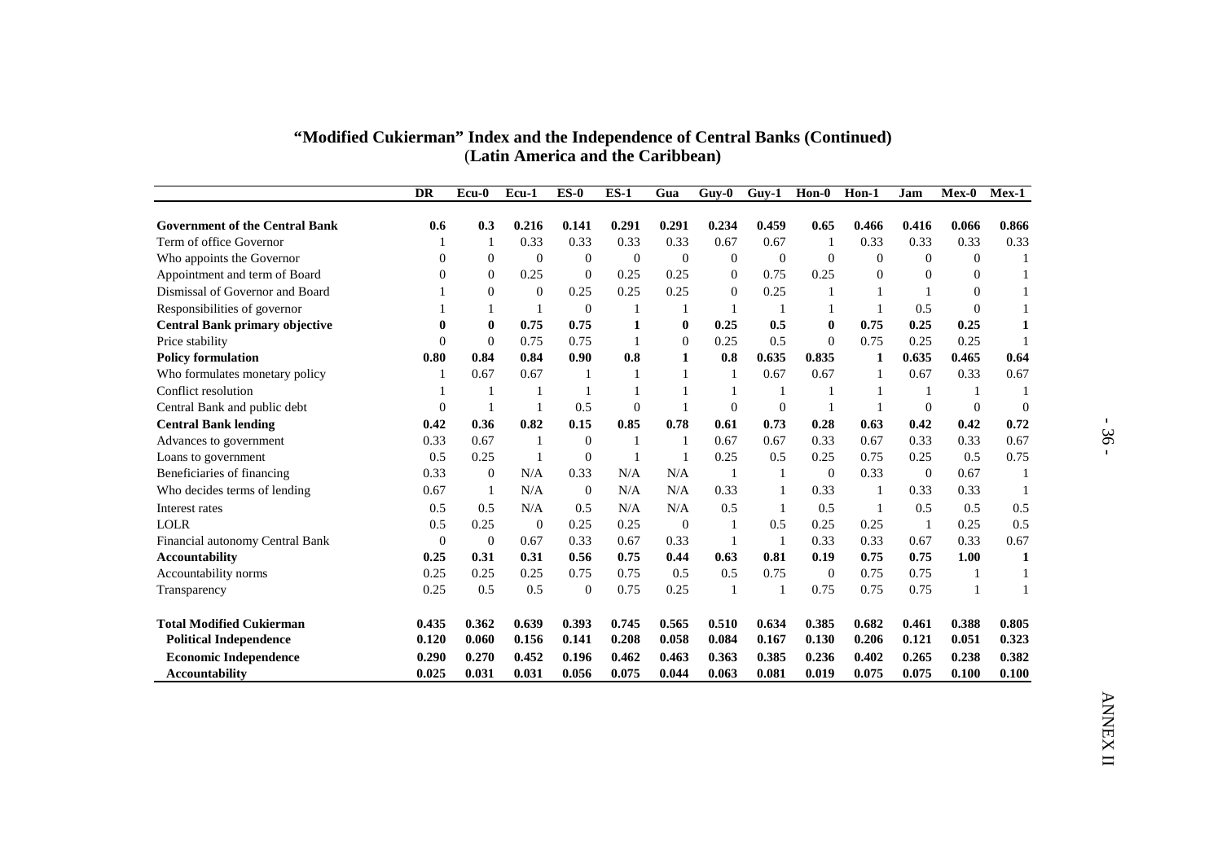| "Modified Cukierman" Index and the Independence of Central Banks (Continued) |
|------------------------------------------------------------------------------|
| (Latin America and the Caribbean)                                            |

|                                       |                  |                  |                  |                  | (Latin America and the Caribbean) |                |                  |              |                                    |                  |                  |                |                |
|---------------------------------------|------------------|------------------|------------------|------------------|-----------------------------------|----------------|------------------|--------------|------------------------------------|------------------|------------------|----------------|----------------|
|                                       | <b>DR</b>        | Ecu-0            | Ecu-1            | $ES-0$           | $ES-1$                            | Gua            | $Guy-0$          | $Guy-1$      | $\text{Hon-}\overline{\textbf{0}}$ | Hon-1            | Jam              | Mex-0          | Mex-1          |
| <b>Government of the Central Bank</b> | 0.6              | 0.3              | 0.216            | 0.141            | 0.291                             | 0.291          | 0.234            | 0.459        | 0.65                               | 0.466            | 0.416            | 0.066          | 0.866          |
| Term of office Governor               | $\mathbf{1}$     | $\mathbf{1}$     | 0.33             | 0.33             | 0.33                              | 0.33           | 0.67             | 0.67         | $\mathbf{1}$                       | 0.33             | 0.33             | 0.33           | 0.33           |
| Who appoints the Governor             | $\overline{0}$   | $\boldsymbol{0}$ | $\boldsymbol{0}$ | $\boldsymbol{0}$ | $\mathbf{0}$                      | $\mathbf{0}$   | $\boldsymbol{0}$ | $\mathbf{0}$ | $\boldsymbol{0}$                   | $\boldsymbol{0}$ | $\boldsymbol{0}$ | $\mathbf{0}$   | $\mathbf{1}$   |
| Appointment and term of Board         | $\theta$         | $\mathbf{0}$     | 0.25             | $\mathbf{0}$     | 0.25                              | 0.25           | $\overline{0}$   | 0.75         | 0.25                               | $\mathbf{0}$     | $\overline{0}$   | $\overline{0}$ | $\mathbf{1}$   |
| Dismissal of Governor and Board       |                  | $\mathbf{0}$     | $\boldsymbol{0}$ | 0.25             | 0.25                              | 0.25           | $\overline{0}$   | 0.25         | $\mathbf{1}$                       | $\mathbf{1}$     | $\mathbf{1}$     | $\Omega$       | $\mathbf{1}$   |
| Responsibilities of governor          | $\mathbf{1}$     | 1                | -1               | $\boldsymbol{0}$ | -1                                | -1             | $\mathbf{1}$     | -1           | 1                                  | $\mathbf{1}$     | 0.5              | $\mathbf{0}$   | $\mathbf{1}$   |
| <b>Central Bank primary objective</b> | $\bf{0}$         | $\bf{0}$         | 0.75             | 0.75             | $\mathbf{1}$                      | $\bf{0}$       | 0.25             | 0.5          | $\bf{0}$                           | 0.75             | 0.25             | 0.25           | $\mathbf{1}$   |
| Price stability                       | $\theta$         | $\overline{0}$   | 0.75             | 0.75             | -1                                | $\overline{0}$ | 0.25             | 0.5          | $\overline{0}$                     | 0.75             | 0.25             | 0.25           | $\mathbf{1}$   |
| <b>Policy formulation</b>             | 0.80             | 0.84             | 0.84             | 0.90             | 0.8                               | $\mathbf{1}$   | 0.8              | 0.635        | 0.835                              | $\mathbf{1}$     | 0.635            | 0.465          | 0.64           |
| Who formulates monetary policy        | -1               | 0.67             | 0.67             | $\mathbf{1}$     | -1                                | $\mathbf{1}$   | $\mathbf{1}$     | 0.67         | 0.67                               | $\mathbf{1}$     | 0.67             | 0.33           | 0.67           |
| Conflict resolution                   | -1               | $\mathbf{1}$     | -1               | -1               | $\mathbf{1}$                      | 1              | $\mathbf{1}$     | $\mathbf{1}$ | 1                                  | $\mathbf{1}$     | $\mathbf{1}$     | -1             | $\overline{1}$ |
| Central Bank and public debt          | $\boldsymbol{0}$ | $\mathbf{1}$     | -1               | 0.5              | $\mathbf{0}$                      | $\mathbf{1}$   | $\boldsymbol{0}$ | $\mathbf{0}$ | $\mathbf{1}$                       | $\mathbf{1}$     | $\boldsymbol{0}$ | $\mathbf{0}$   | $\overline{0}$ |
| <b>Central Bank lending</b>           | 0.42             | 0.36             | 0.82             | 0.15             | 0.85                              | 0.78           | 0.61             | 0.73         | 0.28                               | 0.63             | 0.42             | 0.42           | 0.72           |
| Advances to government                | 0.33             | 0.67             | $\mathbf{1}$     | $\mathbf{0}$     | -1                                | $\mathbf{1}$   | 0.67             | 0.67         | 0.33                               | 0.67             | 0.33             | 0.33           | 0.67           |
| Loans to government                   | 0.5              | 0.25             | -1               | $\mathbf{0}$     | -1                                | $\mathbf{1}$   | 0.25             | 0.5          | 0.25                               | 0.75             | 0.25             | 0.5            | 0.75           |
| Beneficiaries of financing            | 0.33             | $\mathbf{0}$     | N/A              | 0.33             | N/A                               | N/A            | $\mathbf{1}$     | 1            | $\mathbf{0}$                       | 0.33             | $\mathbf{0}$     | 0.67           | $\mathbf{1}$   |
| Who decides terms of lending          | 0.67             | $\mathbf{1}$     | N/A              | $\mathbf{0}$     | N/A                               | N/A            | 0.33             | 1            | 0.33                               | $\mathbf{1}$     | 0.33             | 0.33           | $\mathbf{1}$   |
| Interest rates                        | 0.5              | 0.5              | N/A              | 0.5              | N/A                               | N/A            | 0.5              | $\mathbf{1}$ | 0.5                                | $\mathbf{1}$     | 0.5              | 0.5            | 0.5            |
| <b>LOLR</b>                           | 0.5              | 0.25             | $\boldsymbol{0}$ | 0.25             | 0.25                              | $\mathbf{0}$   | 1                | 0.5          | 0.25                               | 0.25             | 1                | 0.25           | 0.5            |
| Financial autonomy Central Bank       | $\boldsymbol{0}$ | $\boldsymbol{0}$ | 0.67             | 0.33             | 0.67                              | 0.33           | $\mathbf{1}$     | -1           | 0.33                               | 0.33             | 0.67             | 0.33           | 0.67           |
| <b>Accountability</b>                 | 0.25             | 0.31             | 0.31             | 0.56             | 0.75                              | 0.44           | 0.63             | 0.81         | 0.19                               | 0.75             | 0.75             | 1.00           | $\mathbf{1}$   |
| Accountability norms                  | 0.25             | 0.25             | 0.25             | 0.75             | 0.75                              | 0.5            | 0.5              | 0.75         | $\boldsymbol{0}$                   | 0.75             | 0.75             | -1             | -1             |
| Transparency                          | 0.25             | 0.5              | 0.5              | $\mathbf{0}$     | 0.75                              | 0.25           | $\mathbf{1}$     | 1            | 0.75                               | 0.75             | 0.75             | $\mathbf{1}$   | $\mathbf{1}$   |
| <b>Total Modified Cukierman</b>       | 0.435            | 0.362            | 0.639            | 0.393            | 0.745                             | 0.565          | 0.510            | 0.634        | 0.385                              | 0.682            | 0.461            | 0.388          | 0.805          |
| <b>Political Independence</b>         | 0.120            | 0.060            | 0.156            | 0.141            | 0.208                             | 0.058          | 0.084            | 0.167        | 0.130                              | 0.206            | 0.121            | 0.051          | 0.323          |
| <b>Economic Independence</b>          | 0.290            | 0.270            | 0.452            | 0.196            | 0.462                             | 0.463          | 0.363            | 0.385        | 0.236                              | 0.402            | 0.265            | 0.238          | 0.382          |
| <b>Accountability</b>                 | 0.025            | 0.031            | 0.031            | 0.056            | 0.075                             | 0.044          | 0.063            | 0.081        | 0.019                              | 0.075            | 0.075            | 0.100          | 0.100          |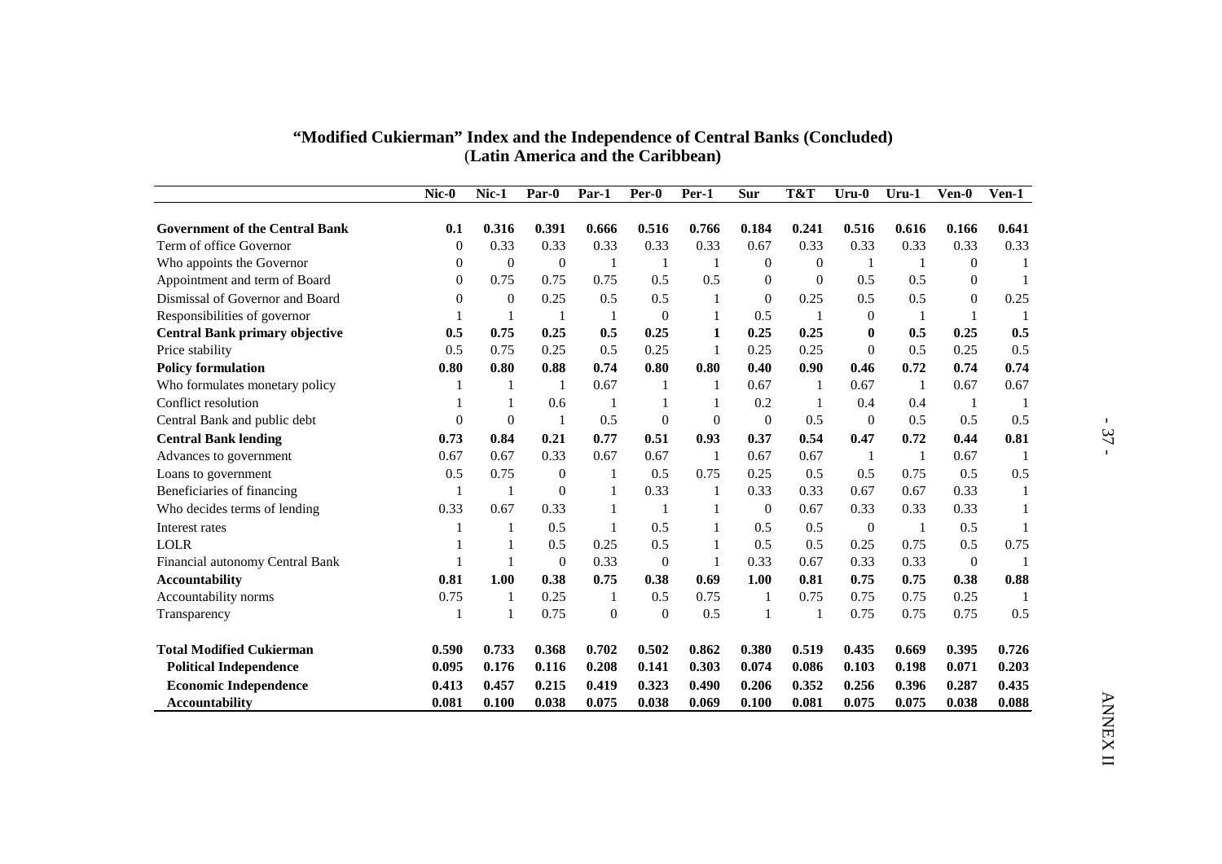|                                       |                |                  |                  |              | (Latin America and the Caribbean) |              |                  |                  |                |                |                  |                |
|---------------------------------------|----------------|------------------|------------------|--------------|-----------------------------------|--------------|------------------|------------------|----------------|----------------|------------------|----------------|
|                                       | $Nic-0$        | Nic-1            | Par-0            | Par-1        | Per-0                             | Per-1        | Sur              | T&T              | $Uru-0$        | $Uru-1$        | Ven-0            | $Ven-1$        |
| <b>Government of the Central Bank</b> | 0.1            | 0.316            | 0.391            | 0.666        | 0.516                             | 0.766        | 0.184            | 0.241            | 0.516          | 0.616          | 0.166            | 0.641          |
| Term of office Governor               | $\theta$       | 0.33             | 0.33             | 0.33         | 0.33                              | 0.33         | 0.67             | 0.33             | 0.33           | 0.33           | 0.33             | 0.33           |
| Who appoints the Governor             | $\theta$       | $\overline{0}$   | $\boldsymbol{0}$ | $\mathbf{1}$ | -1                                | -1           | $\mathbf{0}$     | $\overline{0}$   | -1             | -1             | $\overline{0}$   | $\mathbf{1}$   |
| Appointment and term of Board         | $\theta$       | 0.75             | 0.75             | 0.75         | 0.5                               | 0.5          | $\boldsymbol{0}$ | $\boldsymbol{0}$ | 0.5            | 0.5            | $\boldsymbol{0}$ | $\mathbf{1}$   |
| Dismissal of Governor and Board       | $\Omega$       | $\boldsymbol{0}$ | 0.25             | 0.5          | 0.5                               | $\mathbf{1}$ | $\boldsymbol{0}$ | 0.25             | 0.5            | 0.5            | $\Omega$         | 0.25           |
| Responsibilities of governor          | $\mathbf{1}$   | $\mathbf{1}$     | $\mathbf{1}$     | $\mathbf{1}$ | $\Omega$                          | $\mathbf{1}$ | 0.5              | $\mathbf{1}$     | $\Omega$       | $\mathbf{1}$   | $\mathbf{1}$     | $\mathbf{1}$   |
| <b>Central Bank primary objective</b> | 0.5            | 0.75             | 0.25             | 0.5          | 0.25                              | $\mathbf{1}$ | 0.25             | 0.25             | $\mathbf{0}$   | 0.5            | 0.25             | 0.5            |
| Price stability                       | 0.5            | 0.75             | 0.25             | 0.5          | 0.25                              | $\mathbf{1}$ | 0.25             | 0.25             | $\Omega$       | 0.5            | 0.25             | 0.5            |
| <b>Policy formulation</b>             | 0.80           | 0.80             | 0.88             | 0.74         | 0.80                              | 0.80         | 0.40             | 0.90             | 0.46           | 0.72           | 0.74             | 0.74           |
| Who formulates monetary policy        | 1              | 1                | -1               | 0.67         | -1                                | -1           | 0.67             | -1               | 0.67           | $\mathbf{1}$   | 0.67             | 0.67           |
| Conflict resolution                   | 1              | $\mathbf{1}$     | 0.6              | -1           | $\mathbf{1}$                      | $\mathbf{1}$ | 0.2              | $\mathbf{1}$     | 0.4            | 0.4            | -1               | $\mathbf{1}$   |
| Central Bank and public debt          | $\overline{0}$ | $\overline{0}$   | -1               | 0.5          | $\overline{0}$                    | $\mathbf{0}$ | $\overline{0}$   | 0.5              | $\overline{0}$ | 0.5            | 0.5              | 0.5            |
| <b>Central Bank lending</b>           | 0.73           | 0.84             | 0.21             | 0.77         | 0.51                              | 0.93         | 0.37             | 0.54             | 0.47           | 0.72           | 0.44             | 0.81           |
| Advances to government                | 0.67           | 0.67             | 0.33             | 0.67         | 0.67                              | -1           | 0.67             | 0.67             | -1             | $\overline{1}$ | 0.67             | -1             |
| Loans to government                   | 0.5            | 0.75             | $\theta$         | -1           | 0.5                               | 0.75         | 0.25             | 0.5              | 0.5            | 0.75           | 0.5              | 0.5            |
| Beneficiaries of financing            | -1             | -1               | $\Omega$         | 1            | 0.33                              | -1           | 0.33             | 0.33             | 0.67           | 0.67           | 0.33             | $\mathbf{1}$   |
| Who decides terms of lending          | 0.33           | 0.67             | 0.33             | $\mathbf{1}$ | 1                                 | 1            | $\overline{0}$   | 0.67             | 0.33           | 0.33           | 0.33             | $\mathbf{1}$   |
| Interest rates                        | $\mathbf{1}$   | $\mathbf{1}$     | 0.5              | -1           | 0.5                               | 1            | 0.5              | 0.5              | $\overline{0}$ | $\mathbf{1}$   | 0.5              | $\mathbf{1}$   |
| <b>LOLR</b>                           | $\mathbf{1}$   | -1               | 0.5              | 0.25         | 0.5                               | 1            | 0.5              | 0.5              | 0.25           | 0.75           | 0.5              | 0.75           |
| Financial autonomy Central Bank       | $\mathbf{1}$   | $\mathbf{1}$     | $\overline{0}$   | 0.33         | $\overline{0}$                    | $\mathbf{1}$ | 0.33             | 0.67             | 0.33           | 0.33           | $\overline{0}$   | $\overline{1}$ |
| <b>Accountability</b>                 | 0.81           | 1.00             | 0.38             | 0.75         | 0.38                              | 0.69         | 1.00             | 0.81             | 0.75           | 0.75           | 0.38             | 0.88           |
| Accountability norms                  | 0.75           | $\mathbf{1}$     | 0.25             | $\mathbf{1}$ | 0.5                               | 0.75         | $\mathbf{1}$     | 0.75             | 0.75           | 0.75           | 0.25             | $\mathbf{1}$   |
| Transparency                          | 1              | -1               | 0.75             | $\theta$     | $\overline{0}$                    | 0.5          | -1               | -1               | 0.75           | 0.75           | 0.75             | 0.5            |
| <b>Total Modified Cukierman</b>       | 0.590          | 0.733            | 0.368            | 0.702        | 0.502                             | 0.862        | 0.380            | 0.519            | 0.435          | 0.669          | 0.395            | 0.726          |
| <b>Political Independence</b>         | 0.095          | 0.176            | 0.116            | 0.208        | 0.141                             | 0.303        | 0.074            | 0.086            | 0.103          | 0.198          | 0.071            | 0.203          |
| <b>Economic Independence</b>          | 0.413          | 0.457            | 0.215            | 0.419        | 0.323                             | 0.490        | 0.206            | 0.352            | 0.256          | 0.396          | 0.287            | 0.435          |
| <b>Accountability</b>                 | 0.081          | 0.100            | 0.038            | 0.075        | 0.038                             | 0.069        | 0.100            | 0.081            | 0.075          | 0.075          | 0.038            | 0.088          |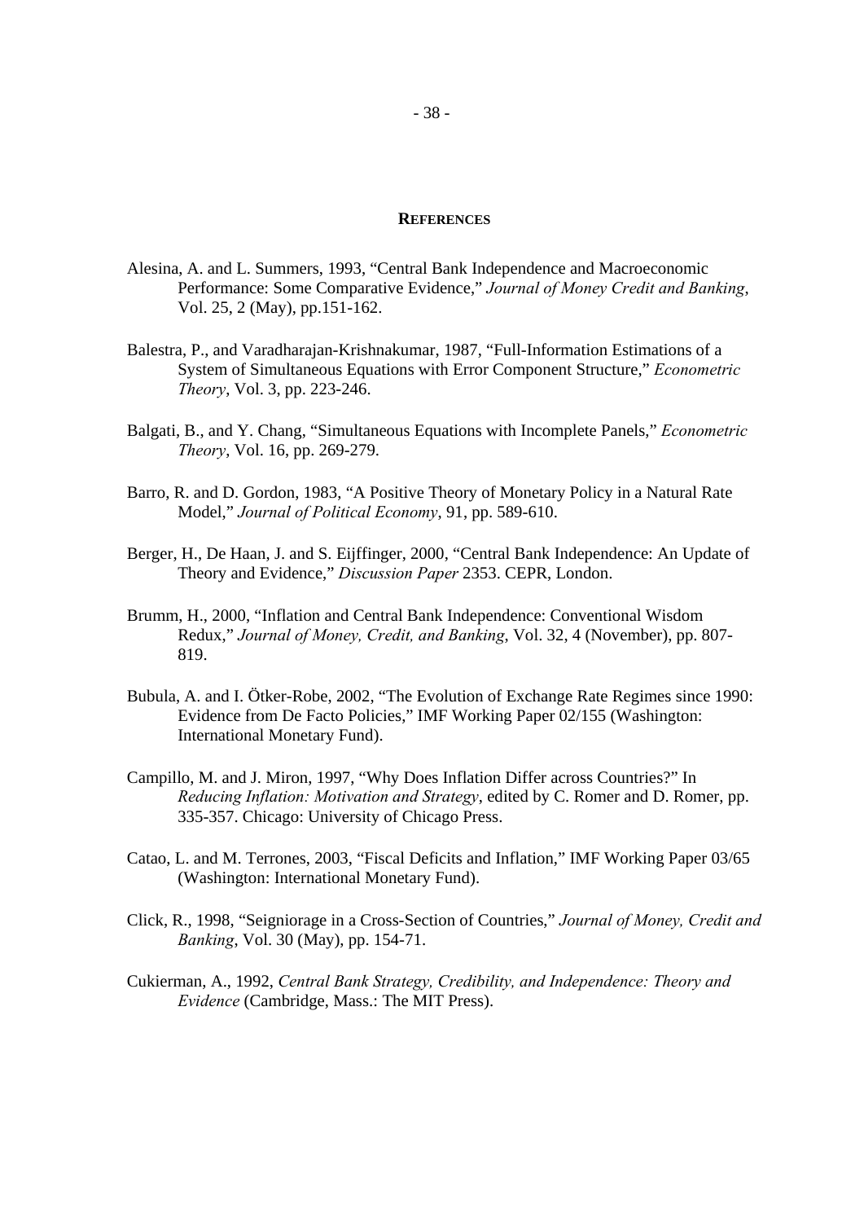#### **REFERENCES**

- Alesina, A. and L. Summers, 1993, "Central Bank Independence and Macroeconomic Performance: Some Comparative Evidence," *Journal of Money Credit and Banking*, Vol. 25, 2 (May), pp.151-162.
- Balestra, P., and Varadharajan-Krishnakumar, 1987, "Full-Information Estimations of a System of Simultaneous Equations with Error Component Structure," *Econometric Theory*, Vol. 3, pp. 223-246.
- Balgati, B., and Y. Chang, "Simultaneous Equations with Incomplete Panels," *Econometric Theory*, Vol. 16, pp. 269-279.
- Barro, R. and D. Gordon, 1983, "A Positive Theory of Monetary Policy in a Natural Rate Model," *Journal of Political Economy*, 91, pp. 589-610.
- Berger, H., De Haan, J. and S. Eijffinger, 2000, "Central Bank Independence: An Update of Theory and Evidence," *Discussion Paper* 2353. CEPR, London.
- Brumm, H., 2000, "Inflation and Central Bank Independence: Conventional Wisdom Redux," *Journal of Money, Credit, and Banking*, Vol. 32, 4 (November), pp. 807- 819.
- Bubula, A. and I. Ötker-Robe, 2002, "The Evolution of Exchange Rate Regimes since 1990: Evidence from De Facto Policies," IMF Working Paper 02/155 (Washington: International Monetary Fund).
- Campillo, M. and J. Miron, 1997, "Why Does Inflation Differ across Countries?" In *Reducing Inflation: Motivation and Strategy*, edited by C. Romer and D. Romer, pp. 335-357. Chicago: University of Chicago Press.
- Catao, L. and M. Terrones, 2003, "Fiscal Deficits and Inflation," IMF Working Paper 03/65 (Washington: International Monetary Fund).
- Click, R., 1998, "Seigniorage in a Cross-Section of Countries," *Journal of Money, Credit and Banking*, Vol. 30 (May), pp. 154-71.
- Cukierman, A., 1992, *Central Bank Strategy, Credibility, and Independence: Theory and Evidence* (Cambridge, Mass.: The MIT Press).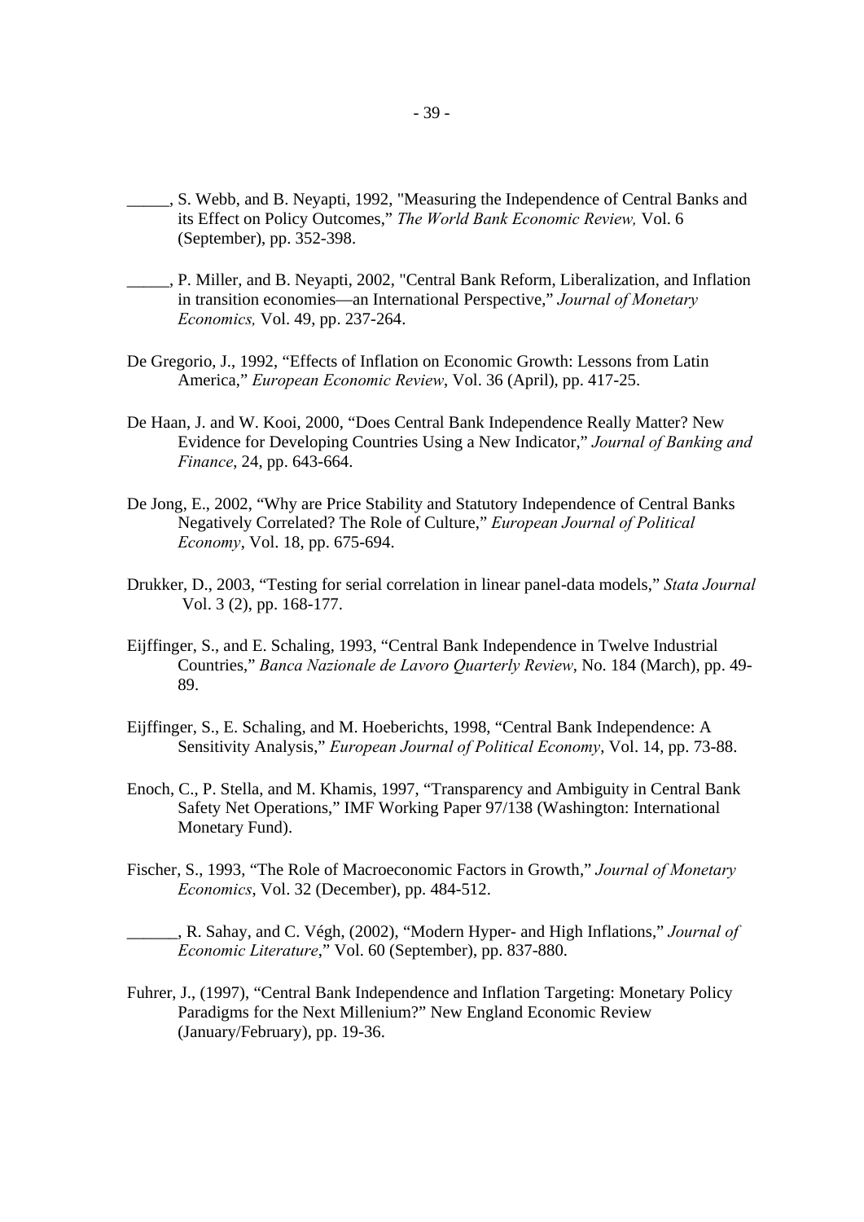- \_\_\_\_\_, S. Webb, and B. Neyapti, 1992, "Measuring the Independence of Central Banks and its Effect on Policy Outcomes," *The World Bank Economic Review,* Vol. 6 (September), pp. 352-398.
- \_\_\_\_\_, P. Miller, and B. Neyapti, 2002, "Central Bank Reform, Liberalization, and Inflation in transition economies—an International Perspective," *Journal of Monetary Economics,* Vol. 49, pp. 237-264.
- De Gregorio, J., 1992, "Effects of Inflation on Economic Growth: Lessons from Latin America," *European Economic Review*, Vol. 36 (April), pp. 417-25.
- De Haan, J. and W. Kooi, 2000, "Does Central Bank Independence Really Matter? New Evidence for Developing Countries Using a New Indicator," *Journal of Banking and Finance*, 24, pp. 643-664.
- De Jong, E., 2002, "Why are Price Stability and Statutory Independence of Central Banks Negatively Correlated? The Role of Culture," *European Journal of Political Economy*, Vol. 18, pp. 675-694.
- Drukker, D., 2003, "Testing for serial correlation in linear panel-data models," *Stata Journal* Vol. 3 (2), pp. 168-177.
- Eijffinger, S., and E. Schaling, 1993, "Central Bank Independence in Twelve Industrial Countries," *Banca Nazionale de Lavoro Quarterly Review*, No. 184 (March), pp. 49- 89.
- Eijffinger, S., E. Schaling, and M. Hoeberichts, 1998, "Central Bank Independence: A Sensitivity Analysis," *European Journal of Political Economy*, Vol. 14, pp. 73-88.
- Enoch, C., P. Stella, and M. Khamis, 1997, "Transparency and Ambiguity in Central Bank Safety Net Operations," IMF Working Paper 97/138 (Washington: International Monetary Fund).
- Fischer, S., 1993, "The Role of Macroeconomic Factors in Growth," *Journal of Monetary Economics*, Vol. 32 (December), pp. 484-512.

\_\_\_\_\_\_, R. Sahay, and C. Végh, (2002), "Modern Hyper- and High Inflations," *Journal of Economic Literature*," Vol. 60 (September), pp. 837-880.

Fuhrer, J., (1997), "Central Bank Independence and Inflation Targeting: Monetary Policy Paradigms for the Next Millenium?" New England Economic Review (January/February), pp. 19-36.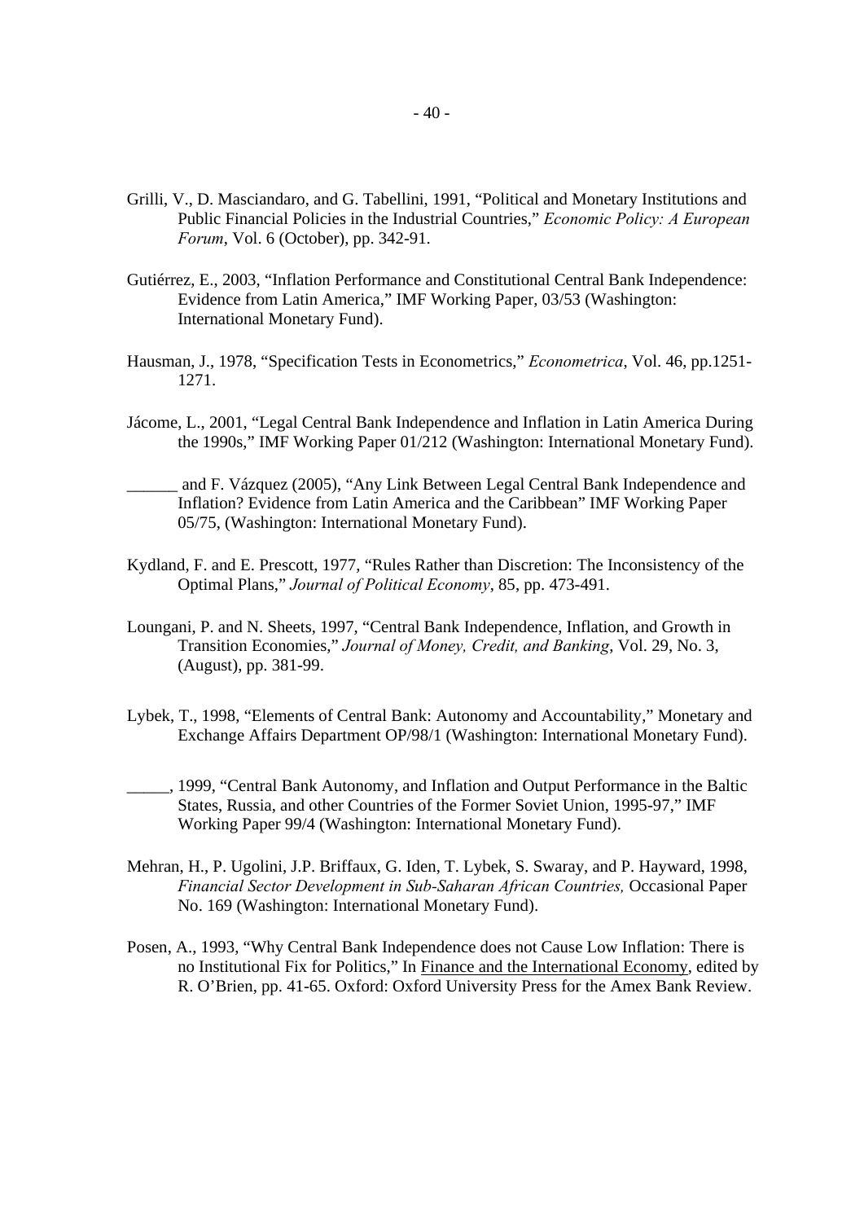- Grilli, V., D. Masciandaro, and G. Tabellini, 1991, "Political and Monetary Institutions and Public Financial Policies in the Industrial Countries," *Economic Policy: A European Forum*, Vol. 6 (October), pp. 342-91.
- Gutiérrez, E., 2003, "Inflation Performance and Constitutional Central Bank Independence: Evidence from Latin America," IMF Working Paper, 03/53 (Washington: International Monetary Fund).
- Hausman, J., 1978, "Specification Tests in Econometrics," *Econometrica*, Vol. 46, pp.1251- 1271.
- Jácome, L., 2001, "Legal Central Bank Independence and Inflation in Latin America During the 1990s," IMF Working Paper 01/212 (Washington: International Monetary Fund).
- and F. Vázquez (2005), "Any Link Between Legal Central Bank Independence and Inflation? Evidence from Latin America and the Caribbean" IMF Working Paper 05/75, (Washington: International Monetary Fund).
- Kydland, F. and E. Prescott, 1977, "Rules Rather than Discretion: The Inconsistency of the Optimal Plans," *Journal of Political Economy*, 85, pp. 473-491.
- Loungani, P. and N. Sheets, 1997, "Central Bank Independence, Inflation, and Growth in Transition Economies," *Journal of Money, Credit, and Banking*, Vol. 29, No. 3, (August), pp. 381-99.
- Lybek, T., 1998, "Elements of Central Bank: Autonomy and Accountability," Monetary and Exchange Affairs Department OP/98/1 (Washington: International Monetary Fund).
- \_\_\_\_\_, 1999, "Central Bank Autonomy, and Inflation and Output Performance in the Baltic States, Russia, and other Countries of the Former Soviet Union, 1995-97," IMF Working Paper 99/4 (Washington: International Monetary Fund).
- Mehran, H., P. Ugolini, J.P. Briffaux, G. Iden, T. Lybek, S. Swaray, and P. Hayward, 1998, *Financial Sector Development in Sub-Saharan African Countries,* Occasional Paper No. 169 (Washington: International Monetary Fund).
- Posen, A., 1993, "Why Central Bank Independence does not Cause Low Inflation: There is no Institutional Fix for Politics," In Finance and the International Economy, edited by R. O'Brien, pp. 41-65. Oxford: Oxford University Press for the Amex Bank Review.